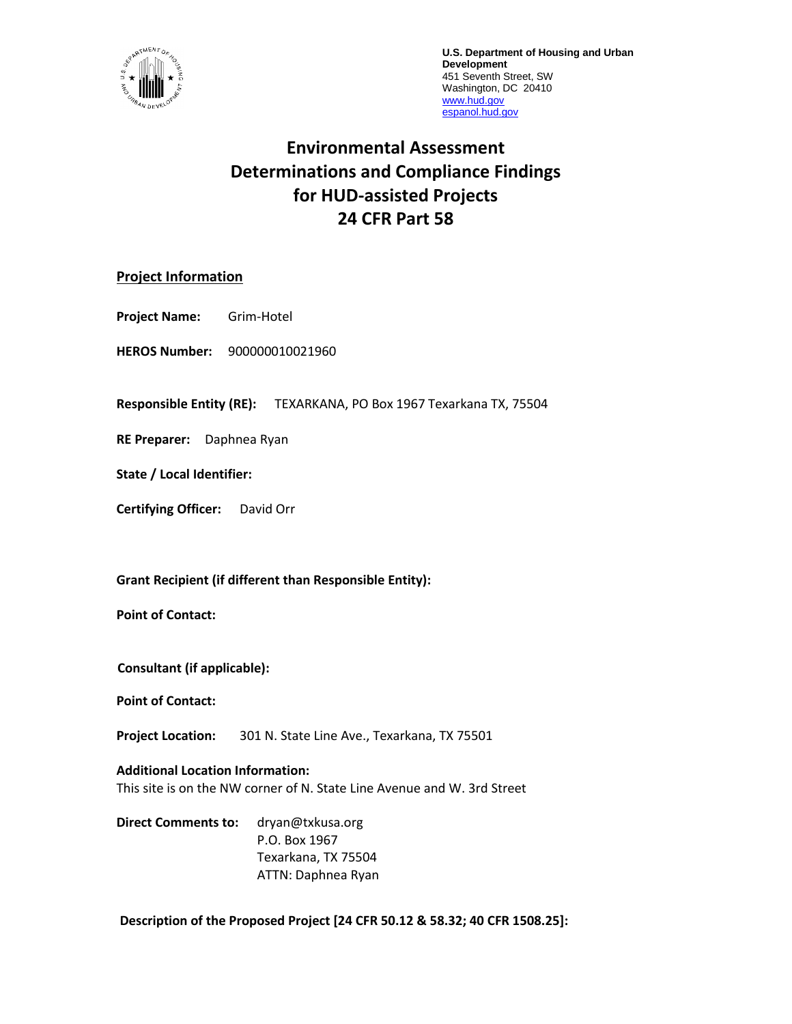

**U.S. Department of Housing and Urban Development** 451 Seventh Street, SW Washington, DC 20410 [www.hud.gov](http://www.hud.gov/) [espanol.hud.gov](file:///C:/Documents%20and%20Settings/ABehl/Desktop/MicroStrategy/EMIS/Final%20EMIS/espanol.hud.gov)

# **Environmental Assessment Determinations and Compliance Findings for HUD-assisted Projects 24 CFR Part 58**

### **Project Information**

**Project Name:** Grim-Hotel

**HEROS Number:** 900000010021960

**Responsible Entity (RE):** TEXARKANA, PO Box 1967 Texarkana TX, 75504

**RE Preparer:** Daphnea Ryan

**State / Local Identifier:**

**Certifying Officer:** David Orr

**Grant Recipient (if different than Responsible Entity):**

**Point of Contact:** 

**Consultant (if applicable):**

**Point of Contact:** 

**Project Location:** 301 N. State Line Ave., Texarkana, TX 75501

**Additional Location Information:** This site is on the NW corner of N. State Line Avenue and W. 3rd Street

**Direct Comments to:** dryan@txkusa.org P.O. Box 1967 Texarkana, TX 75504 ATTN: Daphnea Ryan

**Description of the Proposed Project [24 CFR 50.12 & 58.32; 40 CFR 1508.25]:**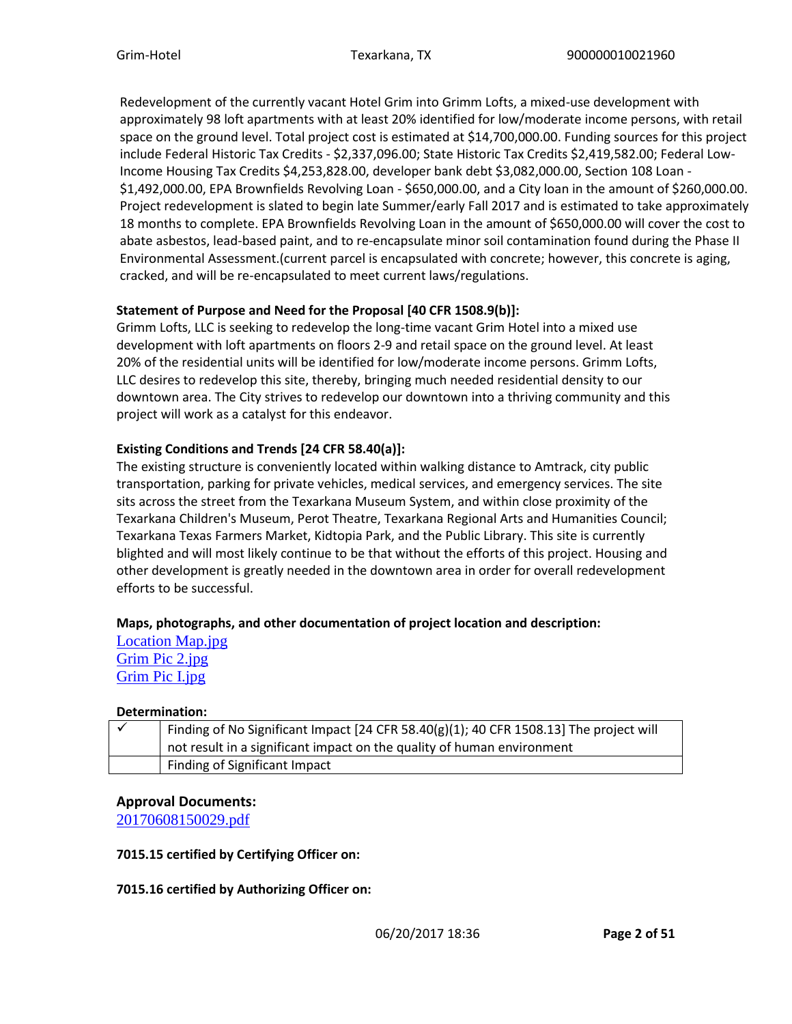Redevelopment of the currently vacant Hotel Grim into Grimm Lofts, a mixed-use development with approximately 98 loft apartments with at least 20% identified for low/moderate income persons, with retail space on the ground level. Total project cost is estimated at \$14,700,000.00. Funding sources for this project include Federal Historic Tax Credits - \$2,337,096.00; State Historic Tax Credits \$2,419,582.00; Federal Low-Income Housing Tax Credits \$4,253,828.00, developer bank debt \$3,082,000.00, Section 108 Loan - \$1,492,000.00, EPA Brownfields Revolving Loan - \$650,000.00, and a City loan in the amount of \$260,000.00. Project redevelopment is slated to begin late Summer/early Fall 2017 and is estimated to take approximately 18 months to complete. EPA Brownfields Revolving Loan in the amount of \$650,000.00 will cover the cost to abate asbestos, lead-based paint, and to re-encapsulate minor soil contamination found during the Phase II Environmental Assessment.(current parcel is encapsulated with concrete; however, this concrete is aging, cracked, and will be re-encapsulated to meet current laws/regulations.

#### **Statement of Purpose and Need for the Proposal [40 CFR 1508.9(b)]:**

Grimm Lofts, LLC is seeking to redevelop the long-time vacant Grim Hotel into a mixed use development with loft apartments on floors 2-9 and retail space on the ground level. At least 20% of the residential units will be identified for low/moderate income persons. Grimm Lofts, LLC desires to redevelop this site, thereby, bringing much needed residential density to our downtown area. The City strives to redevelop our downtown into a thriving community and this project will work as a catalyst for this endeavor.

#### **Existing Conditions and Trends [24 CFR 58.40(a)]:**

The existing structure is conveniently located within walking distance to Amtrack, city public transportation, parking for private vehicles, medical services, and emergency services. The site sits across the street from the Texarkana Museum System, and within close proximity of the Texarkana Children's Museum, Perot Theatre, Texarkana Regional Arts and Humanities Council; Texarkana Texas Farmers Market, Kidtopia Park, and the Public Library. This site is currently blighted and will most likely continue to be that without the efforts of this project. Housing and other development is greatly needed in the downtown area in order for overall redevelopment efforts to be successful.

### **Maps, photographs, and other documentation of project location and description:**

[Location Map.jpg](https://heros.hud.gov/heros/faces/downloadFile.xhtml?erUploadId=900000010058167) [Grim Pic 2.jpg](https://heros.hud.gov/heros/faces/downloadFile.xhtml?erUploadId=900000010058169) [Grim Pic I.jpg](https://heros.hud.gov/heros/faces/downloadFile.xhtml?erUploadId=900000010058168)

#### **Determination:**

| Finding of No Significant Impact $[24$ CFR 58.40(g)(1); 40 CFR 1508.13] The project will |
|------------------------------------------------------------------------------------------|
| not result in a significant impact on the quality of human environment                   |
| Finding of Significant Impact                                                            |

### **Approval Documents:**

[20170608150029.pdf](https://heros.hud.gov/heros/faces/downloadFile.xhtml?erUploadId=900000010092976)

#### **7015.15 certified by Certifying Officer on:**

#### **7015.16 certified by Authorizing Officer on:**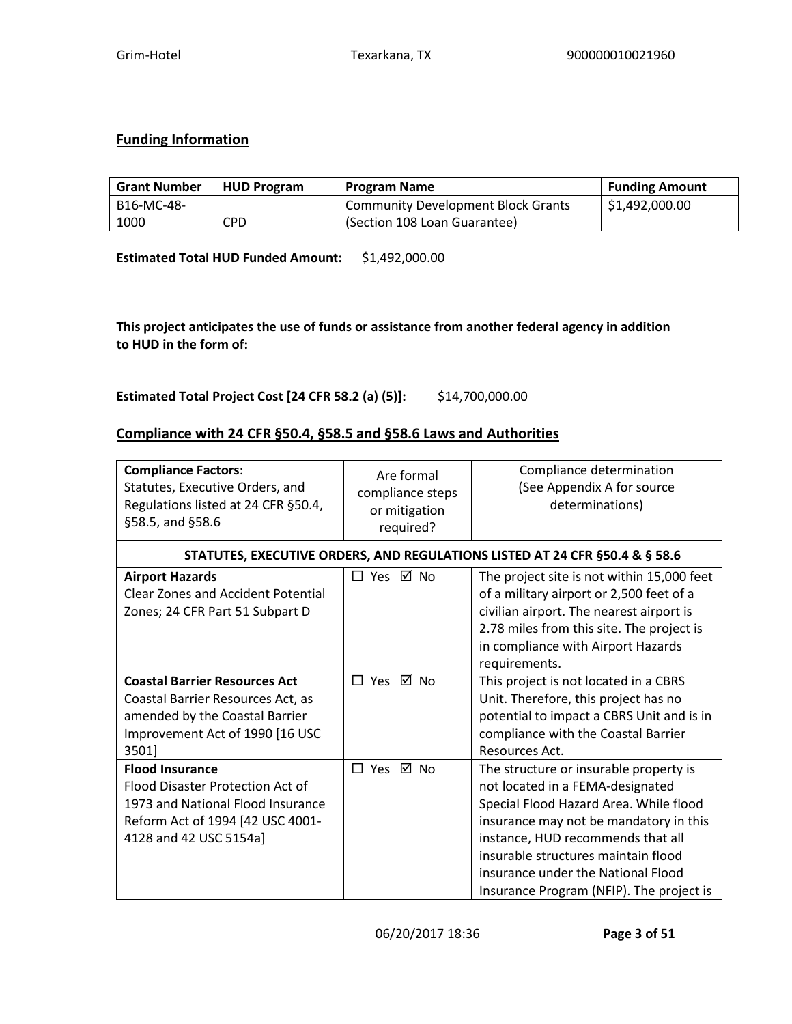### **Funding Information**

| <b>Grant Number</b> | <b>HUD Program</b> | <b>Program Name</b>                       | <b>Funding Amount</b> |
|---------------------|--------------------|-------------------------------------------|-----------------------|
| B16-MC-48-          |                    | <b>Community Development Block Grants</b> | \$1,492,000.00        |
| 1000                | CPD                | (Section 108 Loan Guarantee)              |                       |

**Estimated Total HUD Funded Amount:** \$1,492,000.00

**This project anticipates the use of funds or assistance from another federal agency in addition to HUD in the form of:**

**Estimated Total Project Cost [24 CFR 58.2 (a) (5)]:** \$14,700,000.00

### **Compliance with 24 CFR §50.4, §58.5 and §58.6 Laws and Authorities**

| <b>Compliance Factors:</b><br>Statutes, Executive Orders, and<br>Regulations listed at 24 CFR §50.4,<br>§58.5, and §58.6                                      | Are formal<br>compliance steps<br>or mitigation<br>required? | Compliance determination<br>(See Appendix A for source<br>determinations)                                                                                                                                                                                                                                                    |
|---------------------------------------------------------------------------------------------------------------------------------------------------------------|--------------------------------------------------------------|------------------------------------------------------------------------------------------------------------------------------------------------------------------------------------------------------------------------------------------------------------------------------------------------------------------------------|
|                                                                                                                                                               |                                                              | STATUTES, EXECUTIVE ORDERS, AND REGULATIONS LISTED AT 24 CFR §50.4 & § 58.6                                                                                                                                                                                                                                                  |
| <b>Airport Hazards</b><br><b>Clear Zones and Accident Potential</b><br>Zones; 24 CFR Part 51 Subpart D                                                        | □ Yes ☑ No                                                   | The project site is not within 15,000 feet<br>of a military airport or 2,500 feet of a<br>civilian airport. The nearest airport is<br>2.78 miles from this site. The project is<br>in compliance with Airport Hazards<br>requirements.                                                                                       |
| <b>Coastal Barrier Resources Act</b><br>Coastal Barrier Resources Act, as<br>amended by the Coastal Barrier<br>Improvement Act of 1990 [16 USC<br>3501]       | □ Yes ☑ No                                                   | This project is not located in a CBRS<br>Unit. Therefore, this project has no<br>potential to impact a CBRS Unit and is in<br>compliance with the Coastal Barrier<br>Resources Act.                                                                                                                                          |
| <b>Flood Insurance</b><br>Flood Disaster Protection Act of<br>1973 and National Flood Insurance<br>Reform Act of 1994 [42 USC 4001-<br>4128 and 42 USC 5154a] | □ Yes ☑ No                                                   | The structure or insurable property is<br>not located in a FEMA-designated<br>Special Flood Hazard Area. While flood<br>insurance may not be mandatory in this<br>instance, HUD recommends that all<br>insurable structures maintain flood<br>insurance under the National Flood<br>Insurance Program (NFIP). The project is |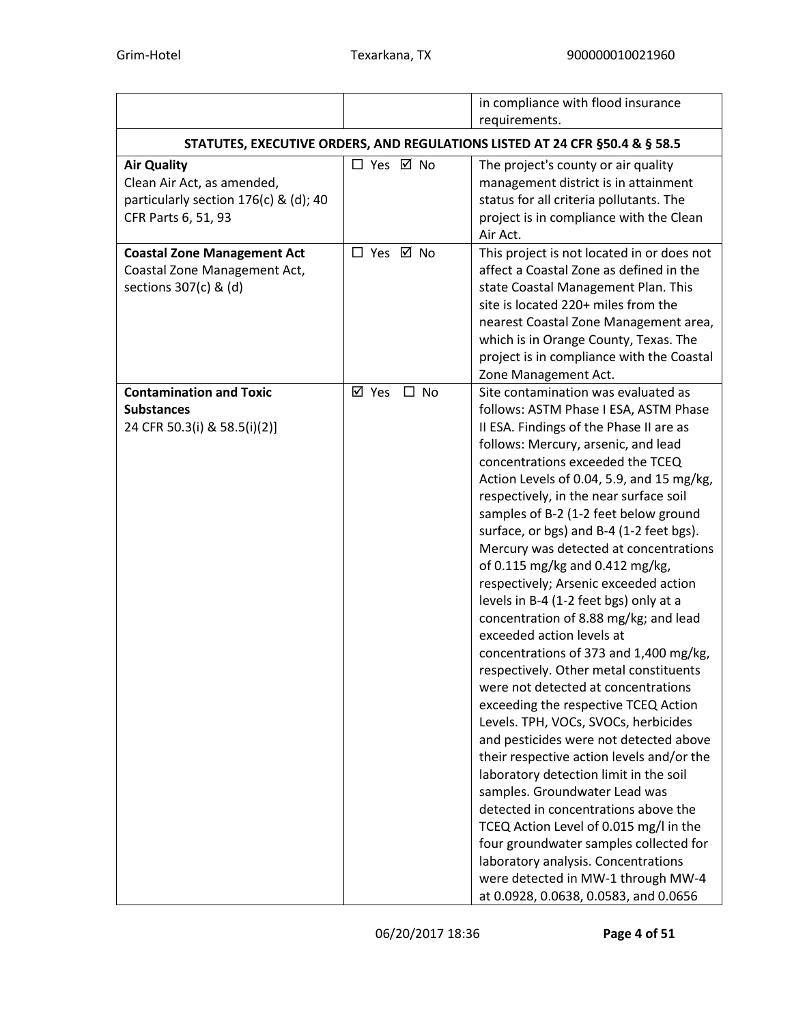|                                                                                                                  |                                                                             | in compliance with flood insurance                                                                                                                                                                                                                                                                                                                                                                                                                                                                                                                                                                                                                                                                                                                                                                                                                                                                                                                                                                                                                                                                                                                                                                                                                  |  |  |  |  |  |
|------------------------------------------------------------------------------------------------------------------|-----------------------------------------------------------------------------|-----------------------------------------------------------------------------------------------------------------------------------------------------------------------------------------------------------------------------------------------------------------------------------------------------------------------------------------------------------------------------------------------------------------------------------------------------------------------------------------------------------------------------------------------------------------------------------------------------------------------------------------------------------------------------------------------------------------------------------------------------------------------------------------------------------------------------------------------------------------------------------------------------------------------------------------------------------------------------------------------------------------------------------------------------------------------------------------------------------------------------------------------------------------------------------------------------------------------------------------------------|--|--|--|--|--|
|                                                                                                                  |                                                                             | requirements.                                                                                                                                                                                                                                                                                                                                                                                                                                                                                                                                                                                                                                                                                                                                                                                                                                                                                                                                                                                                                                                                                                                                                                                                                                       |  |  |  |  |  |
|                                                                                                                  | STATUTES, EXECUTIVE ORDERS, AND REGULATIONS LISTED AT 24 CFR §50.4 & § 58.5 |                                                                                                                                                                                                                                                                                                                                                                                                                                                                                                                                                                                                                                                                                                                                                                                                                                                                                                                                                                                                                                                                                                                                                                                                                                                     |  |  |  |  |  |
| <b>Air Quality</b><br>Clean Air Act, as amended,<br>particularly section 176(c) & (d); 40<br>CFR Parts 6, 51, 93 | □ Yes ☑ No                                                                  | The project's county or air quality<br>management district is in attainment<br>status for all criteria pollutants. The<br>project is in compliance with the Clean<br>Air Act.                                                                                                                                                                                                                                                                                                                                                                                                                                                                                                                                                                                                                                                                                                                                                                                                                                                                                                                                                                                                                                                                       |  |  |  |  |  |
| <b>Coastal Zone Management Act</b><br>Coastal Zone Management Act,<br>sections 307(c) & (d)                      | □ Yes ☑ No                                                                  | This project is not located in or does not<br>affect a Coastal Zone as defined in the<br>state Coastal Management Plan. This<br>site is located 220+ miles from the<br>nearest Coastal Zone Management area,<br>which is in Orange County, Texas. The<br>project is in compliance with the Coastal<br>Zone Management Act.                                                                                                                                                                                                                                                                                                                                                                                                                                                                                                                                                                                                                                                                                                                                                                                                                                                                                                                          |  |  |  |  |  |
| <b>Contamination and Toxic</b><br><b>Substances</b><br>24 CFR 50.3(i) & 58.5(i)(2)]                              | ⊠ Yes<br>$\square$ No                                                       | Site contamination was evaluated as<br>follows: ASTM Phase I ESA, ASTM Phase<br>II ESA. Findings of the Phase II are as<br>follows: Mercury, arsenic, and lead<br>concentrations exceeded the TCEQ<br>Action Levels of 0.04, 5.9, and 15 mg/kg,<br>respectively, in the near surface soil<br>samples of B-2 (1-2 feet below ground<br>surface, or bgs) and B-4 (1-2 feet bgs).<br>Mercury was detected at concentrations<br>of 0.115 mg/kg and 0.412 mg/kg,<br>respectively; Arsenic exceeded action<br>levels in B-4 (1-2 feet bgs) only at a<br>concentration of 8.88 mg/kg; and lead<br>exceeded action levels at<br>concentrations of 373 and 1,400 mg/kg,<br>respectively. Other metal constituents<br>were not detected at concentrations<br>exceeding the respective TCEQ Action<br>Levels. TPH, VOCs, SVOCs, herbicides<br>and pesticides were not detected above<br>their respective action levels and/or the<br>laboratory detection limit in the soil<br>samples. Groundwater Lead was<br>detected in concentrations above the<br>TCEQ Action Level of 0.015 mg/l in the<br>four groundwater samples collected for<br>laboratory analysis. Concentrations<br>were detected in MW-1 through MW-4<br>at 0.0928, 0.0638, 0.0583, and 0.0656 |  |  |  |  |  |

06/20/2017 18:36 **Page 4 of 51**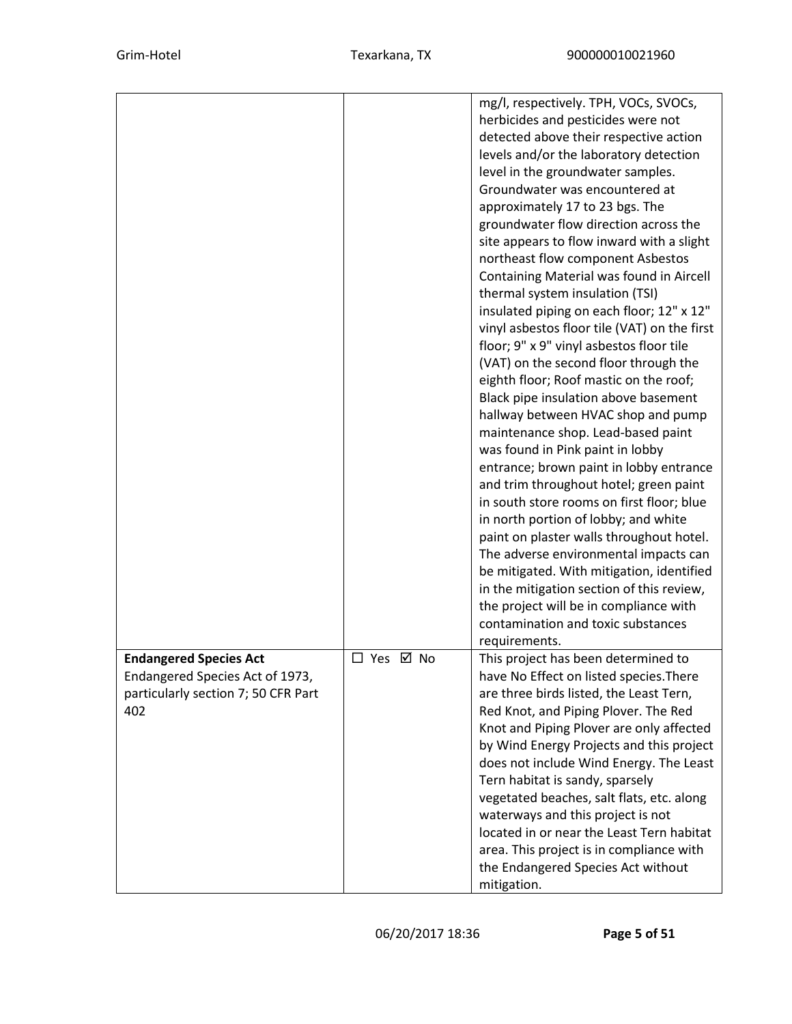|                                                                                                                |            | mg/l, respectively. TPH, VOCs, SVOCs,<br>herbicides and pesticides were not<br>detected above their respective action<br>levels and/or the laboratory detection<br>level in the groundwater samples.<br>Groundwater was encountered at<br>approximately 17 to 23 bgs. The<br>groundwater flow direction across the<br>site appears to flow inward with a slight<br>northeast flow component Asbestos<br>Containing Material was found in Aircell<br>thermal system insulation (TSI)<br>insulated piping on each floor; 12" x 12"<br>vinyl asbestos floor tile (VAT) on the first<br>floor; 9" x 9" vinyl asbestos floor tile<br>(VAT) on the second floor through the<br>eighth floor; Roof mastic on the roof;<br>Black pipe insulation above basement<br>hallway between HVAC shop and pump<br>maintenance shop. Lead-based paint<br>was found in Pink paint in lobby<br>entrance; brown paint in lobby entrance<br>and trim throughout hotel; green paint<br>in south store rooms on first floor; blue<br>in north portion of lobby; and white<br>paint on plaster walls throughout hotel.<br>The adverse environmental impacts can<br>be mitigated. With mitigation, identified<br>in the mitigation section of this review,<br>the project will be in compliance with<br>contamination and toxic substances |
|----------------------------------------------------------------------------------------------------------------|------------|------------------------------------------------------------------------------------------------------------------------------------------------------------------------------------------------------------------------------------------------------------------------------------------------------------------------------------------------------------------------------------------------------------------------------------------------------------------------------------------------------------------------------------------------------------------------------------------------------------------------------------------------------------------------------------------------------------------------------------------------------------------------------------------------------------------------------------------------------------------------------------------------------------------------------------------------------------------------------------------------------------------------------------------------------------------------------------------------------------------------------------------------------------------------------------------------------------------------------------------------------------------------------------------------------------------|
| <b>Endangered Species Act</b><br>Endangered Species Act of 1973,<br>particularly section 7; 50 CFR Part<br>402 | □ Yes ☑ No | requirements.<br>This project has been determined to<br>have No Effect on listed species. There<br>are three birds listed, the Least Tern,<br>Red Knot, and Piping Plover. The Red<br>Knot and Piping Plover are only affected<br>by Wind Energy Projects and this project<br>does not include Wind Energy. The Least<br>Tern habitat is sandy, sparsely<br>vegetated beaches, salt flats, etc. along<br>waterways and this project is not<br>located in or near the Least Tern habitat<br>area. This project is in compliance with<br>the Endangered Species Act without<br>mitigation.                                                                                                                                                                                                                                                                                                                                                                                                                                                                                                                                                                                                                                                                                                                         |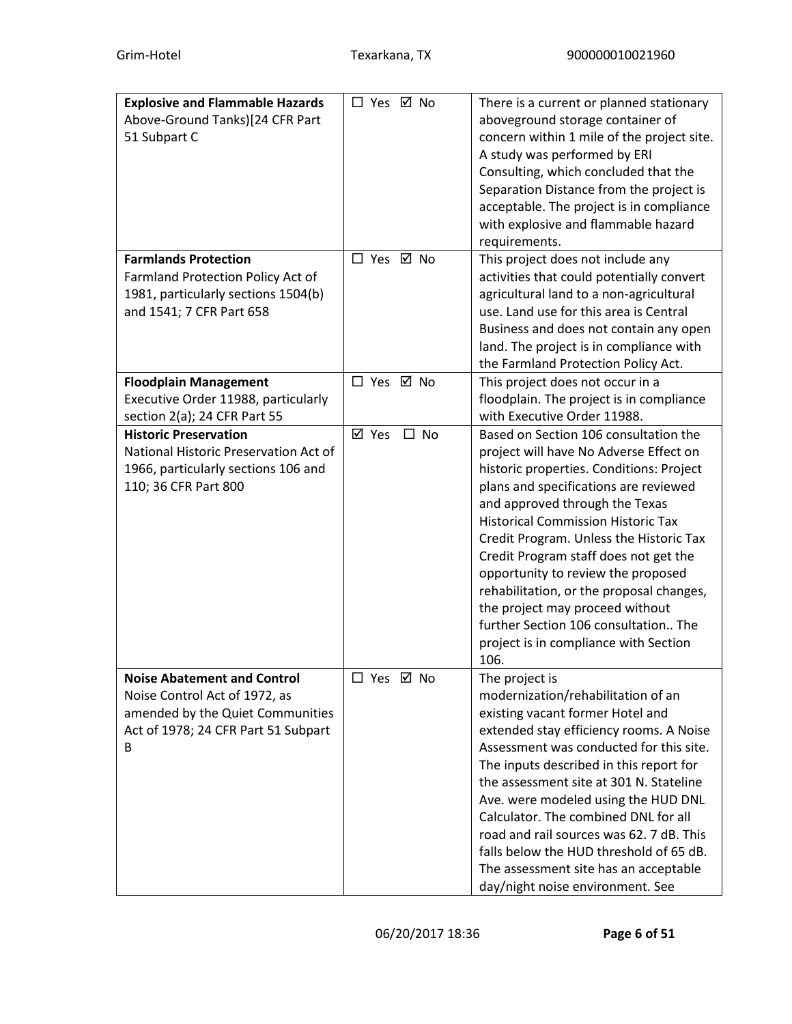| <b>Explosive and Flammable Hazards</b> | □ Yes ☑ No |           | There is a current or planned stationary   |
|----------------------------------------|------------|-----------|--------------------------------------------|
| Above-Ground Tanks)[24 CFR Part        |            |           | aboveground storage container of           |
| 51 Subpart C                           |            |           | concern within 1 mile of the project site. |
|                                        |            |           | A study was performed by ERI               |
|                                        |            |           | Consulting, which concluded that the       |
|                                        |            |           | Separation Distance from the project is    |
|                                        |            |           | acceptable. The project is in compliance   |
|                                        |            |           | with explosive and flammable hazard        |
|                                        |            |           | requirements.                              |
| <b>Farmlands Protection</b>            | □ Yes ☑ No |           | This project does not include any          |
| Farmland Protection Policy Act of      |            |           | activities that could potentially convert  |
| 1981, particularly sections 1504(b)    |            |           | agricultural land to a non-agricultural    |
| and 1541; 7 CFR Part 658               |            |           | use. Land use for this area is Central     |
|                                        |            |           | Business and does not contain any open     |
|                                        |            |           | land. The project is in compliance with    |
|                                        |            |           | the Farmland Protection Policy Act.        |
| <b>Floodplain Management</b>           | □ Yes ☑ No |           | This project does not occur in a           |
| Executive Order 11988, particularly    |            |           | floodplain. The project is in compliance   |
| section 2(a); 24 CFR Part 55           |            |           | with Executive Order 11988.                |
| <b>Historic Preservation</b>           | ⊠ Yes      | $\Box$ No | Based on Section 106 consultation the      |
| National Historic Preservation Act of  |            |           | project will have No Adverse Effect on     |
| 1966, particularly sections 106 and    |            |           | historic properties. Conditions: Project   |
| 110; 36 CFR Part 800                   |            |           | plans and specifications are reviewed      |
|                                        |            |           | and approved through the Texas             |
|                                        |            |           | <b>Historical Commission Historic Tax</b>  |
|                                        |            |           | Credit Program. Unless the Historic Tax    |
|                                        |            |           | Credit Program staff does not get the      |
|                                        |            |           | opportunity to review the proposed         |
|                                        |            |           | rehabilitation, or the proposal changes,   |
|                                        |            |           | the project may proceed without            |
|                                        |            |           | further Section 106 consultation The       |
|                                        |            |           | project is in compliance with Section      |
|                                        |            |           | 106.                                       |
| <b>Noise Abatement and Control</b>     | □ Yes ☑ No |           | The project is                             |
| Noise Control Act of 1972, as          |            |           | modernization/rehabilitation of an         |
| amended by the Quiet Communities       |            |           | existing vacant former Hotel and           |
| Act of 1978; 24 CFR Part 51 Subpart    |            |           | extended stay efficiency rooms. A Noise    |
| B                                      |            |           | Assessment was conducted for this site.    |
|                                        |            |           | The inputs described in this report for    |
|                                        |            |           | the assessment site at 301 N. Stateline    |
|                                        |            |           | Ave. were modeled using the HUD DNL        |
|                                        |            |           | Calculator. The combined DNL for all       |
|                                        |            |           | road and rail sources was 62, 7 dB. This   |
|                                        |            |           | falls below the HUD threshold of 65 dB.    |
|                                        |            |           | The assessment site has an acceptable      |
|                                        |            |           | day/night noise environment. See           |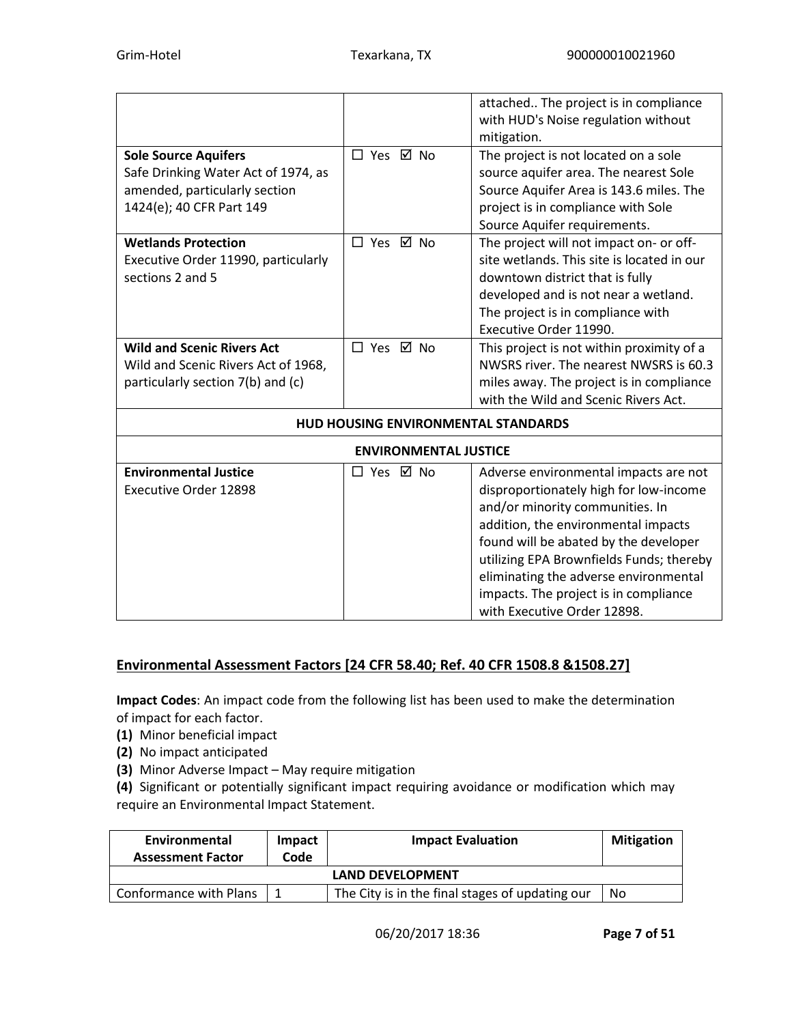|                                                                                                                                 |                                            | attached The project is in compliance<br>with HUD's Noise regulation without<br>mitigation.                                                                                                                                                                                                                                                                     |
|---------------------------------------------------------------------------------------------------------------------------------|--------------------------------------------|-----------------------------------------------------------------------------------------------------------------------------------------------------------------------------------------------------------------------------------------------------------------------------------------------------------------------------------------------------------------|
| <b>Sole Source Aquifers</b><br>Safe Drinking Water Act of 1974, as<br>amended, particularly section<br>1424(e); 40 CFR Part 149 | □ Yes ☑ No                                 | The project is not located on a sole<br>source aquifer area. The nearest Sole<br>Source Aquifer Area is 143.6 miles. The<br>project is in compliance with Sole<br>Source Aquifer requirements.                                                                                                                                                                  |
| <b>Wetlands Protection</b><br>Executive Order 11990, particularly<br>sections 2 and 5                                           | □ Yes ☑ No                                 | The project will not impact on- or off-<br>site wetlands. This site is located in our<br>downtown district that is fully<br>developed and is not near a wetland.<br>The project is in compliance with<br>Executive Order 11990.                                                                                                                                 |
| <b>Wild and Scenic Rivers Act</b><br>Wild and Scenic Rivers Act of 1968,<br>particularly section 7(b) and (c)                   | □ Yes ☑ No                                 | This project is not within proximity of a<br>NWSRS river. The nearest NWSRS is 60.3<br>miles away. The project is in compliance<br>with the Wild and Scenic Rivers Act.                                                                                                                                                                                         |
|                                                                                                                                 | <b>HUD HOUSING ENVIRONMENTAL STANDARDS</b> |                                                                                                                                                                                                                                                                                                                                                                 |
|                                                                                                                                 | <b>ENVIRONMENTAL JUSTICE</b>               |                                                                                                                                                                                                                                                                                                                                                                 |
| <b>Environmental Justice</b><br><b>Executive Order 12898</b>                                                                    | □ Yes ☑ No                                 | Adverse environmental impacts are not<br>disproportionately high for low-income<br>and/or minority communities. In<br>addition, the environmental impacts<br>found will be abated by the developer<br>utilizing EPA Brownfields Funds; thereby<br>eliminating the adverse environmental<br>impacts. The project is in compliance<br>with Executive Order 12898. |

# **Environmental Assessment Factors [24 CFR 58.40; Ref. 40 CFR 1508.8 &1508.27]**

**Impact Codes**: An impact code from the following list has been used to make the determination of impact for each factor.

- **(1)** Minor beneficial impact
- **(2)** No impact anticipated
- **(3)** Minor Adverse Impact May require mitigation

**(4)** Significant or potentially significant impact requiring avoidance or modification which may require an Environmental Impact Statement.

| Environmental<br><b>Assessment Factor</b> | Impact<br>Code | <b>Impact Evaluation</b>                        | <b>Mitigation</b> |  |  |
|-------------------------------------------|----------------|-------------------------------------------------|-------------------|--|--|
| <b>LAND DEVELOPMENT</b>                   |                |                                                 |                   |  |  |
| Conformance with Plans                    |                | The City is in the final stages of updating our | No                |  |  |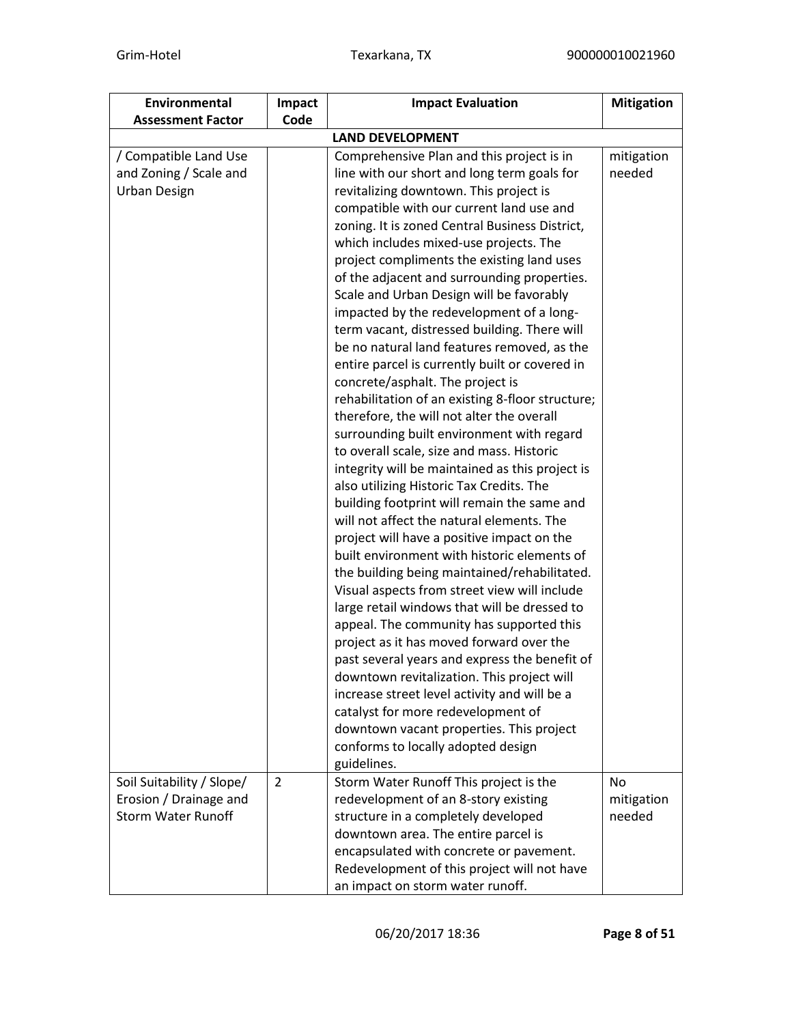| Environmental<br><b>Assessment Factor</b>                                        | Impact<br>Code | <b>Impact Evaluation</b>                                                                                                                                                                                                                                                                                                                                                                                                                                                                                                                                                                                                                                                                                                                                                                                                                                                                                                                                                                                                                                                                                                                                                                                                                                                                                                                                                                                                                                                                                                                                                                                                                                                          | <b>Mitigation</b>           |
|----------------------------------------------------------------------------------|----------------|-----------------------------------------------------------------------------------------------------------------------------------------------------------------------------------------------------------------------------------------------------------------------------------------------------------------------------------------------------------------------------------------------------------------------------------------------------------------------------------------------------------------------------------------------------------------------------------------------------------------------------------------------------------------------------------------------------------------------------------------------------------------------------------------------------------------------------------------------------------------------------------------------------------------------------------------------------------------------------------------------------------------------------------------------------------------------------------------------------------------------------------------------------------------------------------------------------------------------------------------------------------------------------------------------------------------------------------------------------------------------------------------------------------------------------------------------------------------------------------------------------------------------------------------------------------------------------------------------------------------------------------------------------------------------------------|-----------------------------|
|                                                                                  |                |                                                                                                                                                                                                                                                                                                                                                                                                                                                                                                                                                                                                                                                                                                                                                                                                                                                                                                                                                                                                                                                                                                                                                                                                                                                                                                                                                                                                                                                                                                                                                                                                                                                                                   |                             |
| / Compatible Land Use<br>and Zoning / Scale and<br><b>Urban Design</b>           |                | <b>LAND DEVELOPMENT</b><br>Comprehensive Plan and this project is in<br>line with our short and long term goals for<br>revitalizing downtown. This project is<br>compatible with our current land use and<br>zoning. It is zoned Central Business District,<br>which includes mixed-use projects. The<br>project compliments the existing land uses<br>of the adjacent and surrounding properties.<br>Scale and Urban Design will be favorably<br>impacted by the redevelopment of a long-<br>term vacant, distressed building. There will<br>be no natural land features removed, as the<br>entire parcel is currently built or covered in<br>concrete/asphalt. The project is<br>rehabilitation of an existing 8-floor structure;<br>therefore, the will not alter the overall<br>surrounding built environment with regard<br>to overall scale, size and mass. Historic<br>integrity will be maintained as this project is<br>also utilizing Historic Tax Credits. The<br>building footprint will remain the same and<br>will not affect the natural elements. The<br>project will have a positive impact on the<br>built environment with historic elements of<br>the building being maintained/rehabilitated.<br>Visual aspects from street view will include<br>large retail windows that will be dressed to<br>appeal. The community has supported this<br>project as it has moved forward over the<br>past several years and express the benefit of<br>downtown revitalization. This project will<br>increase street level activity and will be a<br>catalyst for more redevelopment of<br>downtown vacant properties. This project<br>conforms to locally adopted design | mitigation<br>needed        |
| Soil Suitability / Slope/<br>Erosion / Drainage and<br><b>Storm Water Runoff</b> | $\overline{2}$ | guidelines.<br>Storm Water Runoff This project is the<br>redevelopment of an 8-story existing<br>structure in a completely developed<br>downtown area. The entire parcel is<br>encapsulated with concrete or pavement.<br>Redevelopment of this project will not have<br>an impact on storm water runoff.                                                                                                                                                                                                                                                                                                                                                                                                                                                                                                                                                                                                                                                                                                                                                                                                                                                                                                                                                                                                                                                                                                                                                                                                                                                                                                                                                                         | No.<br>mitigation<br>needed |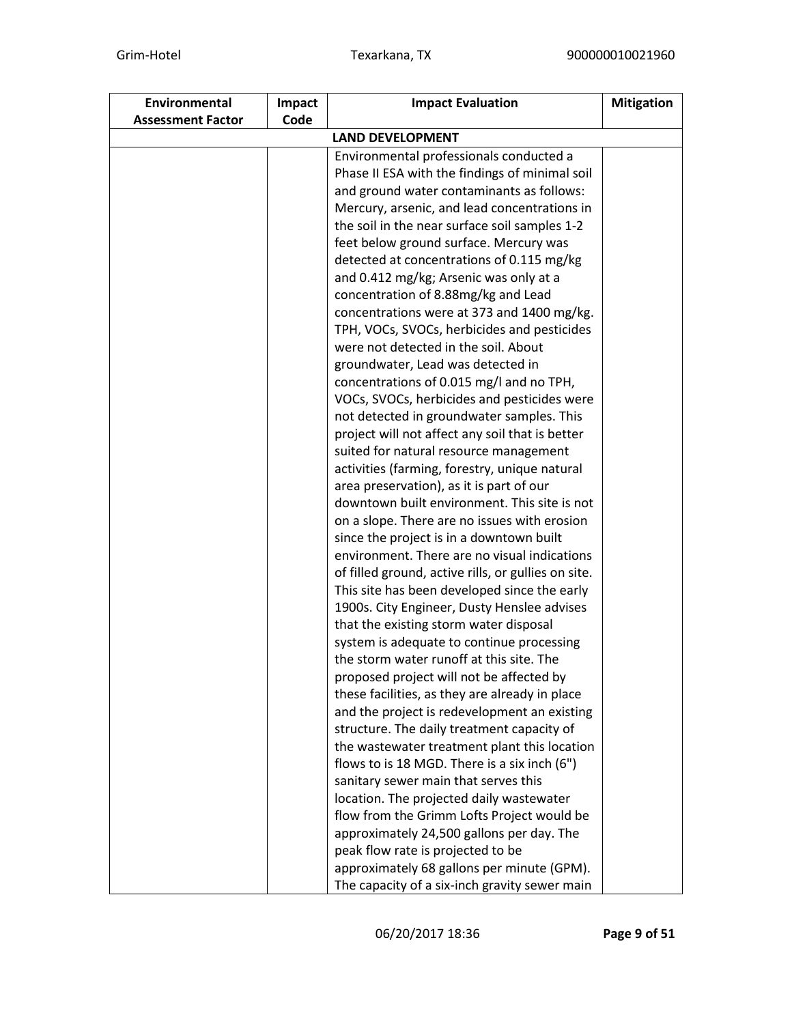| Environmental            | Impact | <b>Impact Evaluation</b>                                                                    | <b>Mitigation</b> |  |  |  |
|--------------------------|--------|---------------------------------------------------------------------------------------------|-------------------|--|--|--|
| <b>Assessment Factor</b> | Code   |                                                                                             |                   |  |  |  |
| <b>LAND DEVELOPMENT</b>  |        |                                                                                             |                   |  |  |  |
|                          |        | Environmental professionals conducted a                                                     |                   |  |  |  |
|                          |        | Phase II ESA with the findings of minimal soil                                              |                   |  |  |  |
|                          |        | and ground water contaminants as follows:                                                   |                   |  |  |  |
|                          |        | Mercury, arsenic, and lead concentrations in                                                |                   |  |  |  |
|                          |        | the soil in the near surface soil samples 1-2                                               |                   |  |  |  |
|                          |        | feet below ground surface. Mercury was                                                      |                   |  |  |  |
|                          |        | detected at concentrations of 0.115 mg/kg                                                   |                   |  |  |  |
|                          |        | and 0.412 mg/kg; Arsenic was only at a                                                      |                   |  |  |  |
|                          |        | concentration of 8.88mg/kg and Lead                                                         |                   |  |  |  |
|                          |        | concentrations were at 373 and 1400 mg/kg.                                                  |                   |  |  |  |
|                          |        | TPH, VOCs, SVOCs, herbicides and pesticides                                                 |                   |  |  |  |
|                          |        | were not detected in the soil. About                                                        |                   |  |  |  |
|                          |        | groundwater, Lead was detected in                                                           |                   |  |  |  |
|                          |        | concentrations of 0.015 mg/l and no TPH,                                                    |                   |  |  |  |
|                          |        | VOCs, SVOCs, herbicides and pesticides were                                                 |                   |  |  |  |
|                          |        | not detected in groundwater samples. This                                                   |                   |  |  |  |
|                          |        | project will not affect any soil that is better                                             |                   |  |  |  |
|                          |        | suited for natural resource management                                                      |                   |  |  |  |
|                          |        | activities (farming, forestry, unique natural                                               |                   |  |  |  |
|                          |        | area preservation), as it is part of our                                                    |                   |  |  |  |
|                          |        | downtown built environment. This site is not                                                |                   |  |  |  |
|                          |        | on a slope. There are no issues with erosion                                                |                   |  |  |  |
|                          |        | since the project is in a downtown built<br>environment. There are no visual indications    |                   |  |  |  |
|                          |        |                                                                                             |                   |  |  |  |
|                          |        | of filled ground, active rills, or gullies on site.                                         |                   |  |  |  |
|                          |        | This site has been developed since the early<br>1900s. City Engineer, Dusty Henslee advises |                   |  |  |  |
|                          |        | that the existing storm water disposal                                                      |                   |  |  |  |
|                          |        | system is adequate to continue processing                                                   |                   |  |  |  |
|                          |        | the storm water runoff at this site. The                                                    |                   |  |  |  |
|                          |        | proposed project will not be affected by                                                    |                   |  |  |  |
|                          |        | these facilities, as they are already in place                                              |                   |  |  |  |
|                          |        | and the project is redevelopment an existing                                                |                   |  |  |  |
|                          |        | structure. The daily treatment capacity of                                                  |                   |  |  |  |
|                          |        | the wastewater treatment plant this location                                                |                   |  |  |  |
|                          |        | flows to is 18 MGD. There is a six inch (6")                                                |                   |  |  |  |
|                          |        | sanitary sewer main that serves this                                                        |                   |  |  |  |
|                          |        | location. The projected daily wastewater                                                    |                   |  |  |  |
|                          |        | flow from the Grimm Lofts Project would be                                                  |                   |  |  |  |
|                          |        | approximately 24,500 gallons per day. The                                                   |                   |  |  |  |
|                          |        | peak flow rate is projected to be                                                           |                   |  |  |  |
|                          |        | approximately 68 gallons per minute (GPM).                                                  |                   |  |  |  |
|                          |        | The capacity of a six-inch gravity sewer main                                               |                   |  |  |  |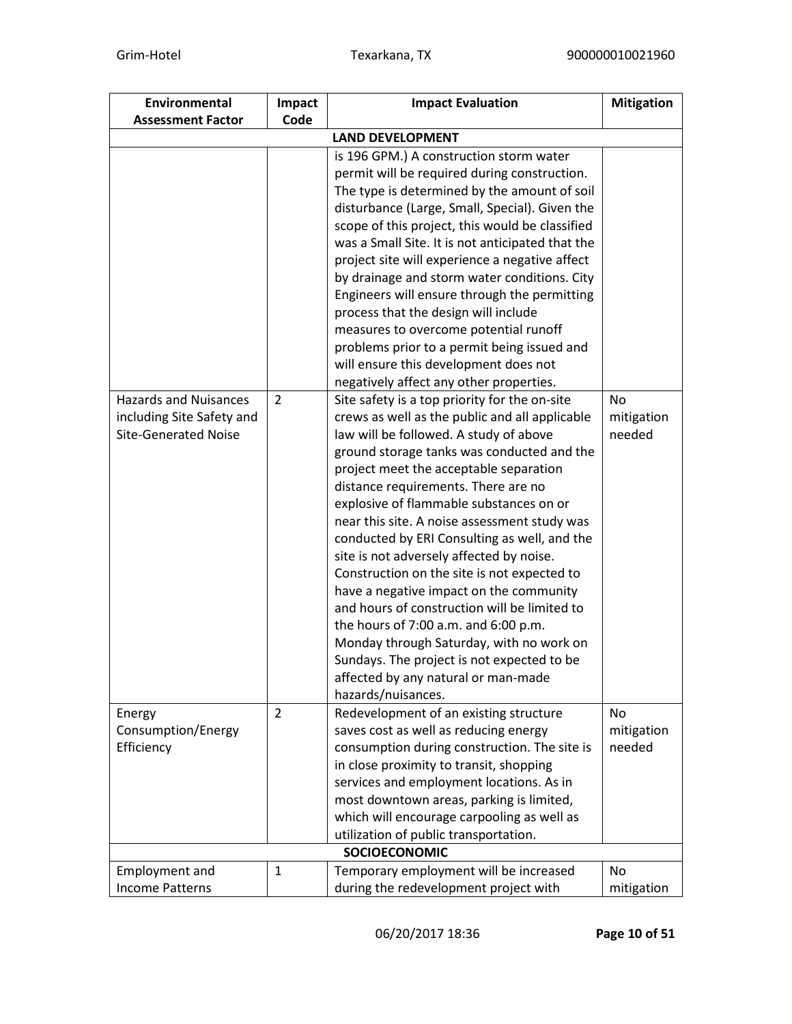| Environmental                | Impact         | <b>Impact Evaluation</b>                         | <b>Mitigation</b> |  |  |
|------------------------------|----------------|--------------------------------------------------|-------------------|--|--|
| <b>Assessment Factor</b>     | Code           |                                                  |                   |  |  |
| <b>LAND DEVELOPMENT</b>      |                |                                                  |                   |  |  |
|                              |                | is 196 GPM.) A construction storm water          |                   |  |  |
|                              |                | permit will be required during construction.     |                   |  |  |
|                              |                | The type is determined by the amount of soil     |                   |  |  |
|                              |                | disturbance (Large, Small, Special). Given the   |                   |  |  |
|                              |                | scope of this project, this would be classified  |                   |  |  |
|                              |                | was a Small Site. It is not anticipated that the |                   |  |  |
|                              |                | project site will experience a negative affect   |                   |  |  |
|                              |                | by drainage and storm water conditions. City     |                   |  |  |
|                              |                | Engineers will ensure through the permitting     |                   |  |  |
|                              |                | process that the design will include             |                   |  |  |
|                              |                | measures to overcome potential runoff            |                   |  |  |
|                              |                | problems prior to a permit being issued and      |                   |  |  |
|                              |                | will ensure this development does not            |                   |  |  |
|                              |                | negatively affect any other properties.          |                   |  |  |
| <b>Hazards and Nuisances</b> | $\overline{2}$ | Site safety is a top priority for the on-site    | No                |  |  |
| including Site Safety and    |                | crews as well as the public and all applicable   | mitigation        |  |  |
| <b>Site-Generated Noise</b>  |                | law will be followed. A study of above           | needed            |  |  |
|                              |                | ground storage tanks was conducted and the       |                   |  |  |
|                              |                | project meet the acceptable separation           |                   |  |  |
|                              |                | distance requirements. There are no              |                   |  |  |
|                              |                | explosive of flammable substances on or          |                   |  |  |
|                              |                | near this site. A noise assessment study was     |                   |  |  |
|                              |                | conducted by ERI Consulting as well, and the     |                   |  |  |
|                              |                | site is not adversely affected by noise.         |                   |  |  |
|                              |                | Construction on the site is not expected to      |                   |  |  |
|                              |                | have a negative impact on the community          |                   |  |  |
|                              |                | and hours of construction will be limited to     |                   |  |  |
|                              |                | the hours of 7:00 a.m. and 6:00 p.m.             |                   |  |  |
|                              |                | Monday through Saturday, with no work on         |                   |  |  |
|                              |                | Sundays. The project is not expected to be       |                   |  |  |
|                              |                | affected by any natural or man-made              |                   |  |  |
|                              |                | hazards/nuisances.                               |                   |  |  |
| Energy                       | $\overline{2}$ | Redevelopment of an existing structure           | No                |  |  |
| Consumption/Energy           |                | saves cost as well as reducing energy            | mitigation        |  |  |
| Efficiency                   |                | consumption during construction. The site is     | needed            |  |  |
|                              |                | in close proximity to transit, shopping          |                   |  |  |
|                              |                | services and employment locations. As in         |                   |  |  |
|                              |                | most downtown areas, parking is limited,         |                   |  |  |
|                              |                | which will encourage carpooling as well as       |                   |  |  |
|                              |                | utilization of public transportation.            |                   |  |  |
|                              |                | <b>SOCIOECONOMIC</b>                             |                   |  |  |
| <b>Employment and</b>        | 1              | Temporary employment will be increased           | No.               |  |  |
| <b>Income Patterns</b>       |                | during the redevelopment project with            | mitigation        |  |  |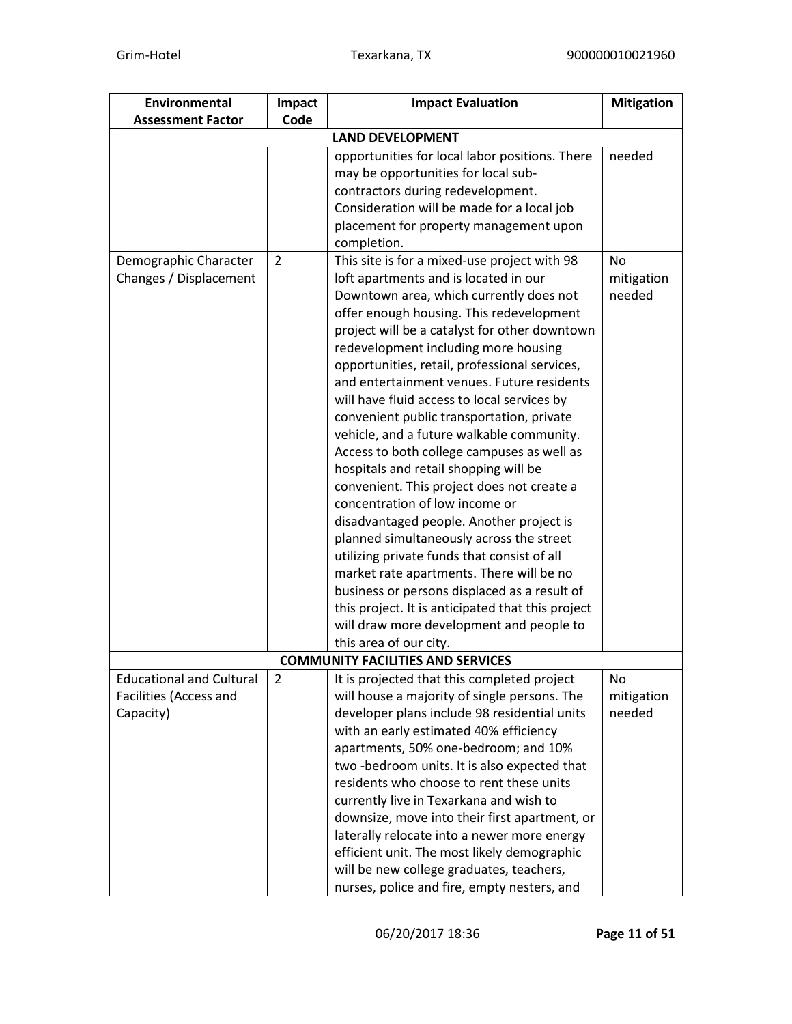| Environmental                   | Impact         | <b>Impact Evaluation</b>                          | <b>Mitigation</b> |  |
|---------------------------------|----------------|---------------------------------------------------|-------------------|--|
| <b>Assessment Factor</b>        | Code           |                                                   |                   |  |
| <b>LAND DEVELOPMENT</b>         |                |                                                   |                   |  |
|                                 |                | opportunities for local labor positions. There    | needed            |  |
|                                 |                | may be opportunities for local sub-               |                   |  |
|                                 |                | contractors during redevelopment.                 |                   |  |
|                                 |                | Consideration will be made for a local job        |                   |  |
|                                 |                | placement for property management upon            |                   |  |
|                                 |                | completion.                                       |                   |  |
| Demographic Character           | 2              | This site is for a mixed-use project with 98      | No                |  |
| Changes / Displacement          |                | loft apartments and is located in our             | mitigation        |  |
|                                 |                | Downtown area, which currently does not           | needed            |  |
|                                 |                | offer enough housing. This redevelopment          |                   |  |
|                                 |                | project will be a catalyst for other downtown     |                   |  |
|                                 |                | redevelopment including more housing              |                   |  |
|                                 |                | opportunities, retail, professional services,     |                   |  |
|                                 |                | and entertainment venues. Future residents        |                   |  |
|                                 |                | will have fluid access to local services by       |                   |  |
|                                 |                | convenient public transportation, private         |                   |  |
|                                 |                | vehicle, and a future walkable community.         |                   |  |
|                                 |                | Access to both college campuses as well as        |                   |  |
|                                 |                | hospitals and retail shopping will be             |                   |  |
|                                 |                | convenient. This project does not create a        |                   |  |
|                                 |                | concentration of low income or                    |                   |  |
|                                 |                | disadvantaged people. Another project is          |                   |  |
|                                 |                | planned simultaneously across the street          |                   |  |
|                                 |                | utilizing private funds that consist of all       |                   |  |
|                                 |                | market rate apartments. There will be no          |                   |  |
|                                 |                | business or persons displaced as a result of      |                   |  |
|                                 |                | this project. It is anticipated that this project |                   |  |
|                                 |                | will draw more development and people to          |                   |  |
|                                 |                | this area of our city.                            |                   |  |
|                                 |                | <b>COMMUNITY FACILITIES AND SERVICES</b>          |                   |  |
| <b>Educational and Cultural</b> | $\overline{2}$ | It is projected that this completed project       | No                |  |
| Facilities (Access and          |                | will house a majority of single persons. The      | mitigation        |  |
| Capacity)                       |                | developer plans include 98 residential units      | needed            |  |
|                                 |                | with an early estimated 40% efficiency            |                   |  |
|                                 |                | apartments, 50% one-bedroom; and 10%              |                   |  |
|                                 |                | two-bedroom units. It is also expected that       |                   |  |
|                                 |                | residents who choose to rent these units          |                   |  |
|                                 |                | currently live in Texarkana and wish to           |                   |  |
|                                 |                | downsize, move into their first apartment, or     |                   |  |
|                                 |                | laterally relocate into a newer more energy       |                   |  |
|                                 |                | efficient unit. The most likely demographic       |                   |  |
|                                 |                | will be new college graduates, teachers,          |                   |  |
|                                 |                | nurses, police and fire, empty nesters, and       |                   |  |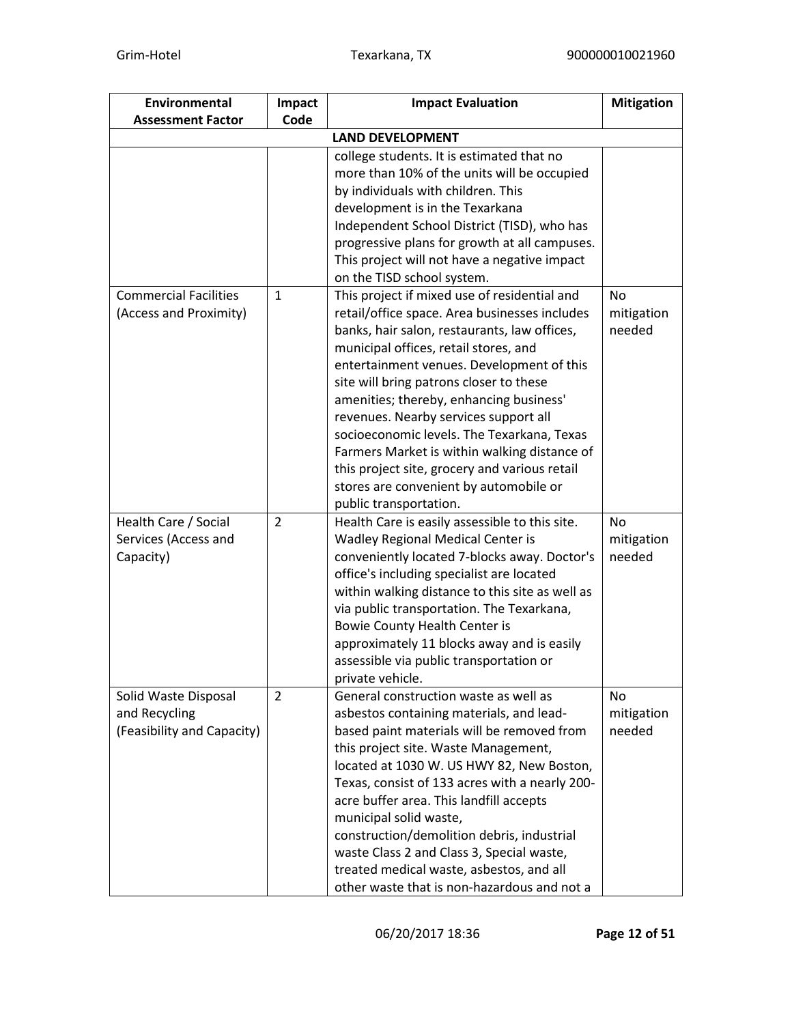| Environmental                | Impact       | <b>Impact Evaluation</b>                        | <b>Mitigation</b> |  |
|------------------------------|--------------|-------------------------------------------------|-------------------|--|
| <b>Assessment Factor</b>     | Code         |                                                 |                   |  |
| <b>LAND DEVELOPMENT</b>      |              |                                                 |                   |  |
|                              |              | college students. It is estimated that no       |                   |  |
|                              |              | more than 10% of the units will be occupied     |                   |  |
|                              |              | by individuals with children. This              |                   |  |
|                              |              | development is in the Texarkana                 |                   |  |
|                              |              | Independent School District (TISD), who has     |                   |  |
|                              |              | progressive plans for growth at all campuses.   |                   |  |
|                              |              | This project will not have a negative impact    |                   |  |
|                              |              | on the TISD school system.                      |                   |  |
| <b>Commercial Facilities</b> | $\mathbf{1}$ | This project if mixed use of residential and    | <b>No</b>         |  |
| (Access and Proximity)       |              | retail/office space. Area businesses includes   | mitigation        |  |
|                              |              | banks, hair salon, restaurants, law offices,    | needed            |  |
|                              |              | municipal offices, retail stores, and           |                   |  |
|                              |              | entertainment venues. Development of this       |                   |  |
|                              |              | site will bring patrons closer to these         |                   |  |
|                              |              | amenities; thereby, enhancing business'         |                   |  |
|                              |              | revenues. Nearby services support all           |                   |  |
|                              |              | socioeconomic levels. The Texarkana, Texas      |                   |  |
|                              |              | Farmers Market is within walking distance of    |                   |  |
|                              |              | this project site, grocery and various retail   |                   |  |
|                              |              | stores are convenient by automobile or          |                   |  |
|                              |              | public transportation.                          |                   |  |
| Health Care / Social         | 2            | Health Care is easily assessible to this site.  | <b>No</b>         |  |
| Services (Access and         |              | Wadley Regional Medical Center is               | mitigation        |  |
| Capacity)                    |              | conveniently located 7-blocks away. Doctor's    | needed            |  |
|                              |              | office's including specialist are located       |                   |  |
|                              |              | within walking distance to this site as well as |                   |  |
|                              |              | via public transportation. The Texarkana,       |                   |  |
|                              |              | <b>Bowie County Health Center is</b>            |                   |  |
|                              |              | approximately 11 blocks away and is easily      |                   |  |
|                              |              | assessible via public transportation or         |                   |  |
|                              |              | private vehicle.                                |                   |  |
| Solid Waste Disposal         | 2            | General construction waste as well as           | No                |  |
| and Recycling                |              | asbestos containing materials, and lead-        | mitigation        |  |
| (Feasibility and Capacity)   |              | based paint materials will be removed from      | needed            |  |
|                              |              | this project site. Waste Management,            |                   |  |
|                              |              | located at 1030 W. US HWY 82, New Boston,       |                   |  |
|                              |              | Texas, consist of 133 acres with a nearly 200-  |                   |  |
|                              |              | acre buffer area. This landfill accepts         |                   |  |
|                              |              | municipal solid waste,                          |                   |  |
|                              |              | construction/demolition debris, industrial      |                   |  |
|                              |              | waste Class 2 and Class 3, Special waste,       |                   |  |
|                              |              | treated medical waste, asbestos, and all        |                   |  |
|                              |              | other waste that is non-hazardous and not a     |                   |  |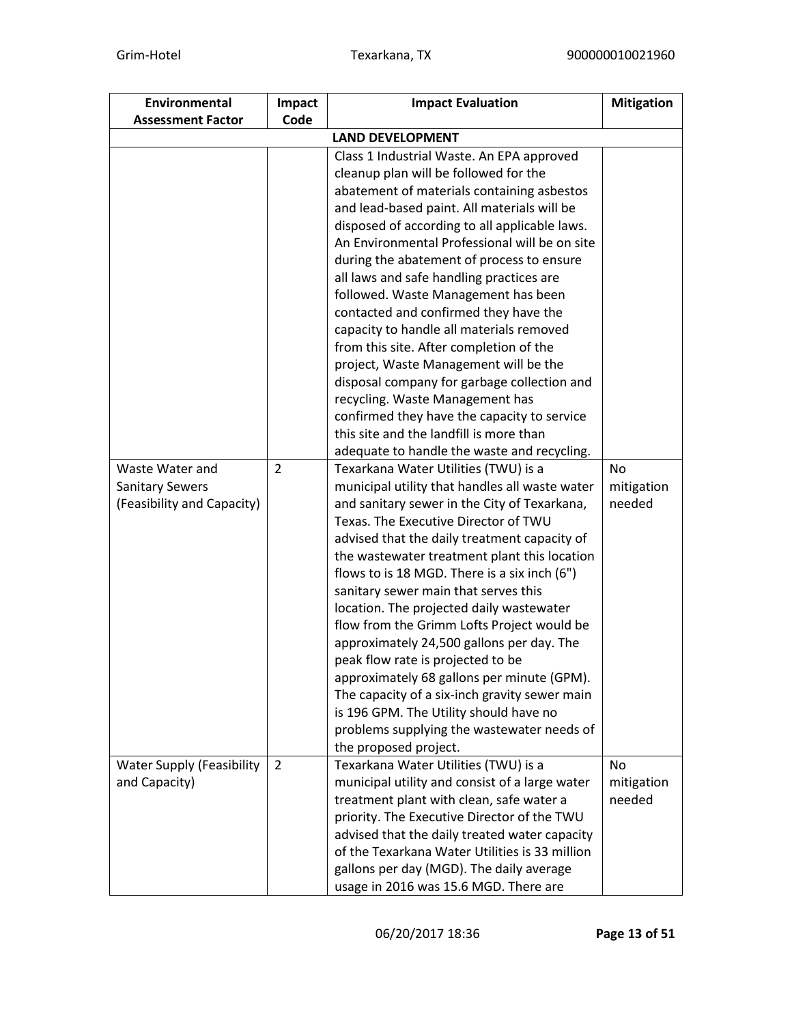| Environmental                    | Impact         | <b>Impact Evaluation</b><br><b>Mitigation</b>                                                |            |  |
|----------------------------------|----------------|----------------------------------------------------------------------------------------------|------------|--|
| <b>Assessment Factor</b>         | Code           |                                                                                              |            |  |
| <b>LAND DEVELOPMENT</b>          |                |                                                                                              |            |  |
|                                  |                | Class 1 Industrial Waste. An EPA approved                                                    |            |  |
|                                  |                | cleanup plan will be followed for the                                                        |            |  |
|                                  |                | abatement of materials containing asbestos                                                   |            |  |
|                                  |                | and lead-based paint. All materials will be                                                  |            |  |
|                                  |                | disposed of according to all applicable laws.                                                |            |  |
|                                  |                | An Environmental Professional will be on site                                                |            |  |
|                                  |                | during the abatement of process to ensure                                                    |            |  |
|                                  |                | all laws and safe handling practices are                                                     |            |  |
|                                  |                | followed. Waste Management has been                                                          |            |  |
|                                  |                | contacted and confirmed they have the                                                        |            |  |
|                                  |                | capacity to handle all materials removed                                                     |            |  |
|                                  |                | from this site. After completion of the                                                      |            |  |
|                                  |                | project, Waste Management will be the                                                        |            |  |
|                                  |                | disposal company for garbage collection and                                                  |            |  |
|                                  |                | recycling. Waste Management has                                                              |            |  |
|                                  |                | confirmed they have the capacity to service                                                  |            |  |
|                                  |                | this site and the landfill is more than                                                      |            |  |
|                                  |                | adequate to handle the waste and recycling.                                                  |            |  |
| Waste Water and                  | $\overline{2}$ | Texarkana Water Utilities (TWU) is a                                                         | <b>No</b>  |  |
| <b>Sanitary Sewers</b>           |                | municipal utility that handles all waste water                                               | mitigation |  |
| (Feasibility and Capacity)       |                | and sanitary sewer in the City of Texarkana,                                                 | needed     |  |
|                                  |                | Texas. The Executive Director of TWU                                                         |            |  |
|                                  |                | advised that the daily treatment capacity of                                                 |            |  |
|                                  |                | the wastewater treatment plant this location<br>flows to is 18 MGD. There is a six inch (6") |            |  |
|                                  |                | sanitary sewer main that serves this                                                         |            |  |
|                                  |                | location. The projected daily wastewater                                                     |            |  |
|                                  |                | flow from the Grimm Lofts Project would be                                                   |            |  |
|                                  |                | approximately 24,500 gallons per day. The                                                    |            |  |
|                                  |                | peak flow rate is projected to be                                                            |            |  |
|                                  |                | approximately 68 gallons per minute (GPM).                                                   |            |  |
|                                  |                | The capacity of a six-inch gravity sewer main                                                |            |  |
|                                  |                | is 196 GPM. The Utility should have no                                                       |            |  |
|                                  |                | problems supplying the wastewater needs of                                                   |            |  |
|                                  |                | the proposed project.                                                                        |            |  |
| <b>Water Supply (Feasibility</b> | $\overline{2}$ | Texarkana Water Utilities (TWU) is a                                                         | No         |  |
| and Capacity)                    |                | municipal utility and consist of a large water                                               | mitigation |  |
|                                  |                | treatment plant with clean, safe water a                                                     | needed     |  |
|                                  |                | priority. The Executive Director of the TWU                                                  |            |  |
|                                  |                | advised that the daily treated water capacity                                                |            |  |
|                                  |                | of the Texarkana Water Utilities is 33 million                                               |            |  |
|                                  |                | gallons per day (MGD). The daily average                                                     |            |  |
|                                  |                | usage in 2016 was 15.6 MGD. There are                                                        |            |  |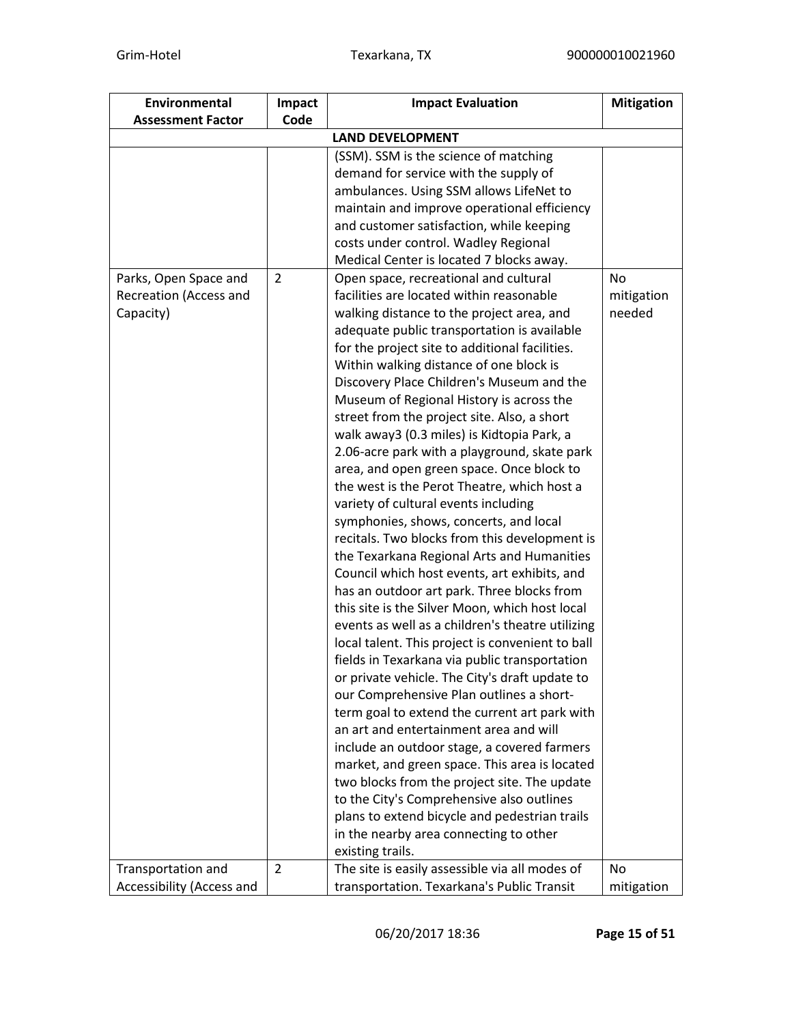| Environmental             | Impact         | <b>Impact Evaluation</b>                         | <b>Mitigation</b> |  |
|---------------------------|----------------|--------------------------------------------------|-------------------|--|
| <b>Assessment Factor</b>  | Code           |                                                  |                   |  |
| <b>LAND DEVELOPMENT</b>   |                |                                                  |                   |  |
|                           |                | (SSM). SSM is the science of matching            |                   |  |
|                           |                | demand for service with the supply of            |                   |  |
|                           |                | ambulances. Using SSM allows LifeNet to          |                   |  |
|                           |                | maintain and improve operational efficiency      |                   |  |
|                           |                | and customer satisfaction, while keeping         |                   |  |
|                           |                | costs under control. Wadley Regional             |                   |  |
|                           |                | Medical Center is located 7 blocks away.         |                   |  |
| Parks, Open Space and     | 2              | Open space, recreational and cultural            | No                |  |
| Recreation (Access and    |                | facilities are located within reasonable         | mitigation        |  |
| Capacity)                 |                | walking distance to the project area, and        | needed            |  |
|                           |                | adequate public transportation is available      |                   |  |
|                           |                | for the project site to additional facilities.   |                   |  |
|                           |                | Within walking distance of one block is          |                   |  |
|                           |                | Discovery Place Children's Museum and the        |                   |  |
|                           |                | Museum of Regional History is across the         |                   |  |
|                           |                | street from the project site. Also, a short      |                   |  |
|                           |                | walk away3 (0.3 miles) is Kidtopia Park, a       |                   |  |
|                           |                | 2.06-acre park with a playground, skate park     |                   |  |
|                           |                | area, and open green space. Once block to        |                   |  |
|                           |                | the west is the Perot Theatre, which host a      |                   |  |
|                           |                | variety of cultural events including             |                   |  |
|                           |                | symphonies, shows, concerts, and local           |                   |  |
|                           |                | recitals. Two blocks from this development is    |                   |  |
|                           |                | the Texarkana Regional Arts and Humanities       |                   |  |
|                           |                | Council which host events, art exhibits, and     |                   |  |
|                           |                | has an outdoor art park. Three blocks from       |                   |  |
|                           |                | this site is the Silver Moon, which host local   |                   |  |
|                           |                | events as well as a children's theatre utilizing |                   |  |
|                           |                | local talent. This project is convenient to ball |                   |  |
|                           |                | fields in Texarkana via public transportation    |                   |  |
|                           |                | or private vehicle. The City's draft update to   |                   |  |
|                           |                | our Comprehensive Plan outlines a short-         |                   |  |
|                           |                | term goal to extend the current art park with    |                   |  |
|                           |                | an art and entertainment area and will           |                   |  |
|                           |                | include an outdoor stage, a covered farmers      |                   |  |
|                           |                | market, and green space. This area is located    |                   |  |
|                           |                | two blocks from the project site. The update     |                   |  |
|                           |                | to the City's Comprehensive also outlines        |                   |  |
|                           |                | plans to extend bicycle and pedestrian trails    |                   |  |
|                           |                | in the nearby area connecting to other           |                   |  |
|                           |                | existing trails.                                 |                   |  |
| Transportation and        | $\overline{2}$ | The site is easily assessible via all modes of   | No.               |  |
| Accessibility (Access and |                | transportation. Texarkana's Public Transit       | mitigation        |  |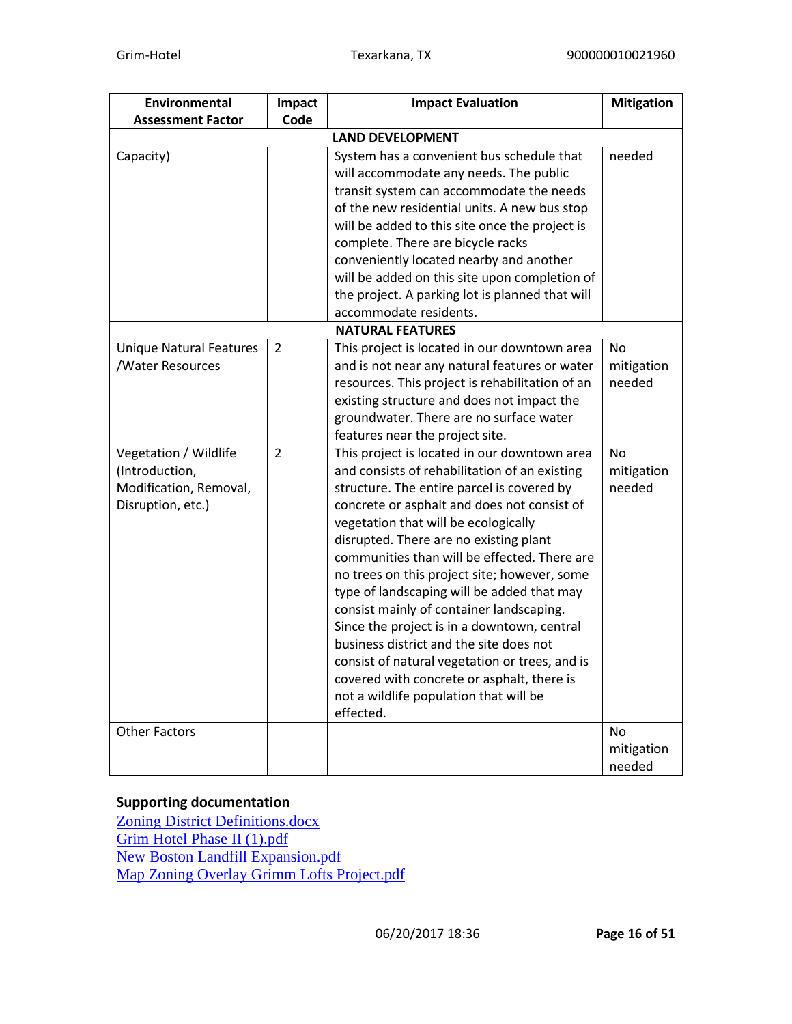| <b>Environmental</b>                                                                   | Impact         | <b>Impact Evaluation</b>                                                                                                                                                                                                                                                                                                                                                                                                                                                                                                                                                                                                                                                                                                | <b>Mitigation</b>          |
|----------------------------------------------------------------------------------------|----------------|-------------------------------------------------------------------------------------------------------------------------------------------------------------------------------------------------------------------------------------------------------------------------------------------------------------------------------------------------------------------------------------------------------------------------------------------------------------------------------------------------------------------------------------------------------------------------------------------------------------------------------------------------------------------------------------------------------------------------|----------------------------|
| <b>Assessment Factor</b>                                                               | Code           |                                                                                                                                                                                                                                                                                                                                                                                                                                                                                                                                                                                                                                                                                                                         |                            |
|                                                                                        |                | <b>LAND DEVELOPMENT</b>                                                                                                                                                                                                                                                                                                                                                                                                                                                                                                                                                                                                                                                                                                 |                            |
| Capacity)                                                                              |                | System has a convenient bus schedule that<br>will accommodate any needs. The public<br>transit system can accommodate the needs<br>of the new residential units. A new bus stop<br>will be added to this site once the project is<br>complete. There are bicycle racks<br>conveniently located nearby and another<br>will be added on this site upon completion of<br>the project. A parking lot is planned that will                                                                                                                                                                                                                                                                                                   | needed                     |
|                                                                                        |                | accommodate residents.                                                                                                                                                                                                                                                                                                                                                                                                                                                                                                                                                                                                                                                                                                  |                            |
|                                                                                        |                | <b>NATURAL FEATURES</b>                                                                                                                                                                                                                                                                                                                                                                                                                                                                                                                                                                                                                                                                                                 |                            |
| <b>Unique Natural Features</b><br>/Water Resources                                     | 2              | This project is located in our downtown area<br>and is not near any natural features or water<br>resources. This project is rehabilitation of an<br>existing structure and does not impact the<br>groundwater. There are no surface water<br>features near the project site.                                                                                                                                                                                                                                                                                                                                                                                                                                            | No<br>mitigation<br>needed |
| Vegetation / Wildlife<br>(Introduction,<br>Modification, Removal,<br>Disruption, etc.) | $\overline{2}$ | This project is located in our downtown area<br>and consists of rehabilitation of an existing<br>structure. The entire parcel is covered by<br>concrete or asphalt and does not consist of<br>vegetation that will be ecologically<br>disrupted. There are no existing plant<br>communities than will be effected. There are<br>no trees on this project site; however, some<br>type of landscaping will be added that may<br>consist mainly of container landscaping.<br>Since the project is in a downtown, central<br>business district and the site does not<br>consist of natural vegetation or trees, and is<br>covered with concrete or asphalt, there is<br>not a wildlife population that will be<br>effected. | No<br>mitigation<br>needed |
| <b>Other Factors</b>                                                                   |                |                                                                                                                                                                                                                                                                                                                                                                                                                                                                                                                                                                                                                                                                                                                         | No<br>mitigation<br>needed |

### **Supporting documentation**

[Zoning District Definitions.docx](https://heros.hud.gov/heros/faces/downloadFile.xhtml?erUploadId=900000010091329) [Grim Hotel Phase II \(1\).pdf](https://heros.hud.gov/heros/faces/downloadFile.xhtml?erUploadId=900000010091318) [New Boston Landfill Expansion.pdf](https://heros.hud.gov/heros/faces/downloadFile.xhtml?erUploadId=900000010091311) [Map Zoning Overlay Grimm Lofts Project.pdf](https://heros.hud.gov/heros/faces/downloadFile.xhtml?erUploadId=900000010091309)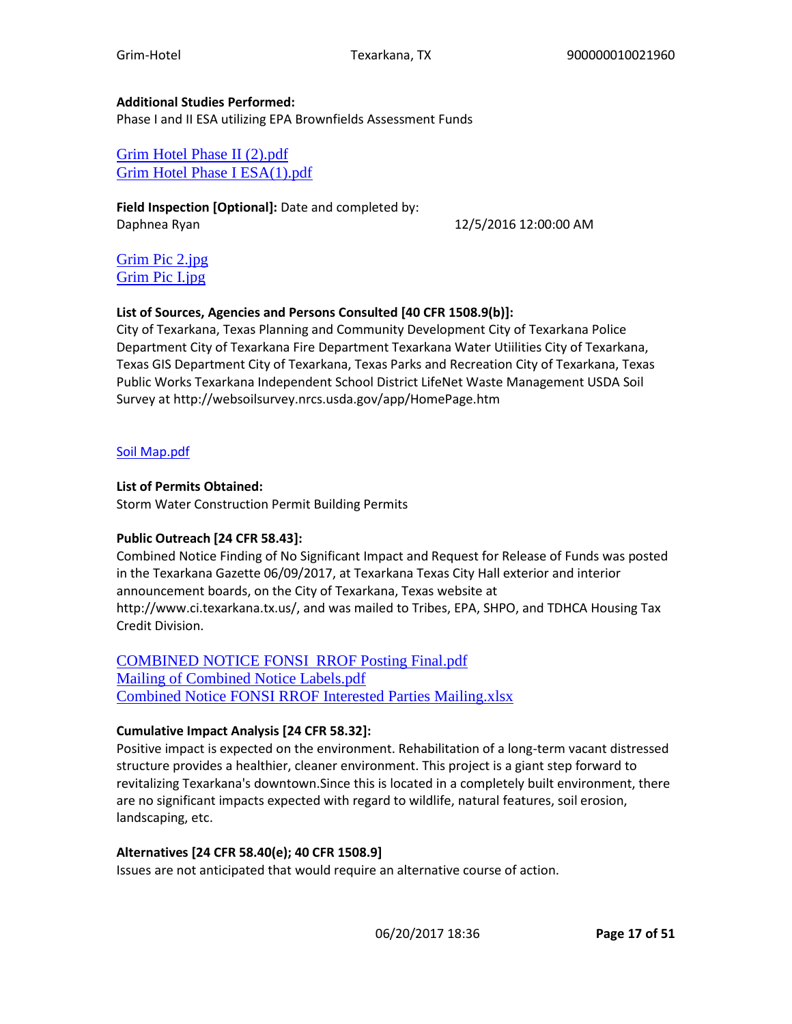#### **Additional Studies Performed:**

Phase I and II ESA utilizing EPA Brownfields Assessment Funds

[Grim Hotel Phase II \(2\).pdf](https://heros.hud.gov/heros/faces/downloadFile.xhtml?erUploadId=900000010091375) [Grim Hotel Phase I ESA\(1\).pdf](https://heros.hud.gov/heros/faces/downloadFile.xhtml?erUploadId=900000010091374)

**Field Inspection [Optional]:** Date and completed by: Daphnea Ryan 12/5/2016 12:00:00 AM

[Grim Pic 2.jpg](https://heros.hud.gov/heros/faces/downloadFile.xhtml?erUploadId=900000010058169) [Grim Pic I.jpg](https://heros.hud.gov/heros/faces/downloadFile.xhtml?erUploadId=900000010058168)

#### **List of Sources, Agencies and Persons Consulted [40 CFR 1508.9(b)]:**

City of Texarkana, Texas Planning and Community Development City of Texarkana Police Department City of Texarkana Fire Department Texarkana Water Utiilities City of Texarkana, Texas GIS Department City of Texarkana, Texas Parks and Recreation City of Texarkana, Texas Public Works Texarkana Independent School District LifeNet Waste Management USDA Soil Survey at http://websoilsurvey.nrcs.usda.gov/app/HomePage.htm

#### [Soil Map.pdf](https://heros.hud.gov/heros/faces/downloadFile.xhtml?erUploadId=900000010092587)

#### **List of Permits Obtained:**

Storm Water Construction Permit Building Permits

#### **Public Outreach [24 CFR 58.43]:**

Combined Notice Finding of No Significant Impact and Request for Release of Funds was posted in the Texarkana Gazette 06/09/2017, at Texarkana Texas City Hall exterior and interior announcement boards, on the City of Texarkana, Texas website at http://www.ci.texarkana.tx.us/, and was mailed to Tribes, EPA, SHPO, and TDHCA Housing Tax Credit Division.

[COMBINED NOTICE FONSI RROF Posting Final.pdf](https://heros.hud.gov/heros/faces/downloadFile.xhtml?erUploadId=900000010093551) [Mailing of Combined Notice Labels.pdf](https://heros.hud.gov/heros/faces/downloadFile.xhtml?erUploadId=900000010092595) [Combined Notice FONSI RROF Interested Parties Mailing.xlsx](https://heros.hud.gov/heros/faces/downloadFile.xhtml?erUploadId=900000010092535)

#### **Cumulative Impact Analysis [24 CFR 58.32]:**

Positive impact is expected on the environment. Rehabilitation of a long-term vacant distressed structure provides a healthier, cleaner environment. This project is a giant step forward to revitalizing Texarkana's downtown.Since this is located in a completely built environment, there are no significant impacts expected with regard to wildlife, natural features, soil erosion, landscaping, etc.

### **Alternatives [24 CFR 58.40(e); 40 CFR 1508.9]**

Issues are not anticipated that would require an alternative course of action.

06/20/2017 18:36 **Page 17 of 51**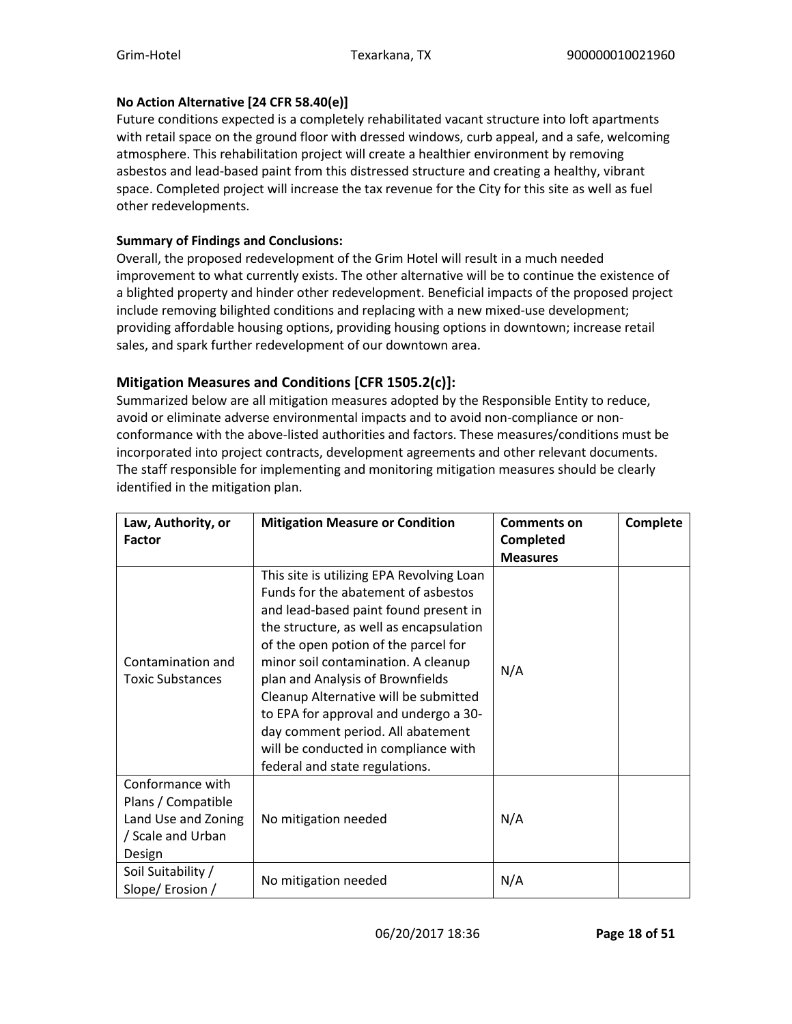#### **No Action Alternative [24 CFR 58.40(e)]**

Future conditions expected is a completely rehabilitated vacant structure into loft apartments with retail space on the ground floor with dressed windows, curb appeal, and a safe, welcoming atmosphere. This rehabilitation project will create a healthier environment by removing asbestos and lead-based paint from this distressed structure and creating a healthy, vibrant space. Completed project will increase the tax revenue for the City for this site as well as fuel other redevelopments.

### **Summary of Findings and Conclusions:**

Overall, the proposed redevelopment of the Grim Hotel will result in a much needed improvement to what currently exists. The other alternative will be to continue the existence of a blighted property and hinder other redevelopment. Beneficial impacts of the proposed project include removing bilighted conditions and replacing with a new mixed-use development; providing affordable housing options, providing housing options in downtown; increase retail sales, and spark further redevelopment of our downtown area.

# **Mitigation Measures and Conditions [CFR 1505.2(c)]:**

Summarized below are all mitigation measures adopted by the Responsible Entity to reduce, avoid or eliminate adverse environmental impacts and to avoid non-compliance or nonconformance with the above-listed authorities and factors. These measures/conditions must be incorporated into project contracts, development agreements and other relevant documents. The staff responsible for implementing and monitoring mitigation measures should be clearly identified in the mitigation plan.

| Law, Authority, or                                                                           | <b>Mitigation Measure or Condition</b>                                                                                                                                                                                                                                                                                                                                                                                                                                                   | <b>Comments on</b> | <b>Complete</b> |
|----------------------------------------------------------------------------------------------|------------------------------------------------------------------------------------------------------------------------------------------------------------------------------------------------------------------------------------------------------------------------------------------------------------------------------------------------------------------------------------------------------------------------------------------------------------------------------------------|--------------------|-----------------|
| <b>Factor</b>                                                                                |                                                                                                                                                                                                                                                                                                                                                                                                                                                                                          | <b>Completed</b>   |                 |
|                                                                                              |                                                                                                                                                                                                                                                                                                                                                                                                                                                                                          | <b>Measures</b>    |                 |
| Contamination and<br><b>Toxic Substances</b>                                                 | This site is utilizing EPA Revolving Loan<br>Funds for the abatement of asbestos<br>and lead-based paint found present in<br>the structure, as well as encapsulation<br>of the open potion of the parcel for<br>minor soil contamination. A cleanup<br>plan and Analysis of Brownfields<br>Cleanup Alternative will be submitted<br>to EPA for approval and undergo a 30-<br>day comment period. All abatement<br>will be conducted in compliance with<br>federal and state regulations. | N/A                |                 |
| Conformance with<br>Plans / Compatible<br>Land Use and Zoning<br>/ Scale and Urban<br>Design | No mitigation needed                                                                                                                                                                                                                                                                                                                                                                                                                                                                     | N/A                |                 |
| Soil Suitability /<br>Slope/Erosion/                                                         | No mitigation needed                                                                                                                                                                                                                                                                                                                                                                                                                                                                     | N/A                |                 |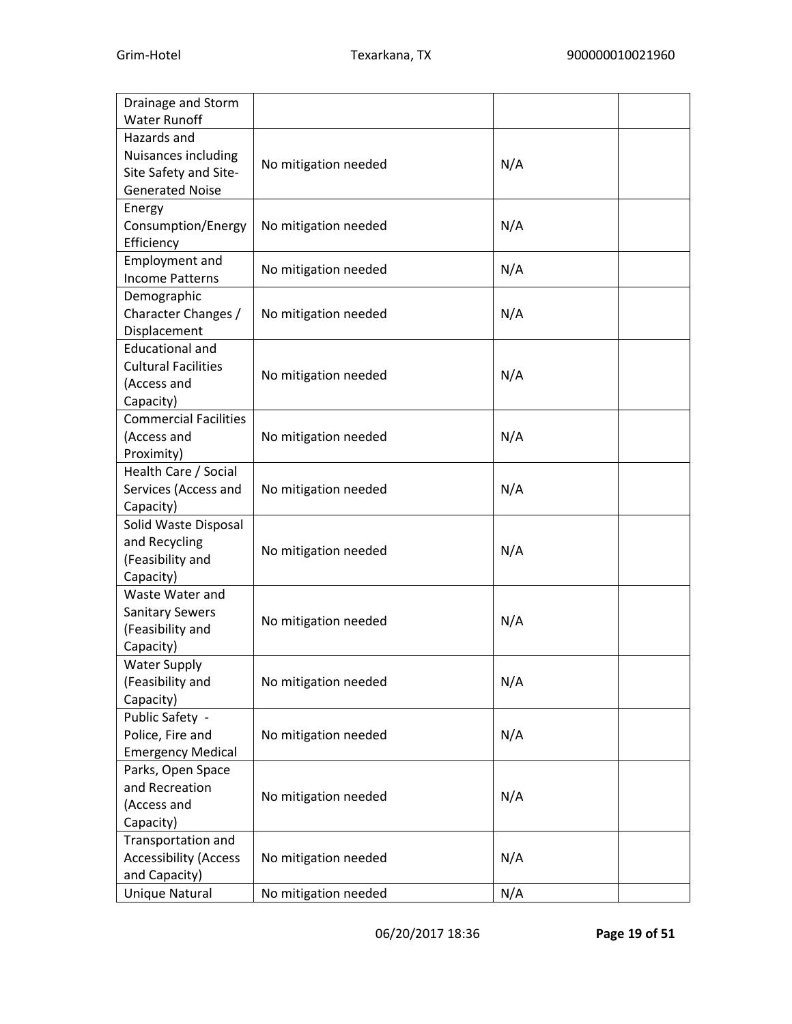| Drainage and Storm           |                      |     |  |
|------------------------------|----------------------|-----|--|
| <b>Water Runoff</b>          |                      |     |  |
| Hazards and                  |                      |     |  |
| Nuisances including          |                      |     |  |
| Site Safety and Site-        | No mitigation needed | N/A |  |
| <b>Generated Noise</b>       |                      |     |  |
| Energy                       |                      |     |  |
| Consumption/Energy           | No mitigation needed | N/A |  |
| Efficiency                   |                      |     |  |
| <b>Employment and</b>        |                      |     |  |
| <b>Income Patterns</b>       | No mitigation needed | N/A |  |
| Demographic                  |                      |     |  |
| Character Changes /          | No mitigation needed | N/A |  |
| Displacement                 |                      |     |  |
| <b>Educational and</b>       |                      |     |  |
| <b>Cultural Facilities</b>   |                      |     |  |
| (Access and                  | No mitigation needed | N/A |  |
| Capacity)                    |                      |     |  |
| <b>Commercial Facilities</b> |                      |     |  |
| (Access and                  | No mitigation needed | N/A |  |
| Proximity)                   |                      |     |  |
| Health Care / Social         |                      |     |  |
| Services (Access and         | No mitigation needed | N/A |  |
| Capacity)                    |                      |     |  |
| Solid Waste Disposal         |                      |     |  |
| and Recycling                |                      |     |  |
| (Feasibility and             | No mitigation needed | N/A |  |
| Capacity)                    |                      |     |  |
| Waste Water and              |                      |     |  |
| <b>Sanitary Sewers</b>       |                      |     |  |
| (Feasibility and             | No mitigation needed | N/A |  |
| Capacity)                    |                      |     |  |
| <b>Water Supply</b>          |                      |     |  |
| (Feasibility and             | No mitigation needed | N/A |  |
| Capacity)                    |                      |     |  |
| Public Safety -              |                      |     |  |
| Police, Fire and             | No mitigation needed | N/A |  |
| <b>Emergency Medical</b>     |                      |     |  |
| Parks, Open Space            |                      |     |  |
| and Recreation               |                      |     |  |
| (Access and                  | No mitigation needed | N/A |  |
| Capacity)                    |                      |     |  |
| Transportation and           |                      |     |  |
| <b>Accessibility (Access</b> | No mitigation needed | N/A |  |
| and Capacity)                |                      |     |  |
|                              |                      | N/A |  |
| Unique Natural               | No mitigation needed |     |  |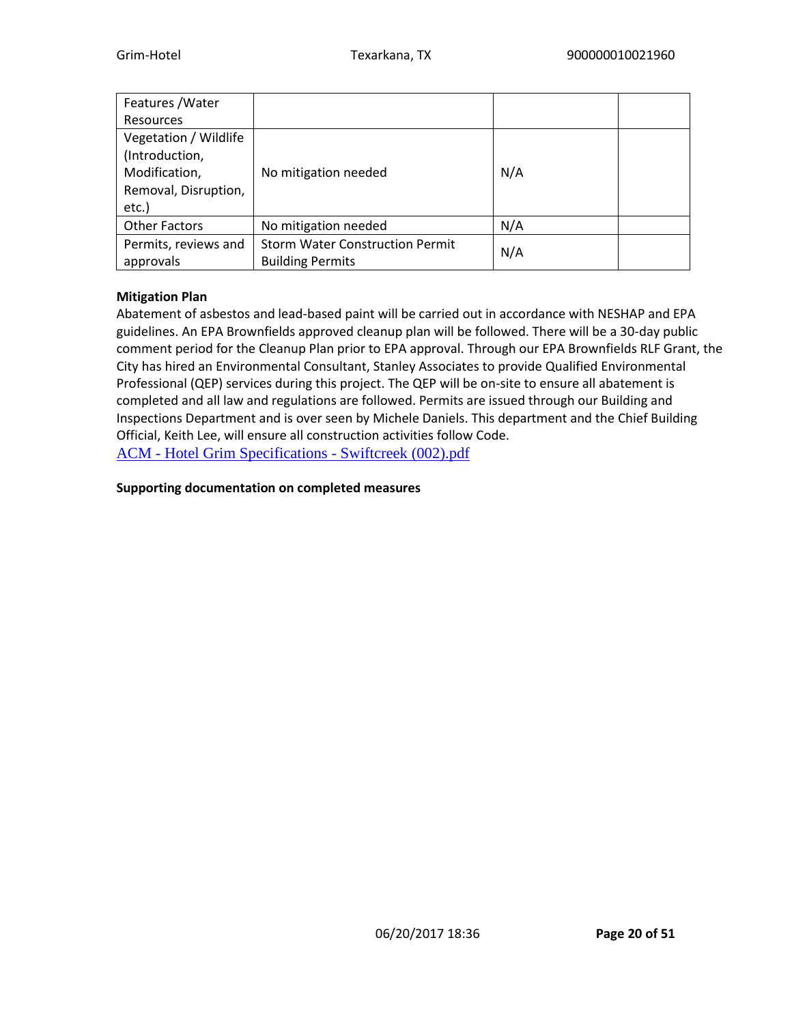| Features / Water      |                                        |     |  |
|-----------------------|----------------------------------------|-----|--|
| Resources             |                                        |     |  |
| Vegetation / Wildlife |                                        |     |  |
| (Introduction,        |                                        |     |  |
| Modification,         | No mitigation needed                   | N/A |  |
| Removal, Disruption,  |                                        |     |  |
| etc.)                 |                                        |     |  |
| <b>Other Factors</b>  | No mitigation needed                   | N/A |  |
| Permits, reviews and  | <b>Storm Water Construction Permit</b> |     |  |
| approvals             | <b>Building Permits</b>                | N/A |  |

#### **Mitigation Plan**

Abatement of asbestos and lead-based paint will be carried out in accordance with NESHAP and EPA guidelines. An EPA Brownfields approved cleanup plan will be followed. There will be a 30-day public comment period for the Cleanup Plan prior to EPA approval. Through our EPA Brownfields RLF Grant, the City has hired an Environmental Consultant, Stanley Associates to provide Qualified Environmental Professional (QEP) services during this project. The QEP will be on-site to ensure all abatement is completed and all law and regulations are followed. Permits are issued through our Building and Inspections Department and is over seen by Michele Daniels. This department and the Chief Building Official, Keith Lee, will ensure all construction activities follow Code. ACM - [Hotel Grim Specifications -](https://heros.hud.gov/heros/faces/downloadFile.xhtml?erUploadId=900000010092989) Swiftcreek (002).pdf

#### **Supporting documentation on completed measures**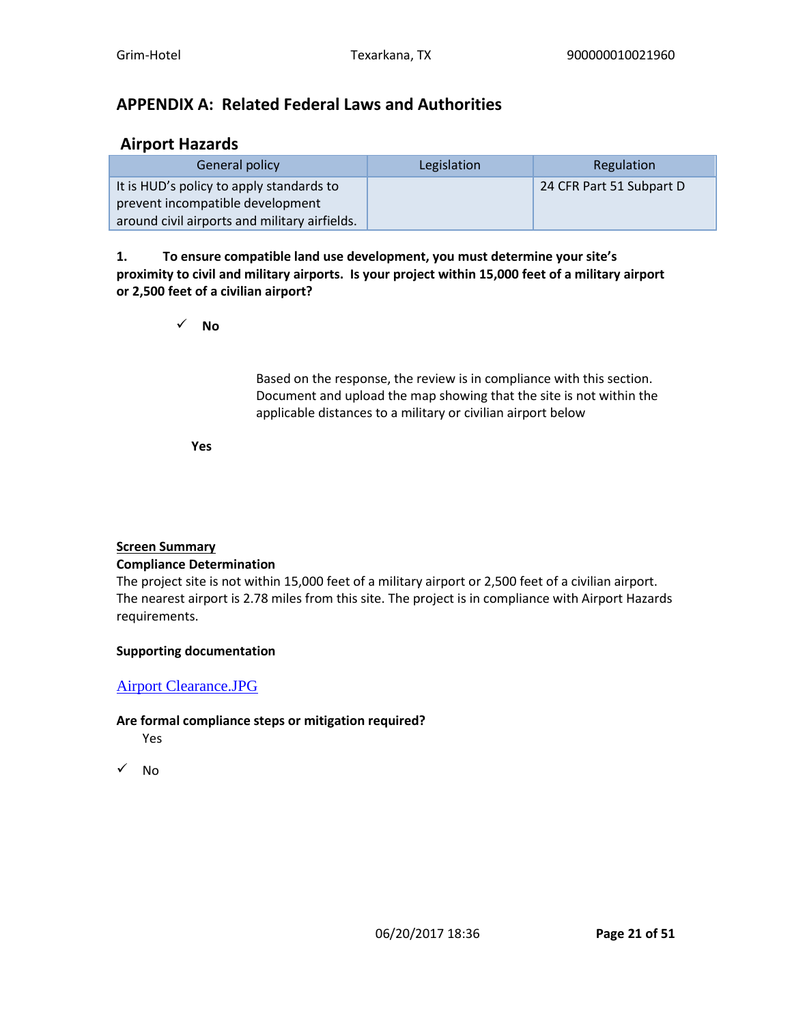# **APPENDIX A: Related Federal Laws and Authorities**

# **Airport Hazards**

| General policy                                | Legislation | Regulation               |
|-----------------------------------------------|-------------|--------------------------|
| It is HUD's policy to apply standards to      |             | 24 CFR Part 51 Subpart D |
| prevent incompatible development              |             |                          |
| around civil airports and military airfields. |             |                          |

### **1. To ensure compatible land use development, you must determine your site's proximity to civil and military airports. Is your project within 15,000 feet of a military airport or 2,500 feet of a civilian airport?**

✓ **No**

Based on the response, the review is in compliance with this section. Document and upload the map showing that the site is not within the applicable distances to a military or civilian airport below

**Yes**

#### **Screen Summary Compliance Determination**

The project site is not within 15,000 feet of a military airport or 2,500 feet of a civilian airport. The nearest airport is 2.78 miles from this site. The project is in compliance with Airport Hazards requirements.

### **Supporting documentation**

# [Airport Clearance.JPG](https://heros.hud.gov/heros/faces/downloadFile.xhtml?erUploadId=900000010063318)

### **Are formal compliance steps or mitigation required?**

Yes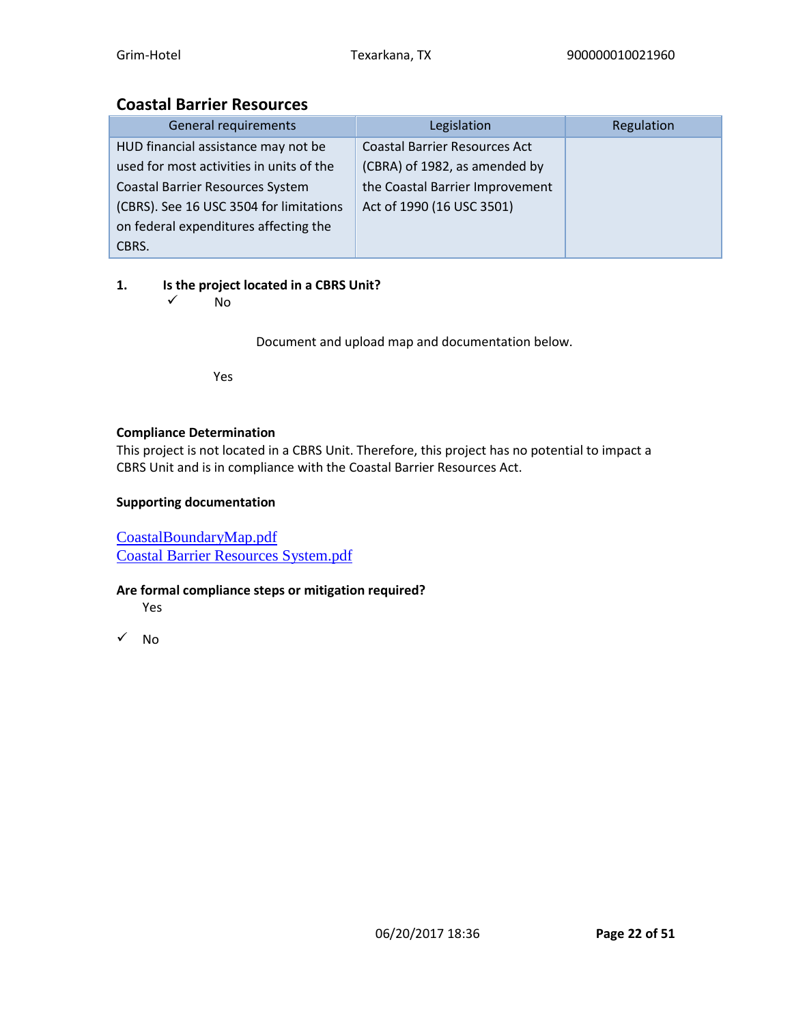# **Coastal Barrier Resources**

| General requirements                     | Legislation                          | Regulation |
|------------------------------------------|--------------------------------------|------------|
| HUD financial assistance may not be      | <b>Coastal Barrier Resources Act</b> |            |
| used for most activities in units of the | (CBRA) of 1982, as amended by        |            |
| <b>Coastal Barrier Resources System</b>  | the Coastal Barrier Improvement      |            |
| (CBRS). See 16 USC 3504 for limitations  | Act of 1990 (16 USC 3501)            |            |
| on federal expenditures affecting the    |                                      |            |
| CBRS.                                    |                                      |            |

# **1. Is the project located in a CBRS Unit?**

✓ No

Document and upload map and documentation below.

Yes

### **Compliance Determination**

This project is not located in a CBRS Unit. Therefore, this project has no potential to impact a CBRS Unit and is in compliance with the Coastal Barrier Resources Act.

### **Supporting documentation**

[CoastalBoundaryMap.pdf](https://heros.hud.gov/heros/faces/downloadFile.xhtml?erUploadId=900000010063320) [Coastal Barrier Resources System.pdf](https://heros.hud.gov/heros/faces/downloadFile.xhtml?erUploadId=900000010063319)

### **Are formal compliance steps or mitigation required?**

Yes

 $\sqrt{NQ}$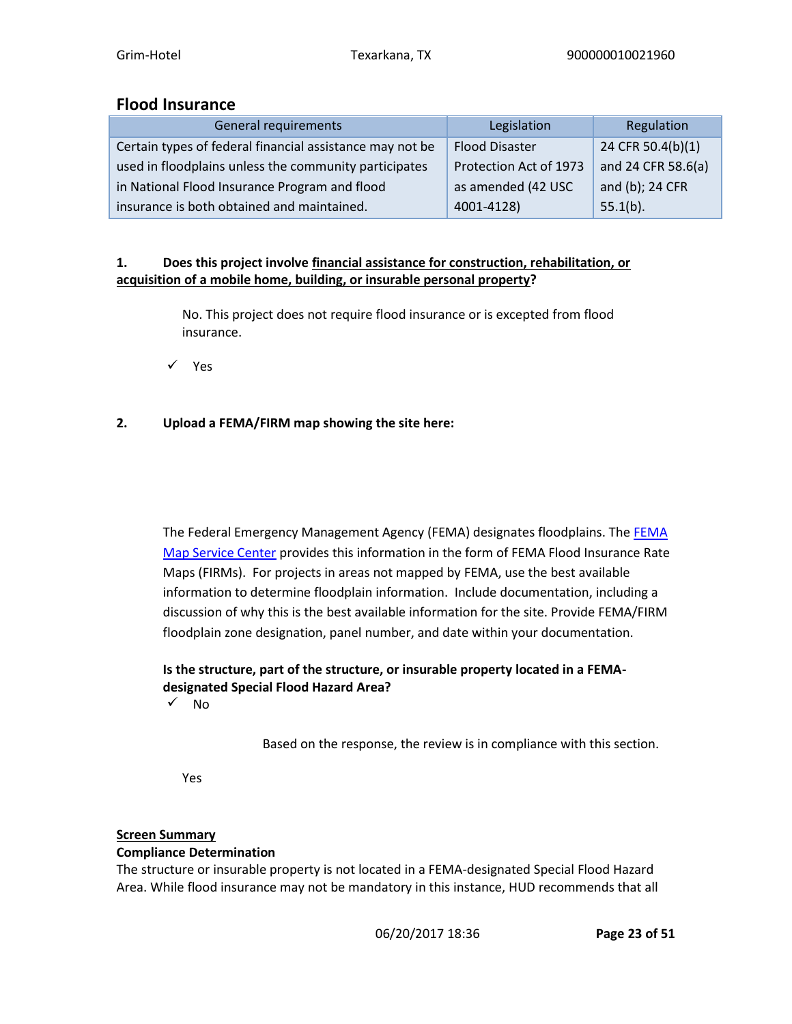# **Flood Insurance**

| General requirements                                     | Legislation            | Regulation         |
|----------------------------------------------------------|------------------------|--------------------|
| Certain types of federal financial assistance may not be | <b>Flood Disaster</b>  | 24 CFR 50.4(b)(1)  |
| used in floodplains unless the community participates    | Protection Act of 1973 | and 24 CFR 58.6(a) |
| in National Flood Insurance Program and flood            | as amended (42 USC     | and (b); 24 CFR    |
| insurance is both obtained and maintained.               | 4001-4128)             | $55.1(b)$ .        |

### **1. Does this project involve financial assistance for construction, rehabilitation, or acquisition of a mobile home, building, or insurable personal property?**

No. This project does not require flood insurance or is excepted from flood insurance.

✓ Yes

### **2. Upload a FEMA/FIRM map showing the site here:**

The Federal Emergency Management Agency (FEMA) designates floodplains. The **FEMA** [Map Service Center](http://www.msc.fema.gov/) provides this information in the form of FEMA Flood Insurance Rate Maps (FIRMs). For projects in areas not mapped by FEMA, use the best available information to determine floodplain information. Include documentation, including a discussion of why this is the best available information for the site. Provide FEMA/FIRM floodplain zone designation, panel number, and date within your documentation.

# **Is the structure, part of the structure, or insurable property located in a FEMAdesignated Special Flood Hazard Area?**

 $\sqrt{N}$ 

Based on the response, the review is in compliance with this section.

Yes

# **Screen Summary**

### **Compliance Determination**

The structure or insurable property is not located in a FEMA-designated Special Flood Hazard Area. While flood insurance may not be mandatory in this instance, HUD recommends that all

06/20/2017 18:36 **Page 23 of 51**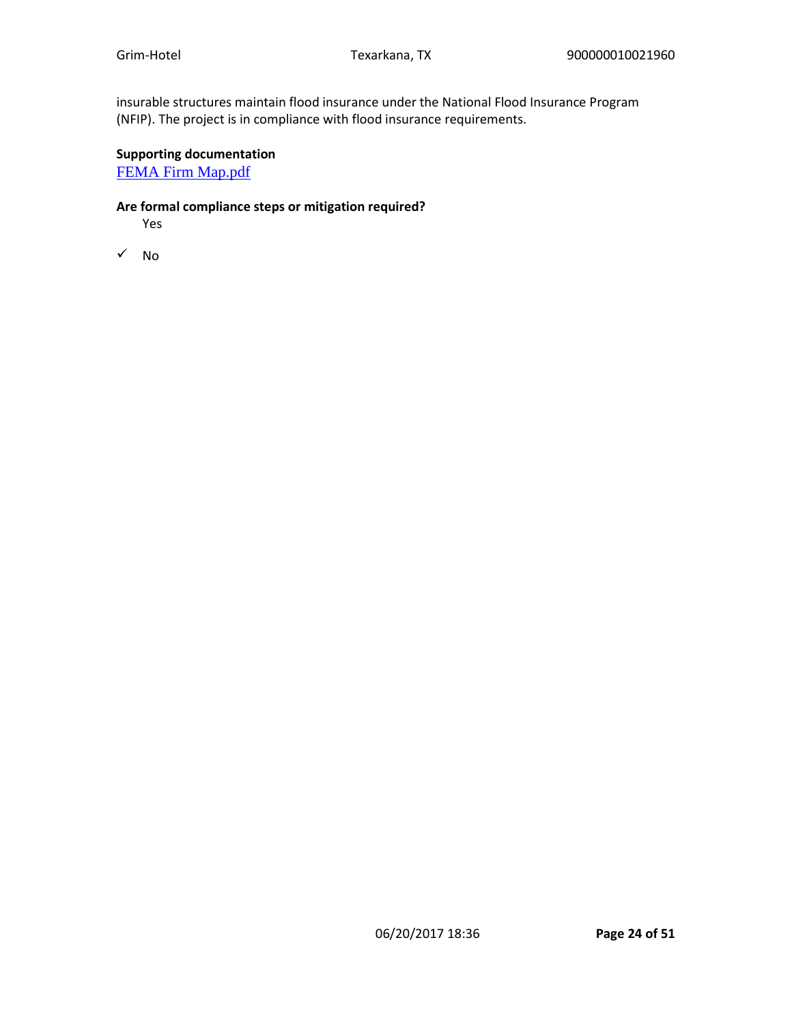insurable structures maintain flood insurance under the National Flood Insurance Program (NFIP). The project is in compliance with flood insurance requirements.

### **Supporting documentation**

[FEMA Firm Map.pdf](https://heros.hud.gov/heros/faces/downloadFile.xhtml?erUploadId=900000010063384)

### **Are formal compliance steps or mitigation required?**

Yes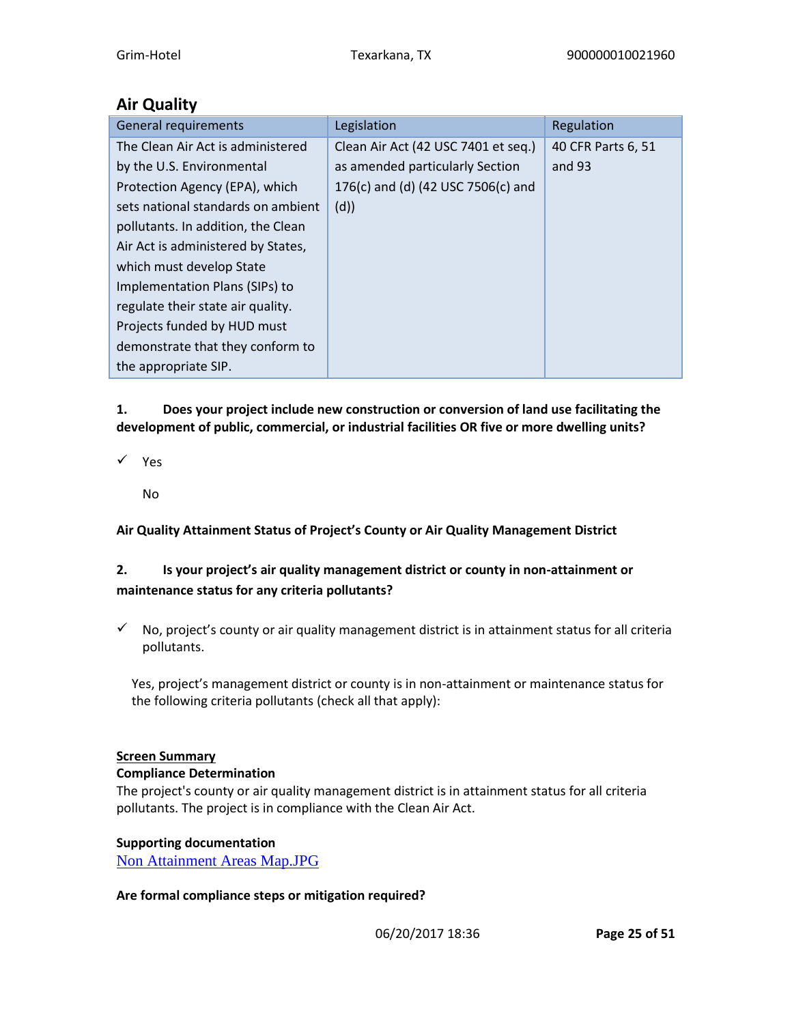# **Air Quality**

| <b>General requirements</b>        | Legislation                         | Regulation         |
|------------------------------------|-------------------------------------|--------------------|
| The Clean Air Act is administered  | Clean Air Act (42 USC 7401 et seq.) | 40 CFR Parts 6, 51 |
| by the U.S. Environmental          | as amended particularly Section     | and 93             |
| Protection Agency (EPA), which     | 176(c) and (d) (42 USC 7506(c) and  |                    |
| sets national standards on ambient | (d)                                 |                    |
| pollutants. In addition, the Clean |                                     |                    |
| Air Act is administered by States, |                                     |                    |
| which must develop State           |                                     |                    |
| Implementation Plans (SIPs) to     |                                     |                    |
| regulate their state air quality.  |                                     |                    |
| Projects funded by HUD must        |                                     |                    |
| demonstrate that they conform to   |                                     |                    |
| the appropriate SIP.               |                                     |                    |

# **1. Does your project include new construction or conversion of land use facilitating the development of public, commercial, or industrial facilities OR five or more dwelling units?**

- ✓ Yes
	- No

# **Air Quality Attainment Status of Project's County or Air Quality Management District**

# **2. Is your project's air quality management district or county in non-attainment or maintenance status for any criteria pollutants?**

 $\checkmark$  No, project's county or air quality management district is in attainment status for all criteria pollutants.

Yes, project's management district or county is in non-attainment or maintenance status for the following criteria pollutants (check all that apply):

### **Screen Summary**

#### **Compliance Determination**

The project's county or air quality management district is in attainment status for all criteria pollutants. The project is in compliance with the Clean Air Act.

### **Supporting documentation**

[Non Attainment Areas Map.JPG](https://heros.hud.gov/heros/faces/downloadFile.xhtml?erUploadId=900000010063386)

### **Are formal compliance steps or mitigation required?**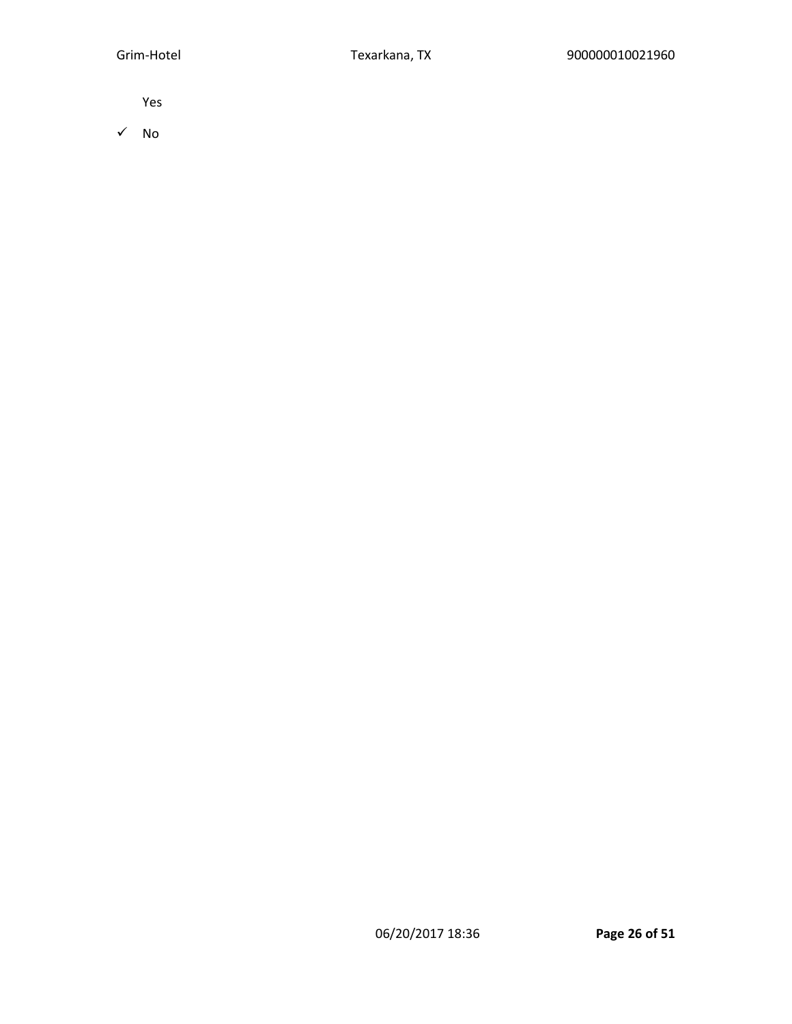Yes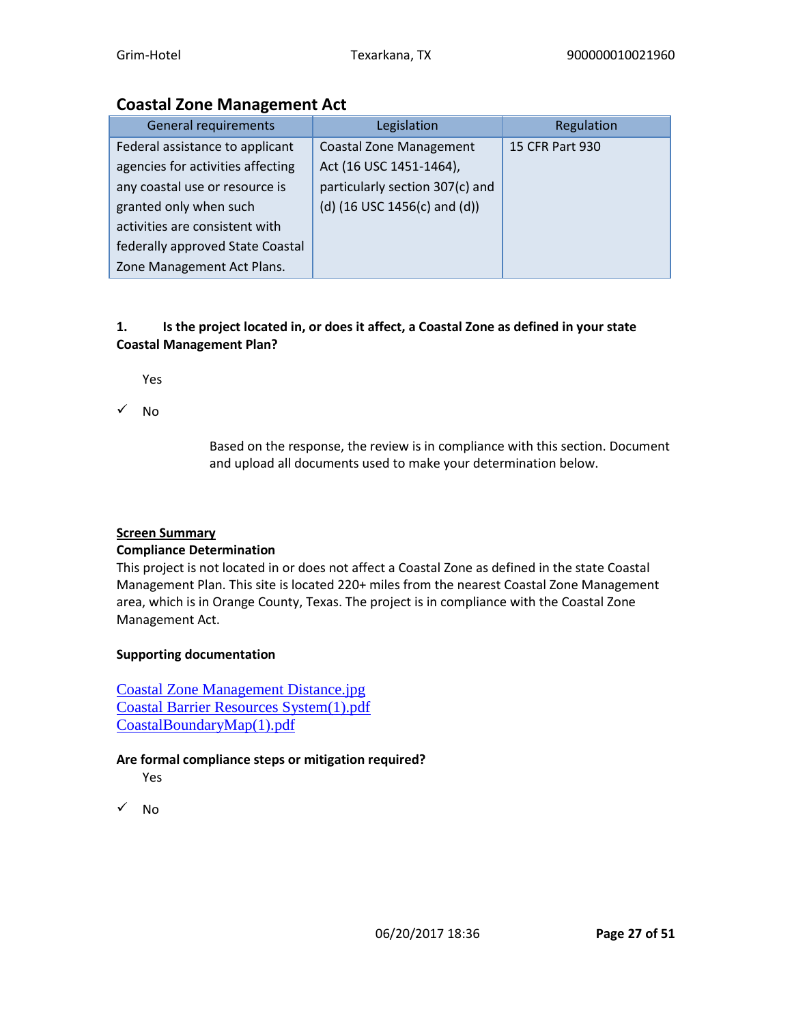# **Coastal Zone Management Act**

| <b>General requirements</b>       | Legislation                       | Regulation      |
|-----------------------------------|-----------------------------------|-----------------|
| Federal assistance to applicant   | <b>Coastal Zone Management</b>    | 15 CFR Part 930 |
| agencies for activities affecting | Act (16 USC 1451-1464),           |                 |
| any coastal use or resource is    | particularly section 307(c) and   |                 |
| granted only when such            | (d) $(16$ USC 1456(c) and $(d)$ ) |                 |
| activities are consistent with    |                                   |                 |
| federally approved State Coastal  |                                   |                 |
| Zone Management Act Plans.        |                                   |                 |

# **1. Is the project located in, or does it affect, a Coastal Zone as defined in your state Coastal Management Plan?**

Yes

✓ No

Based on the response, the review is in compliance with this section. Document and upload all documents used to make your determination below.

# **Screen Summary**

### **Compliance Determination**

This project is not located in or does not affect a Coastal Zone as defined in the state Coastal Management Plan. This site is located 220+ miles from the nearest Coastal Zone Management area, which is in Orange County, Texas. The project is in compliance with the Coastal Zone Management Act.

# **Supporting documentation**

[Coastal Zone Management Distance.jpg](https://heros.hud.gov/heros/faces/downloadFile.xhtml?erUploadId=900000010063392) [Coastal Barrier Resources System\(1\).pdf](https://heros.hud.gov/heros/faces/downloadFile.xhtml?erUploadId=900000010063391) [CoastalBoundaryMap\(1\).pdf](https://heros.hud.gov/heros/faces/downloadFile.xhtml?erUploadId=900000010063390)

### **Are formal compliance steps or mitigation required?**

Yes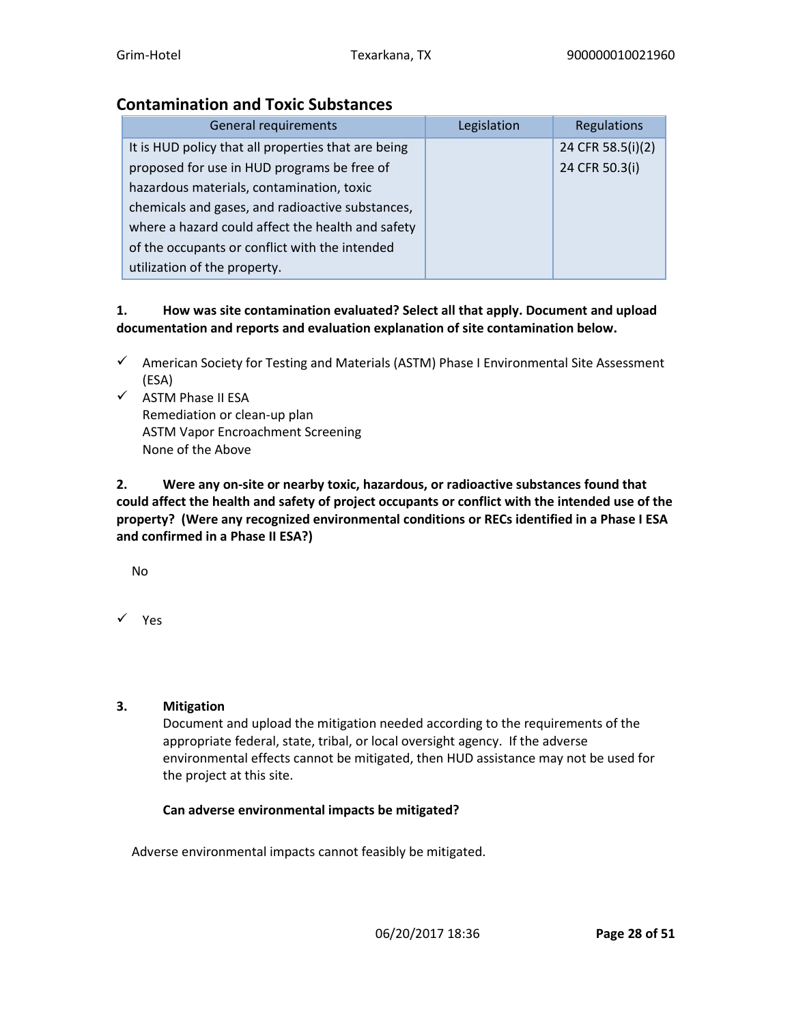# **Contamination and Toxic Substances**

| <b>General requirements</b>                         | Legislation | Regulations       |
|-----------------------------------------------------|-------------|-------------------|
| It is HUD policy that all properties that are being |             | 24 CFR 58.5(i)(2) |
| proposed for use in HUD programs be free of         |             | 24 CFR 50.3(i)    |
| hazardous materials, contamination, toxic           |             |                   |
| chemicals and gases, and radioactive substances,    |             |                   |
| where a hazard could affect the health and safety   |             |                   |
| of the occupants or conflict with the intended      |             |                   |
| utilization of the property.                        |             |                   |

### **1. How was site contamination evaluated? Select all that apply. Document and upload documentation and reports and evaluation explanation of site contamination below.**

- ✓ American Society for Testing and Materials (ASTM) Phase I Environmental Site Assessment (ESA)
- ✓ ASTM Phase II ESA Remediation or clean-up plan ASTM Vapor Encroachment Screening None of the Above

**2. Were any on-site or nearby toxic, hazardous, or radioactive substances found that could affect the health and safety of project occupants or conflict with the intended use of the property? (Were any recognized environmental conditions or RECs identified in a Phase I ESA and confirmed in a Phase II ESA?)**

No

✓ Yes

### **3. Mitigation**

Document and upload the mitigation needed according to the requirements of the appropriate federal, state, tribal, or local oversight agency. If the adverse environmental effects cannot be mitigated, then HUD assistance may not be used for the project at this site.

# **Can adverse environmental impacts be mitigated?**

Adverse environmental impacts cannot feasibly be mitigated.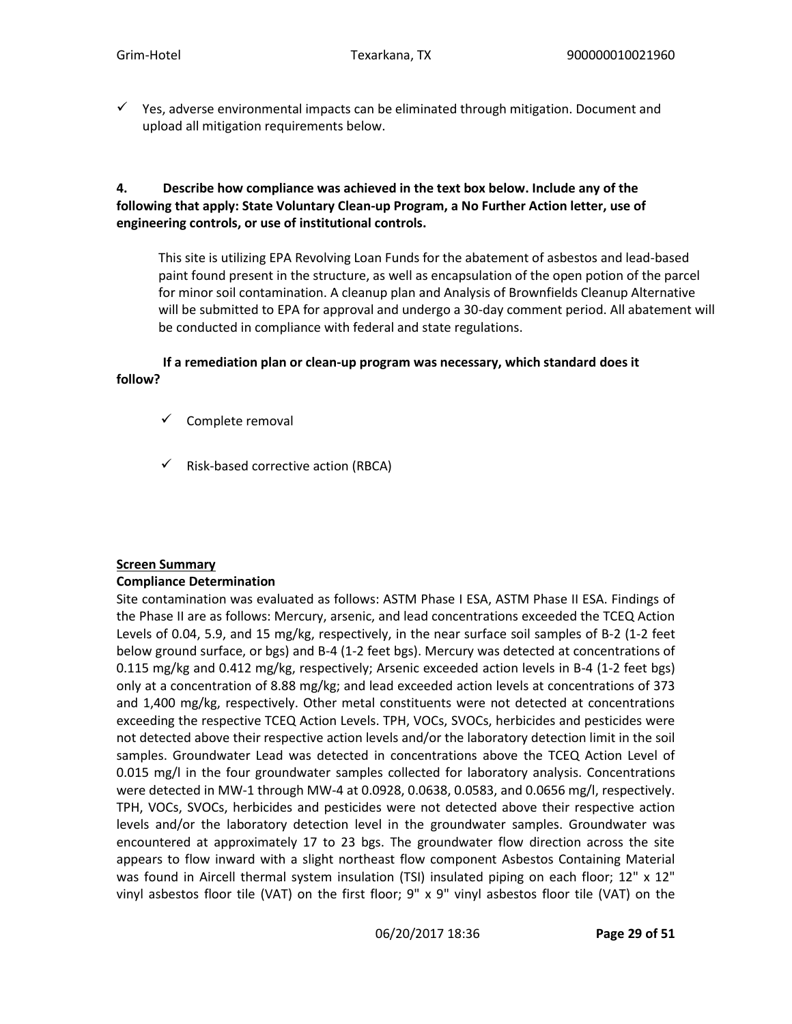$\checkmark$  Yes, adverse environmental impacts can be eliminated through mitigation. Document and upload all mitigation requirements below.

### **4. Describe how compliance was achieved in the text box below. Include any of the following that apply: State Voluntary Clean-up Program, a No Further Action letter, use of engineering controls, or use of institutional controls.**

This site is utilizing EPA Revolving Loan Funds for the abatement of asbestos and lead-based paint found present in the structure, as well as encapsulation of the open potion of the parcel for minor soil contamination. A cleanup plan and Analysis of Brownfields Cleanup Alternative will be submitted to EPA for approval and undergo a 30-day comment period. All abatement will be conducted in compliance with federal and state regulations.

#### **If a remediation plan or clean-up program was necessary, which standard does it follow?**

- ✓ Complete removal
- $\checkmark$  Risk-based corrective action (RBCA)

### **Screen Summary**

### **Compliance Determination**

Site contamination was evaluated as follows: ASTM Phase I ESA, ASTM Phase II ESA. Findings of the Phase II are as follows: Mercury, arsenic, and lead concentrations exceeded the TCEQ Action Levels of 0.04, 5.9, and 15 mg/kg, respectively, in the near surface soil samples of B-2 (1-2 feet below ground surface, or bgs) and B-4 (1-2 feet bgs). Mercury was detected at concentrations of 0.115 mg/kg and 0.412 mg/kg, respectively; Arsenic exceeded action levels in B-4 (1-2 feet bgs) only at a concentration of 8.88 mg/kg; and lead exceeded action levels at concentrations of 373 and 1,400 mg/kg, respectively. Other metal constituents were not detected at concentrations exceeding the respective TCEQ Action Levels. TPH, VOCs, SVOCs, herbicides and pesticides were not detected above their respective action levels and/or the laboratory detection limit in the soil samples. Groundwater Lead was detected in concentrations above the TCEQ Action Level of 0.015 mg/l in the four groundwater samples collected for laboratory analysis. Concentrations were detected in MW-1 through MW-4 at 0.0928, 0.0638, 0.0583, and 0.0656 mg/l, respectively. TPH, VOCs, SVOCs, herbicides and pesticides were not detected above their respective action levels and/or the laboratory detection level in the groundwater samples. Groundwater was encountered at approximately 17 to 23 bgs. The groundwater flow direction across the site appears to flow inward with a slight northeast flow component Asbestos Containing Material was found in Aircell thermal system insulation (TSI) insulated piping on each floor; 12" x 12" vinyl asbestos floor tile (VAT) on the first floor; 9" x 9" vinyl asbestos floor tile (VAT) on the

06/20/2017 18:36 **Page 29 of 51**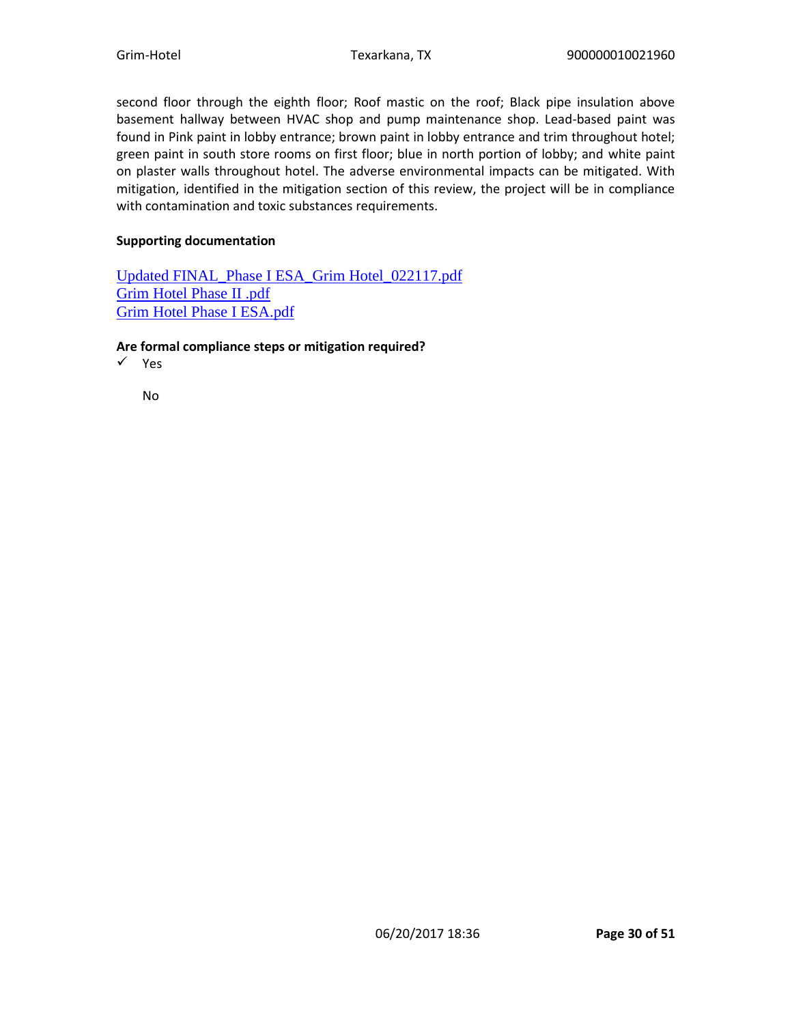second floor through the eighth floor; Roof mastic on the roof; Black pipe insulation above basement hallway between HVAC shop and pump maintenance shop. Lead-based paint was found in Pink paint in lobby entrance; brown paint in lobby entrance and trim throughout hotel; green paint in south store rooms on first floor; blue in north portion of lobby; and white paint on plaster walls throughout hotel. The adverse environmental impacts can be mitigated. With mitigation, identified in the mitigation section of this review, the project will be in compliance with contamination and toxic substances requirements.

#### **Supporting documentation**

[Updated FINAL\\_Phase I ESA\\_Grim Hotel\\_022117.pdf](https://heros.hud.gov/heros/faces/downloadFile.xhtml?erUploadId=900000010073803) [Grim Hotel Phase II .pdf](https://heros.hud.gov/heros/faces/downloadFile.xhtml?erUploadId=900000010073801) [Grim Hotel Phase I ESA.pdf](https://heros.hud.gov/heros/faces/downloadFile.xhtml?erUploadId=900000010073799)

#### **Are formal compliance steps or mitigation required?**

✓ Yes

No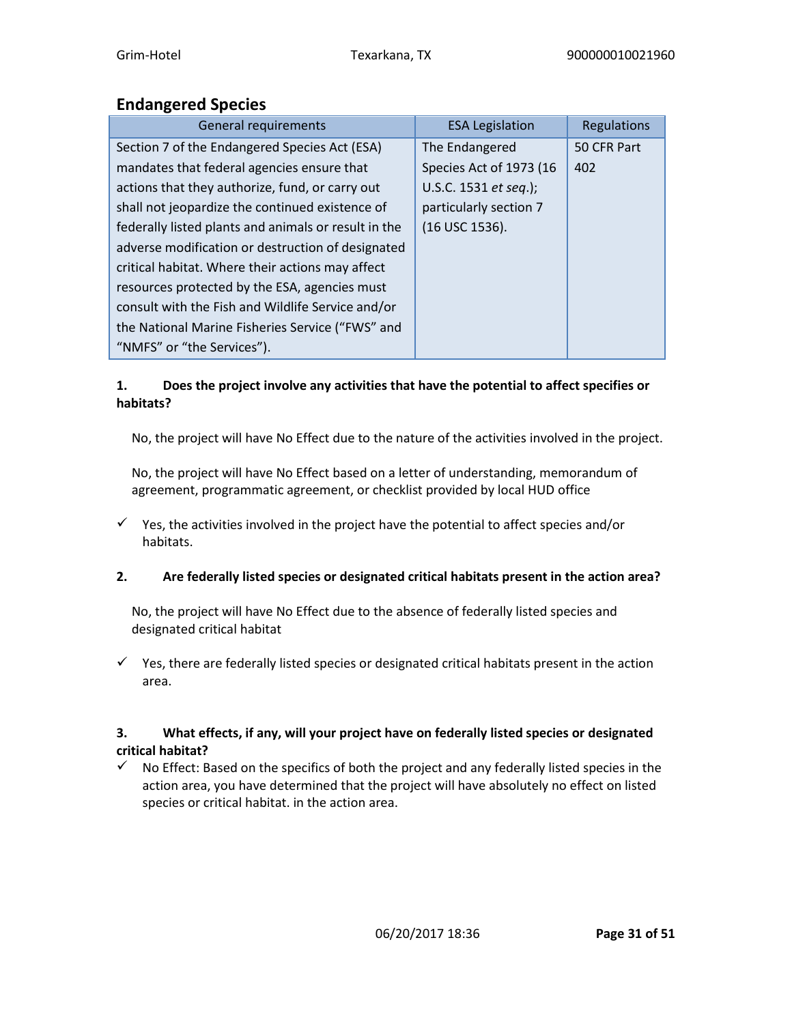# **Endangered Species**

| <b>General requirements</b>                          | <b>ESA Legislation</b>        | Regulations |
|------------------------------------------------------|-------------------------------|-------------|
| Section 7 of the Endangered Species Act (ESA)        | The Endangered                | 50 CFR Part |
| mandates that federal agencies ensure that           | Species Act of 1973 (16       | 402         |
| actions that they authorize, fund, or carry out      | U.S.C. 1531 <i>et seq.</i> ); |             |
| shall not jeopardize the continued existence of      | particularly section 7        |             |
| federally listed plants and animals or result in the | (16 USC 1536).                |             |
| adverse modification or destruction of designated    |                               |             |
| critical habitat. Where their actions may affect     |                               |             |
| resources protected by the ESA, agencies must        |                               |             |
| consult with the Fish and Wildlife Service and/or    |                               |             |
| the National Marine Fisheries Service ("FWS" and     |                               |             |
| "NMFS" or "the Services").                           |                               |             |

### **1. Does the project involve any activities that have the potential to affect specifies or habitats?**

No, the project will have No Effect due to the nature of the activities involved in the project.

No, the project will have No Effect based on a letter of understanding, memorandum of agreement, programmatic agreement, or checklist provided by local HUD office

 $\checkmark$  Yes, the activities involved in the project have the potential to affect species and/or habitats.

### **2. Are federally listed species or designated critical habitats present in the action area?**

No, the project will have No Effect due to the absence of federally listed species and designated critical habitat

 $\checkmark$  Yes, there are federally listed species or designated critical habitats present in the action area.

### **3. What effects, if any, will your project have on federally listed species or designated critical habitat?**

 $\checkmark$  No Effect: Based on the specifics of both the project and any federally listed species in the action area, you have determined that the project will have absolutely no effect on listed species or critical habitat. in the action area.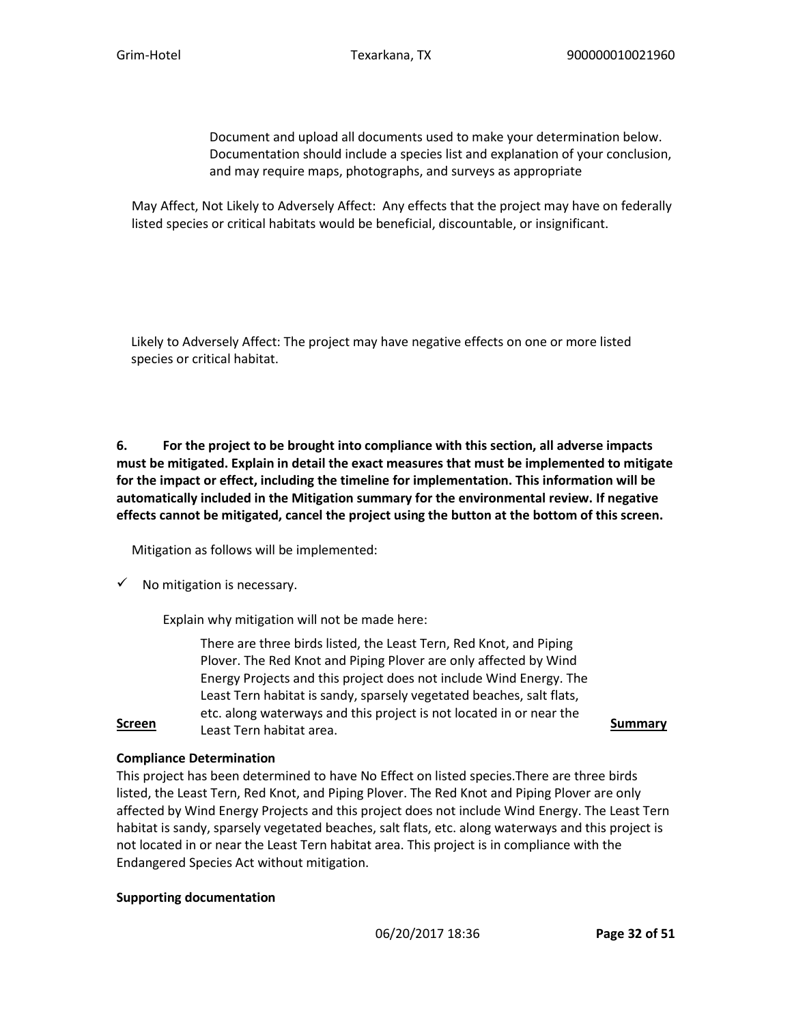Document and upload all documents used to make your determination below. Documentation should include a species list and explanation of your conclusion, and may require maps, photographs, and surveys as appropriate

May Affect, Not Likely to Adversely Affect: Any effects that the project may have on federally listed species or critical habitats would be beneficial, discountable, or insignificant.

Likely to Adversely Affect: The project may have negative effects on one or more listed species or critical habitat.

**6. For the project to be brought into compliance with this section, all adverse impacts must be mitigated. Explain in detail the exact measures that must be implemented to mitigate for the impact or effect, including the timeline for implementation. This information will be automatically included in the Mitigation summary for the environmental review. If negative effects cannot be mitigated, cancel the project using the button at the bottom of this screen.**

Mitigation as follows will be implemented:

 $\checkmark$  No mitigation is necessary.

Explain why mitigation will not be made here:

**Screen** Least Tern habitat area. There are three birds listed, the Least Tern, Red Knot, and Piping Plover. The Red Knot and Piping Plover are only affected by Wind Energy Projects and this project does not include Wind Energy. The Least Tern habitat is sandy, sparsely vegetated beaches, salt flats, etc. along waterways and this project is not located in or near the

### **Compliance Determination**

This project has been determined to have No Effect on listed species.There are three birds listed, the Least Tern, Red Knot, and Piping Plover. The Red Knot and Piping Plover are only affected by Wind Energy Projects and this project does not include Wind Energy. The Least Tern habitat is sandy, sparsely vegetated beaches, salt flats, etc. along waterways and this project is not located in or near the Least Tern habitat area. This project is in compliance with the Endangered Species Act without mitigation.

#### **Supporting documentation**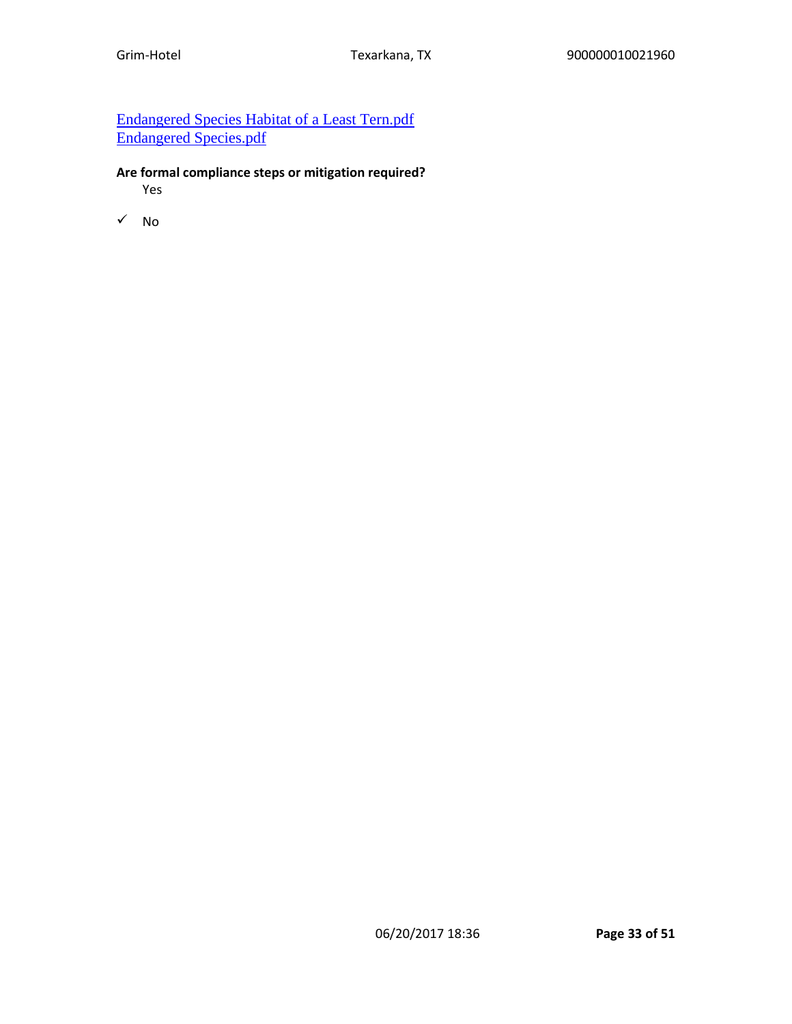# [Endangered Species Habitat of a Least Tern.pdf](https://heros.hud.gov/heros/faces/downloadFile.xhtml?erUploadId=900000010063394) [Endangered Species.pdf](https://heros.hud.gov/heros/faces/downloadFile.xhtml?erUploadId=900000010063393)

### **Are formal compliance steps or mitigation required?**

Yes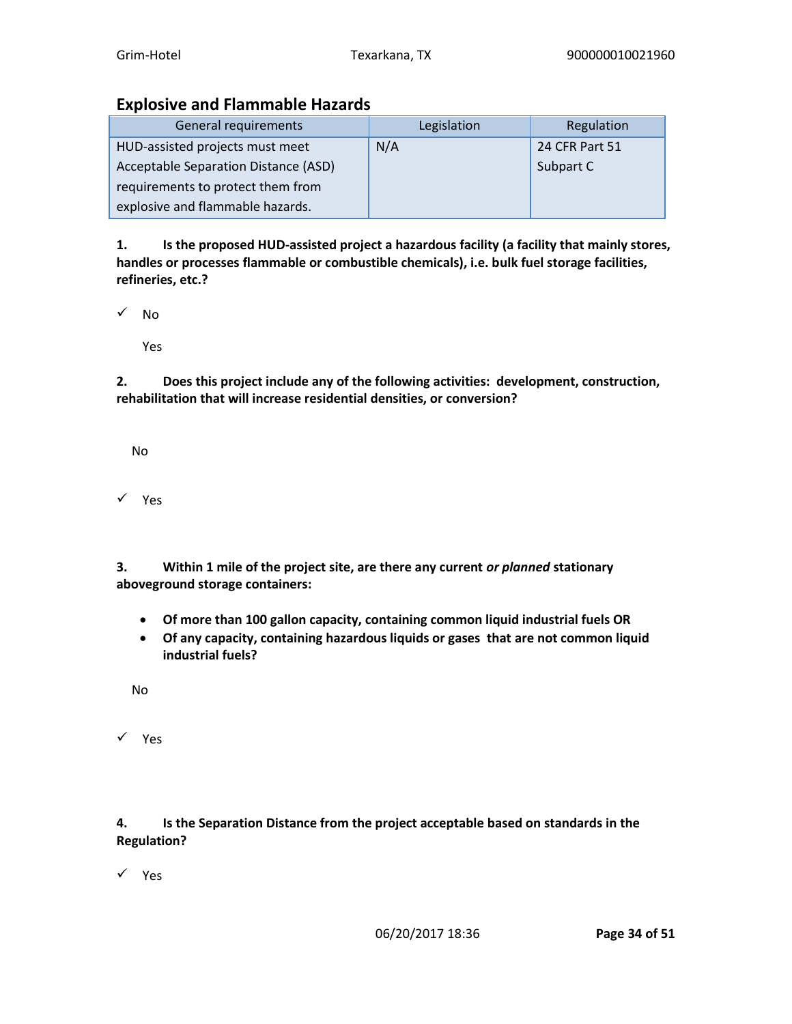# **Explosive and Flammable Hazards**

| General requirements                 | Legislation | Regulation     |
|--------------------------------------|-------------|----------------|
| HUD-assisted projects must meet      | N/A         | 24 CFR Part 51 |
| Acceptable Separation Distance (ASD) |             | Subpart C      |
| requirements to protect them from    |             |                |
| explosive and flammable hazards.     |             |                |

**1. Is the proposed HUD-assisted project a hazardous facility (a facility that mainly stores, handles or processes flammable or combustible chemicals), i.e. bulk fuel storage facilities, refineries, etc.?**

✓ No

Yes

**2. Does this project include any of the following activities: development, construction, rehabilitation that will increase residential densities, or conversion?**

No

✓ Yes

**3. Within 1 mile of the project site, are there any current** *or planned* **stationary aboveground storage containers:**

- **Of more than 100 gallon capacity, containing common liquid industrial fuels OR**
- **Of any capacity, containing hazardous liquids or gases that are not common liquid industrial fuels?**

No

✓ Yes

**4. Is the Separation Distance from the project acceptable based on standards in the Regulation?**

✓ Yes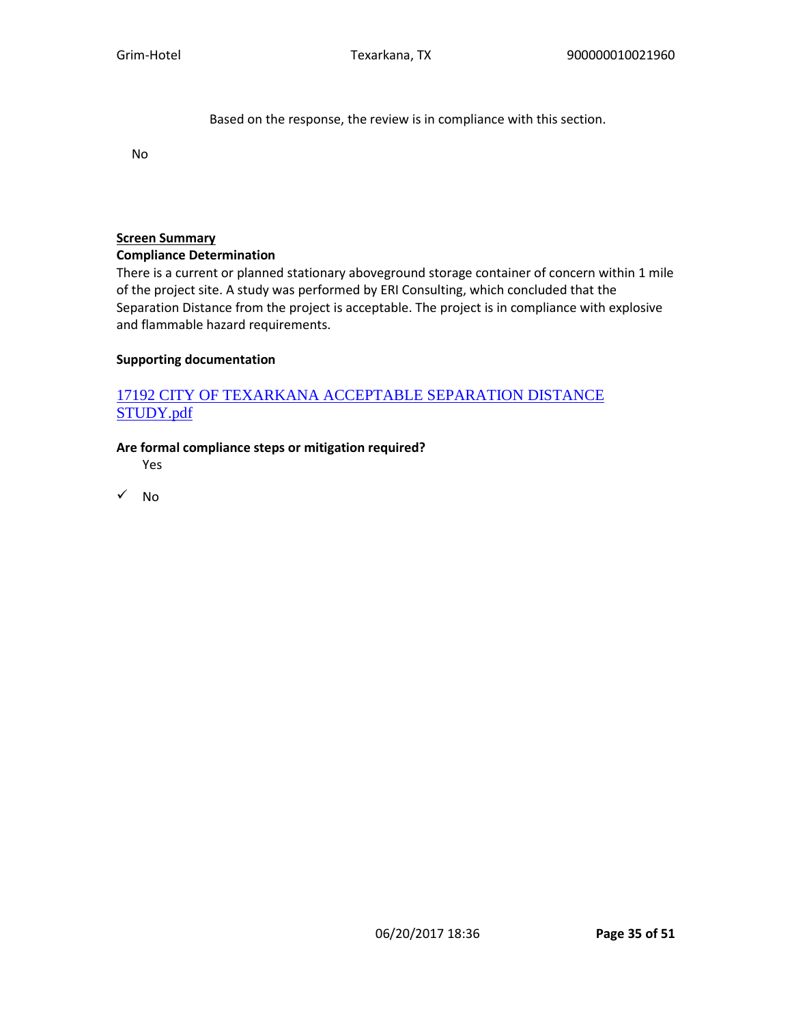Based on the response, the review is in compliance with this section.

No

#### **Screen Summary**

#### **Compliance Determination**

There is a current or planned stationary aboveground storage container of concern within 1 mile of the project site. A study was performed by ERI Consulting, which concluded that the Separation Distance from the project is acceptable. The project is in compliance with explosive and flammable hazard requirements.

#### **Supporting documentation**

# [17192 CITY OF TEXARKANA ACCEPTABLE SEPARATION DISTANCE](https://heros.hud.gov/heros/faces/downloadFile.xhtml?erUploadId=900000010086604)  [STUDY.pdf](https://heros.hud.gov/heros/faces/downloadFile.xhtml?erUploadId=900000010086604)

#### **Are formal compliance steps or mitigation required?**

Yes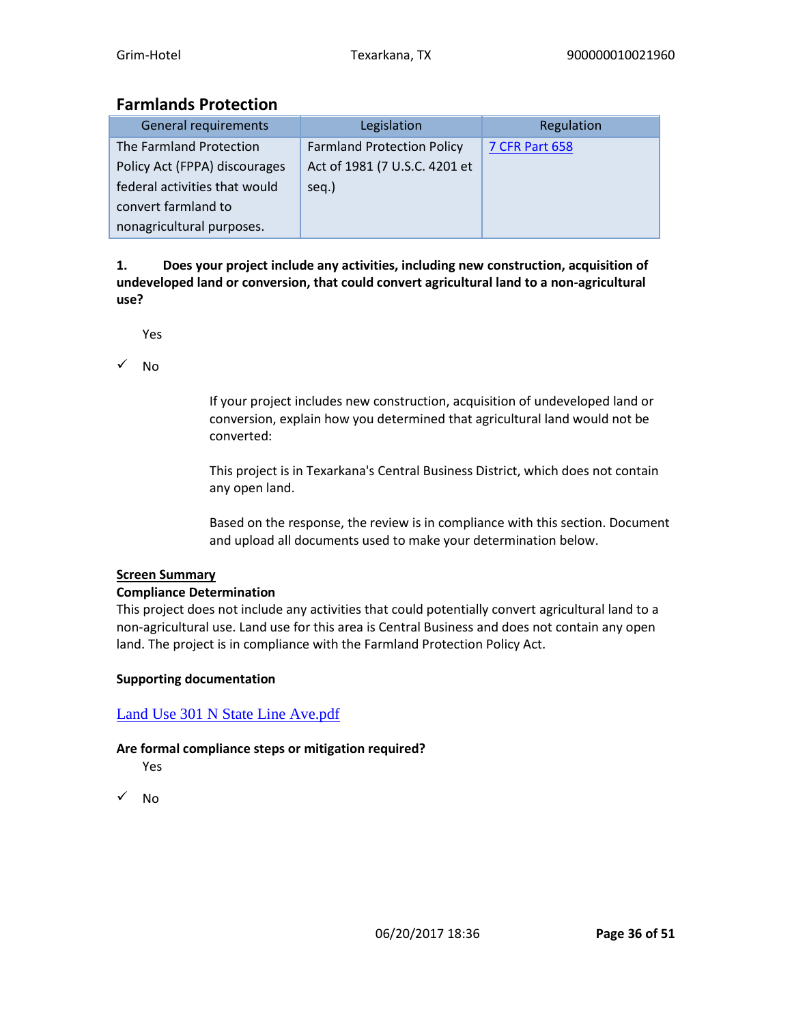# **Farmlands Protection**

| <b>General requirements</b>   | Legislation                       | Regulation            |
|-------------------------------|-----------------------------------|-----------------------|
| The Farmland Protection       | <b>Farmland Protection Policy</b> | <b>7 CFR Part 658</b> |
| Policy Act (FPPA) discourages | Act of 1981 (7 U.S.C. 4201 et     |                       |
| federal activities that would | seq.)                             |                       |
| convert farmland to           |                                   |                       |
| nonagricultural purposes.     |                                   |                       |

**1. Does your project include any activities, including new construction, acquisition of undeveloped land or conversion, that could convert agricultural land to a non-agricultural use?**

Yes

✓ No

If your project includes new construction, acquisition of undeveloped land or conversion, explain how you determined that agricultural land would not be converted:

This project is in Texarkana's Central Business District, which does not contain any open land.

Based on the response, the review is in compliance with this section. Document and upload all documents used to make your determination below.

### **Screen Summary**

### **Compliance Determination**

This project does not include any activities that could potentially convert agricultural land to a non-agricultural use. Land use for this area is Central Business and does not contain any open land. The project is in compliance with the Farmland Protection Policy Act.

### **Supporting documentation**

[Land Use 301 N State Line Ave.pdf](https://heros.hud.gov/heros/faces/downloadFile.xhtml?erUploadId=900000010063395)

### **Are formal compliance steps or mitigation required?**

Yes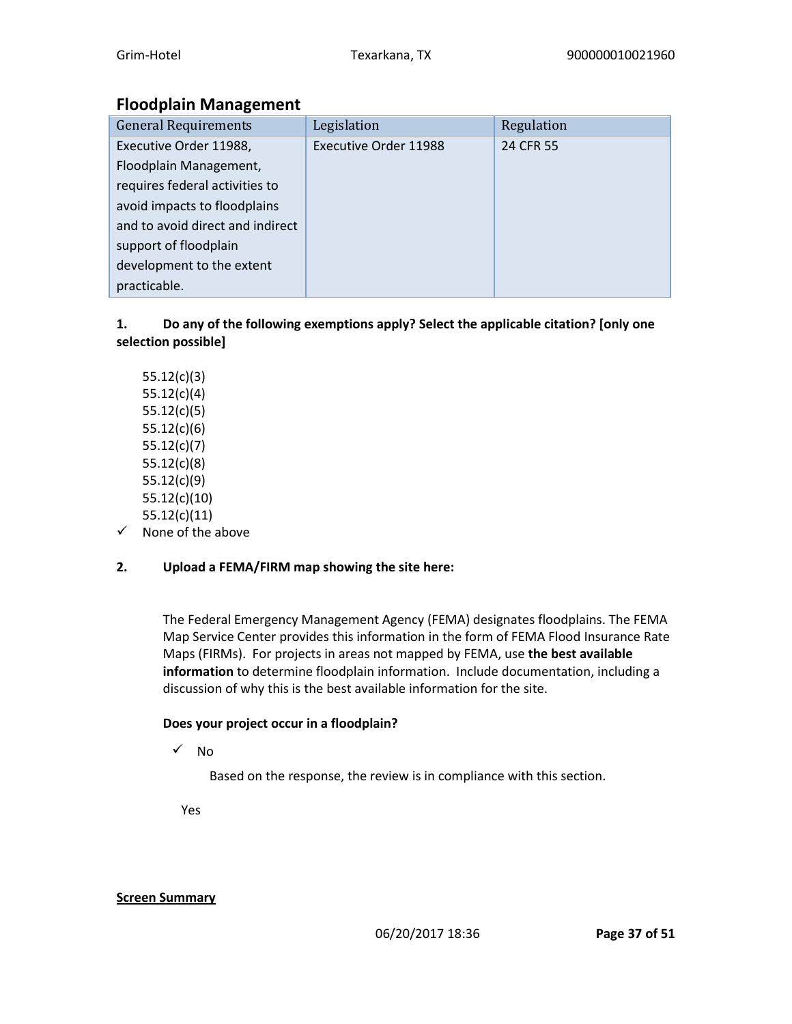# **Floodplain Management**

| <b>General Requirements</b>      | Legislation                  | Regulation |
|----------------------------------|------------------------------|------------|
| Executive Order 11988,           | <b>Executive Order 11988</b> | 24 CFR 55  |
| Floodplain Management,           |                              |            |
| requires federal activities to   |                              |            |
| avoid impacts to floodplains     |                              |            |
| and to avoid direct and indirect |                              |            |
| support of floodplain            |                              |            |
| development to the extent        |                              |            |
| practicable.                     |                              |            |

### **1. Do any of the following exemptions apply? Select the applicable citation? [only one selection possible]**

- 55.12(c)(3) 55.12(c)(4) 55.12(c)(5) 55.12(c)(6) 55.12(c)(7) 55.12(c)(8) 55.12(c)(9) 55.12(c)(10) 55.12(c)(11)
- ✓ None of the above

# **2. Upload a FEMA/FIRM map showing the site here:**

The Federal Emergency Management Agency (FEMA) designates floodplains. The FEMA Map Service Center provides this information in the form of FEMA Flood Insurance Rate Maps (FIRMs). For projects in areas not mapped by FEMA, use **the best available information** to determine floodplain information. Include documentation, including a discussion of why this is the best available information for the site.

### **Does your project occur in a floodplain?**

✓ No

Based on the response, the review is in compliance with this section.

Yes

### **Screen Summary**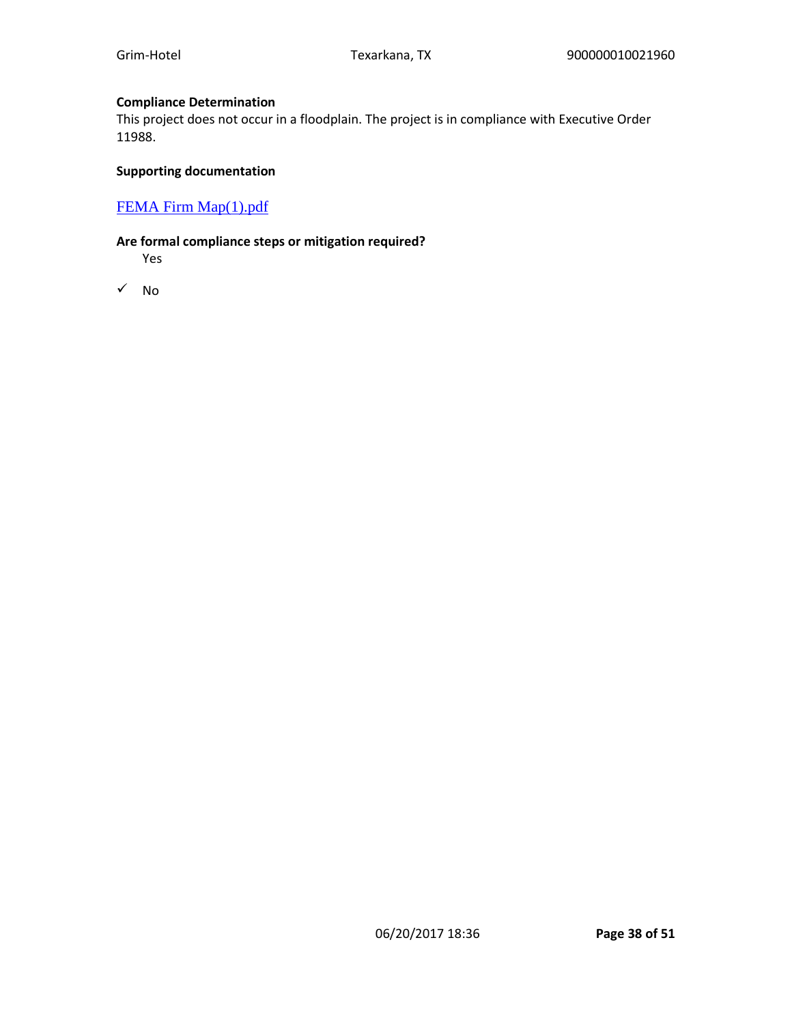#### **Compliance Determination**

This project does not occur in a floodplain. The project is in compliance with Executive Order 11988.

#### **Supporting documentation**

### [FEMA Firm Map\(1\).pdf](https://heros.hud.gov/heros/faces/downloadFile.xhtml?erUploadId=900000010063396)

#### **Are formal compliance steps or mitigation required?**

Yes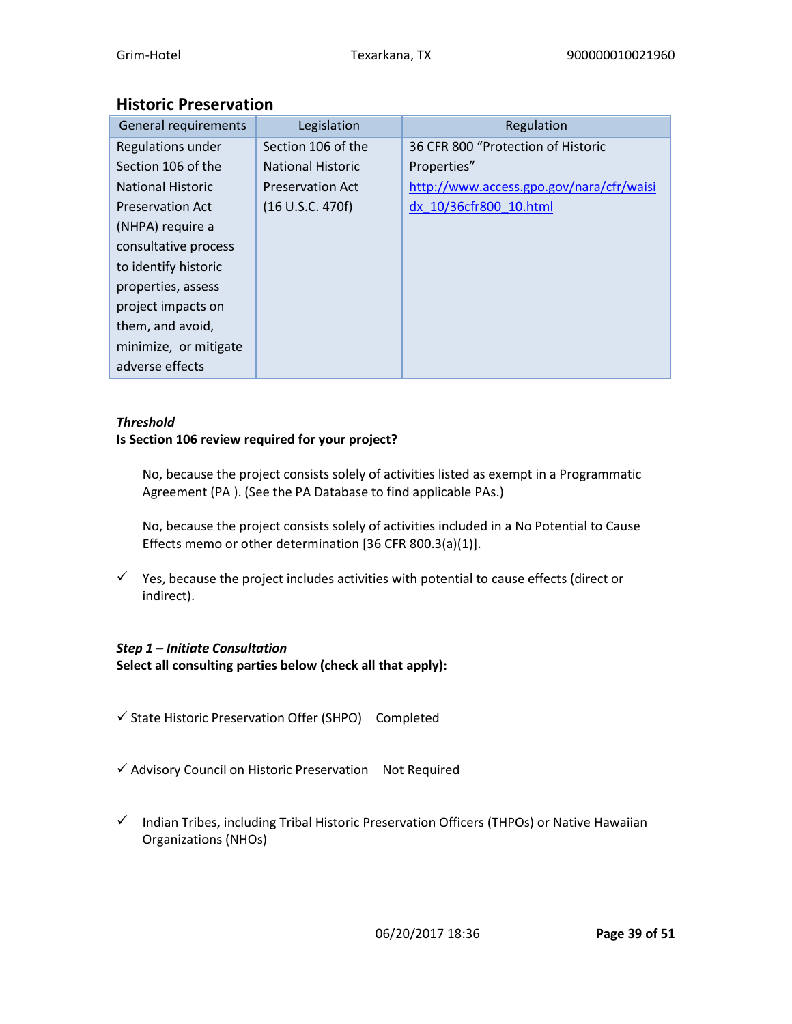# **Historic Preservation**

| General requirements     | Legislation              | Regulation                               |
|--------------------------|--------------------------|------------------------------------------|
| Regulations under        | Section 106 of the       | 36 CFR 800 "Protection of Historic       |
| Section 106 of the       | <b>National Historic</b> | Properties"                              |
| <b>National Historic</b> | <b>Preservation Act</b>  | http://www.access.gpo.gov/nara/cfr/waisi |
| <b>Preservation Act</b>  | (16 U.S.C. 470f)         | dx 10/36cfr800 10.html                   |
| (NHPA) require a         |                          |                                          |
| consultative process     |                          |                                          |
| to identify historic     |                          |                                          |
| properties, assess       |                          |                                          |
| project impacts on       |                          |                                          |
| them, and avoid,         |                          |                                          |
| minimize, or mitigate    |                          |                                          |
| adverse effects          |                          |                                          |

### *Threshold*

### **Is Section 106 review required for your project?**

No, because the project consists solely of activities listed as exempt in a Programmatic Agreement (PA ). (See the PA Database to find applicable PAs.)

No, because the project consists solely of activities included in a No Potential to Cause Effects memo or other determination [36 CFR 800.3(a)(1)].

 $\checkmark$  Yes, because the project includes activities with potential to cause effects (direct or indirect).

# *Step 1 – Initiate Consultation*

**Select all consulting parties below (check all that apply):**

- ✓ State Historic Preservation Offer (SHPO) Completed
- ✓ Advisory Council on Historic Preservation Not Required
- ✓ Indian Tribes, including Tribal Historic Preservation Officers (THPOs) or Native Hawaiian Organizations (NHOs)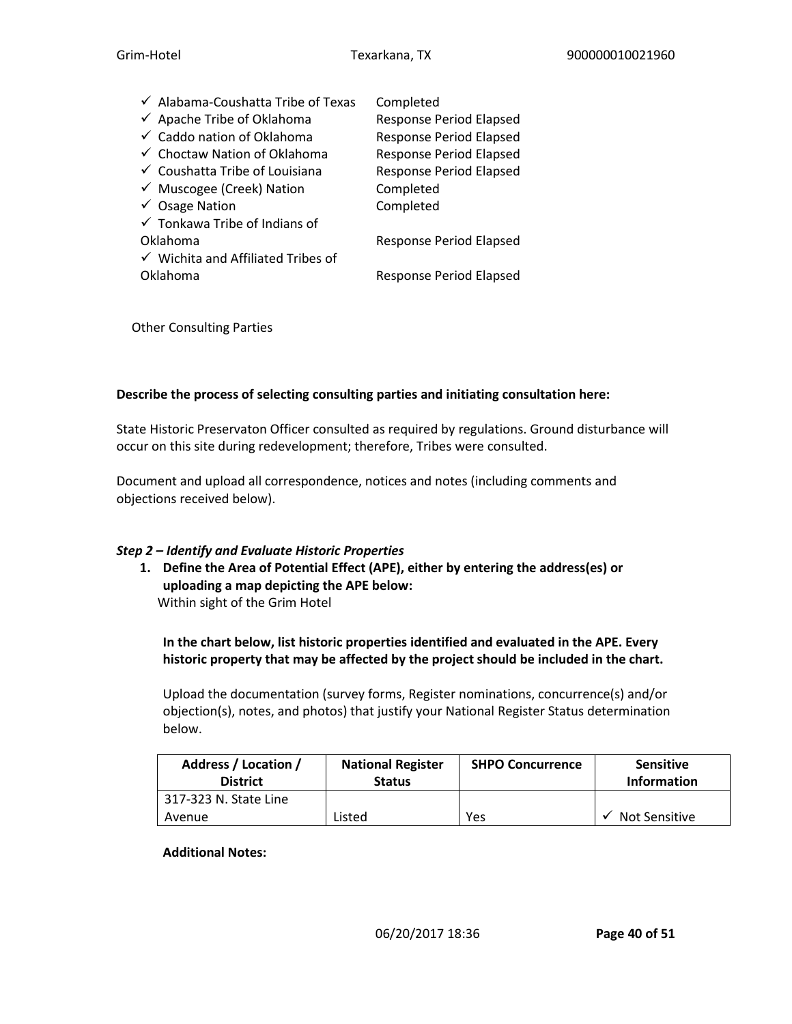| ← Alabama-Coushatta Tribe of Texas            | Completed                      |
|-----------------------------------------------|--------------------------------|
| ← Apache Tribe of Oklahoma                    | <b>Response Period Elapsed</b> |
| ✓ Caddo nation of Oklahoma                    | <b>Response Period Elapsed</b> |
| ← Choctaw Nation of Oklahoma                  | <b>Response Period Elapsed</b> |
| ← Coushatta Tribe of Louisiana                | Response Period Elapsed        |
| ← Muscogee (Creek) Nation                     | Completed                      |
| $\checkmark$ Osage Nation                     | Completed                      |
| $\checkmark$ Tonkawa Tribe of Indians of      |                                |
| Oklahoma                                      | <b>Response Period Elapsed</b> |
| $\checkmark$ Wichita and Affiliated Tribes of |                                |
| Oklahoma                                      | <b>Response Period Elapsed</b> |

Other Consulting Parties

#### **Describe the process of selecting consulting parties and initiating consultation here:**

State Historic Preservaton Officer consulted as required by regulations. Ground disturbance will occur on this site during redevelopment; therefore, Tribes were consulted.

Document and upload all correspondence, notices and notes (including comments and objections received below).

#### *Step 2 – Identify and Evaluate Historic Properties*

**1. Define the Area of Potential Effect (APE), either by entering the address(es) or uploading a map depicting the APE below:** Within sight of the Grim Hotel

**In the chart below, list historic properties identified and evaluated in the APE. Every historic property that may be affected by the project should be included in the chart.**

Upload the documentation (survey forms, Register nominations, concurrence(s) and/or objection(s), notes, and photos) that justify your National Register Status determination below.

| Address / Location /<br><b>District</b> | <b>National Register</b><br><b>Status</b> | <b>SHPO Concurrence</b> | <b>Sensitive</b><br><b>Information</b> |
|-----------------------------------------|-------------------------------------------|-------------------------|----------------------------------------|
| 317-323 N. State Line                   |                                           |                         |                                        |
| Avenue                                  | Listed                                    | Yes                     | <b>Not Sensitive</b>                   |

#### **Additional Notes:**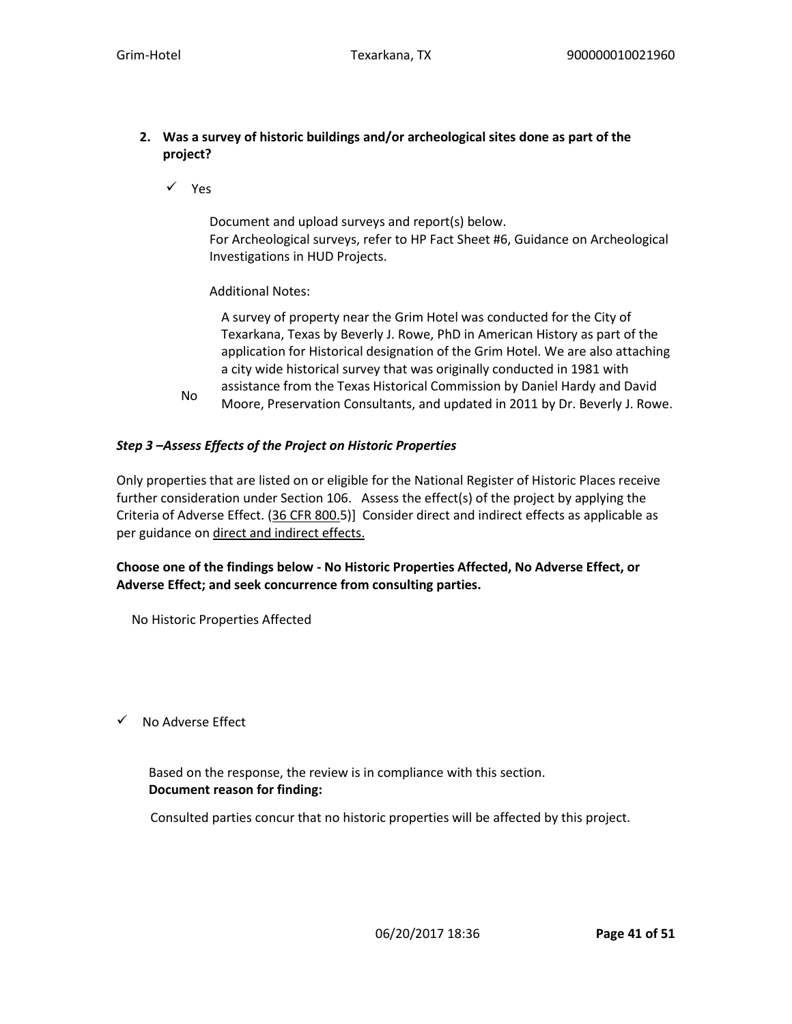### **2. Was a survey of historic buildings and/or archeological sites done as part of the project?**

✓ Yes

No

Document and upload surveys and report(s) below. For Archeological surveys, refer to HP Fact Sheet #6, Guidance on Archeological Investigations in HUD Projects.

### Additional Notes:

A survey of property near the Grim Hotel was conducted for the City of Texarkana, Texas by Beverly J. Rowe, PhD in American History as part of the application for Historical designation of the Grim Hotel. We are also attaching a city wide historical survey that was originally conducted in 1981 with assistance from the Texas Historical Commission by Daniel Hardy and David Moore, Preservation Consultants, and updated in 2011 by Dr. Beverly J. Rowe.

### *Step 3 –Assess Effects of the Project on Historic Properties*

Only properties that are listed on or eligible for the National Register of Historic Places receive further consideration under Section 106. Assess the effect(s) of the project by applying the Criteria of Adverse Effect. (36 CFR 800.5)] Consider direct and indirect effects as applicable as per guidance on direct and indirect effects.

### **Choose one of the findings below - No Historic Properties Affected, No Adverse Effect, or Adverse Effect; and seek concurrence from consulting parties.**

No Historic Properties Affected

✓ No Adverse Effect

 Based on the response, the review is in compliance with this section. **Document reason for finding:** 

Consulted parties concur that no historic properties will be affected by this project.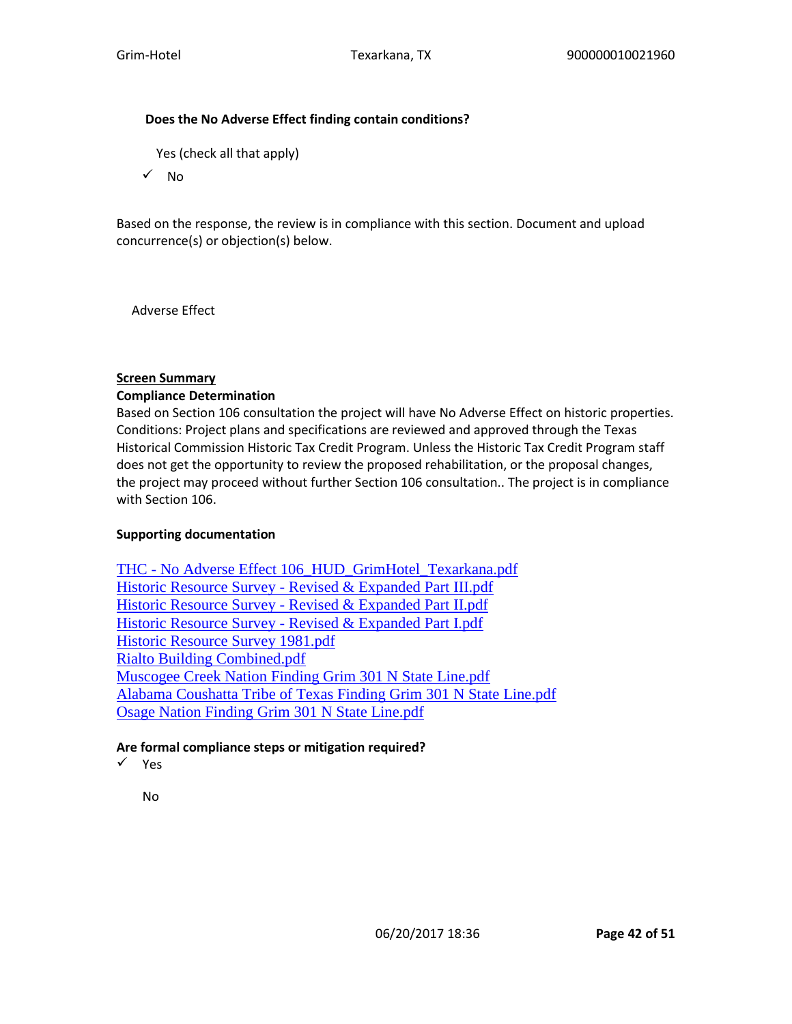#### **Does the No Adverse Effect finding contain conditions?**

Yes (check all that apply)

✓ No

Based on the response, the review is in compliance with this section. Document and upload concurrence(s) or objection(s) below.

Adverse Effect

#### **Screen Summary**

#### **Compliance Determination**

Based on Section 106 consultation the project will have No Adverse Effect on historic properties. Conditions: Project plans and specifications are reviewed and approved through the Texas Historical Commission Historic Tax Credit Program. Unless the Historic Tax Credit Program staff does not get the opportunity to review the proposed rehabilitation, or the proposal changes, the project may proceed without further Section 106 consultation.. The project is in compliance with Section 106.

#### **Supporting documentation**

THC - [No Adverse Effect 106\\_HUD\\_GrimHotel\\_Texarkana.pdf](https://heros.hud.gov/heros/faces/downloadFile.xhtml?erUploadId=900000010095454) Historic Resource Survey - [Revised & Expanded Part III.pdf](https://heros.hud.gov/heros/faces/downloadFile.xhtml?erUploadId=900000010073748) Historic Resource Survey - [Revised & Expanded Part II.pdf](https://heros.hud.gov/heros/faces/downloadFile.xhtml?erUploadId=900000010073747) Historic Resource Survey - [Revised & Expanded Part I.pdf](https://heros.hud.gov/heros/faces/downloadFile.xhtml?erUploadId=900000010073745) [Historic Resource Survey 1981.pdf](https://heros.hud.gov/heros/faces/downloadFile.xhtml?erUploadId=900000010073743) [Rialto Building Combined.pdf](https://heros.hud.gov/heros/faces/downloadFile.xhtml?erUploadId=900000010073741) [Muscogee Creek Nation Finding Grim 301 N State Line.pdf](https://heros.hud.gov/heros/faces/downloadFile.xhtml?erUploadId=900000010071649) [Alabama Coushatta Tribe of Texas Finding Grim 301 N State Line.pdf](https://heros.hud.gov/heros/faces/downloadFile.xhtml?erUploadId=900000010071647) [Osage Nation Finding Grim 301 N State Line.pdf](https://heros.hud.gov/heros/faces/downloadFile.xhtml?erUploadId=900000010071646)

### **Are formal compliance steps or mitigation required?**

✓ Yes

No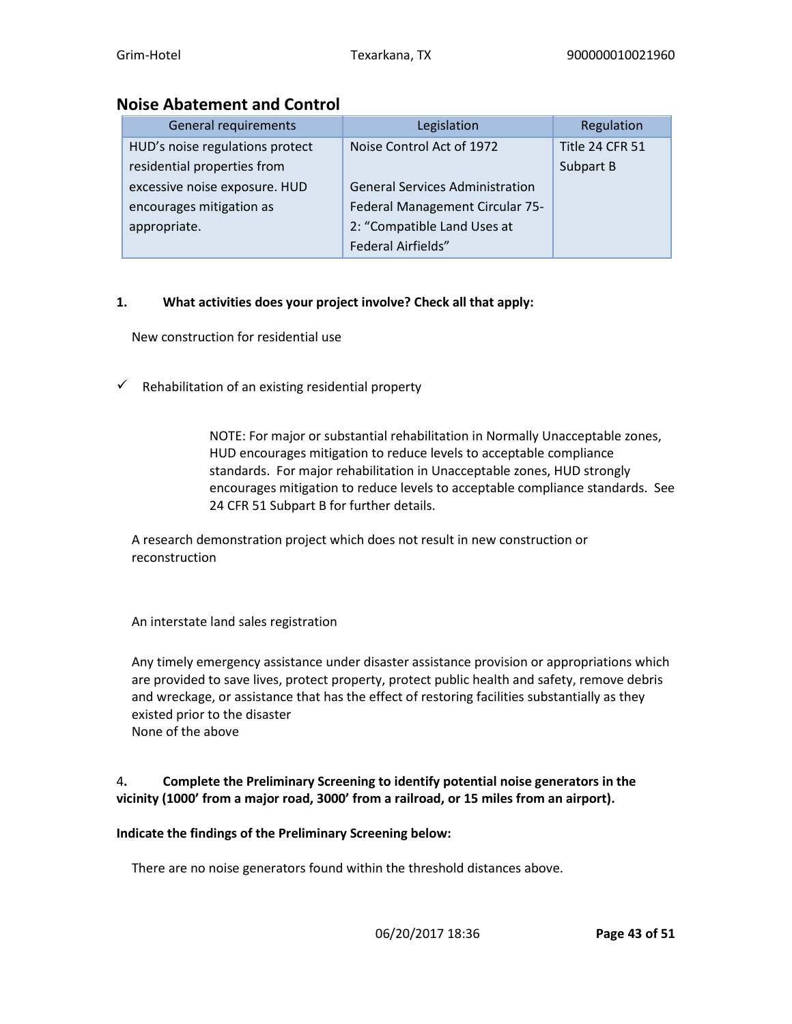### **Noise Abatement and Control**

| General requirements            | Legislation                            | Regulation      |
|---------------------------------|----------------------------------------|-----------------|
| HUD's noise regulations protect | Noise Control Act of 1972              | Title 24 CFR 51 |
| residential properties from     |                                        | Subpart B       |
| excessive noise exposure. HUD   | <b>General Services Administration</b> |                 |
| encourages mitigation as        | Federal Management Circular 75-        |                 |
| appropriate.                    | 2: "Compatible Land Uses at            |                 |
|                                 | Federal Airfields"                     |                 |

### **1. What activities does your project involve? Check all that apply:**

New construction for residential use

 $\checkmark$  Rehabilitation of an existing residential property

NOTE: For major or substantial rehabilitation in Normally Unacceptable zones, HUD encourages mitigation to reduce levels to acceptable compliance standards. For major rehabilitation in Unacceptable zones, HUD strongly encourages mitigation to reduce levels to acceptable compliance standards. See 24 CFR 51 Subpart B for further details.

A research demonstration project which does not result in new construction or reconstruction

An interstate land sales registration

Any timely emergency assistance under disaster assistance provision or appropriations which are provided to save lives, protect property, protect public health and safety, remove debris and wreckage, or assistance that has the effect of restoring facilities substantially as they existed prior to the disaster None of the above

### 4**. Complete the Preliminary Screening to identify potential noise generators in the vicinity (1000' from a major road, 3000' from a railroad, or 15 miles from an airport).**

### **Indicate the findings of the Preliminary Screening below:**

There are no noise generators found within the threshold distances above.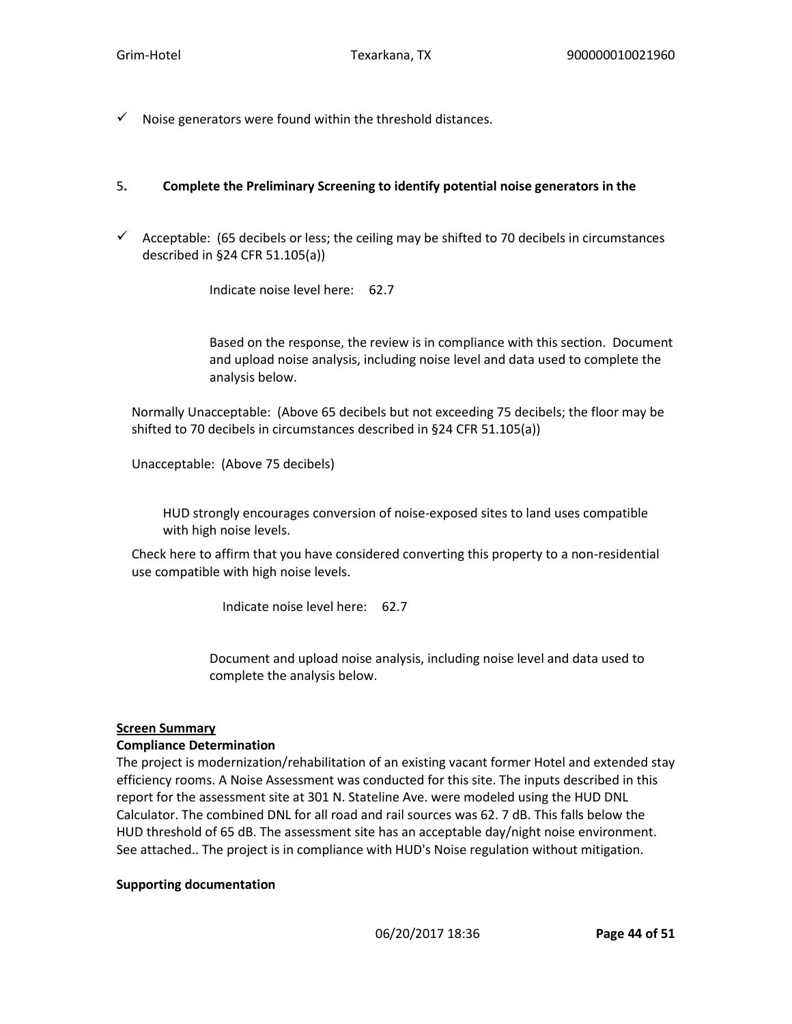$\checkmark$  Noise generators were found within the threshold distances.

#### 5**. Complete the Preliminary Screening to identify potential noise generators in the**

 $\checkmark$  Acceptable: (65 decibels or less; the ceiling may be shifted to 70 decibels in circumstances described in §24 CFR 51.105(a))

Indicate noise level here: 62.7

Based on the response, the review is in compliance with this section. Document and upload noise analysis, including noise level and data used to complete the analysis below.

Normally Unacceptable: (Above 65 decibels but not exceeding 75 decibels; the floor may be shifted to 70 decibels in circumstances described in §24 CFR 51.105(a))

Unacceptable: (Above 75 decibels)

HUD strongly encourages conversion of noise-exposed sites to land uses compatible with high noise levels.

Check here to affirm that you have considered converting this property to a non-residential use compatible with high noise levels.

Indicate noise level here: 62.7

Document and upload noise analysis, including noise level and data used to complete the analysis below.

#### **Screen Summary**

#### **Compliance Determination**

The project is modernization/rehabilitation of an existing vacant former Hotel and extended stay efficiency rooms. A Noise Assessment was conducted for this site. The inputs described in this report for the assessment site at 301 N. Stateline Ave. were modeled using the HUD DNL Calculator. The combined DNL for all road and rail sources was 62. 7 dB. This falls below the HUD threshold of 65 dB. The assessment site has an acceptable day/night noise environment. See attached.. The project is in compliance with HUD's Noise regulation without mitigation.

#### **Supporting documentation**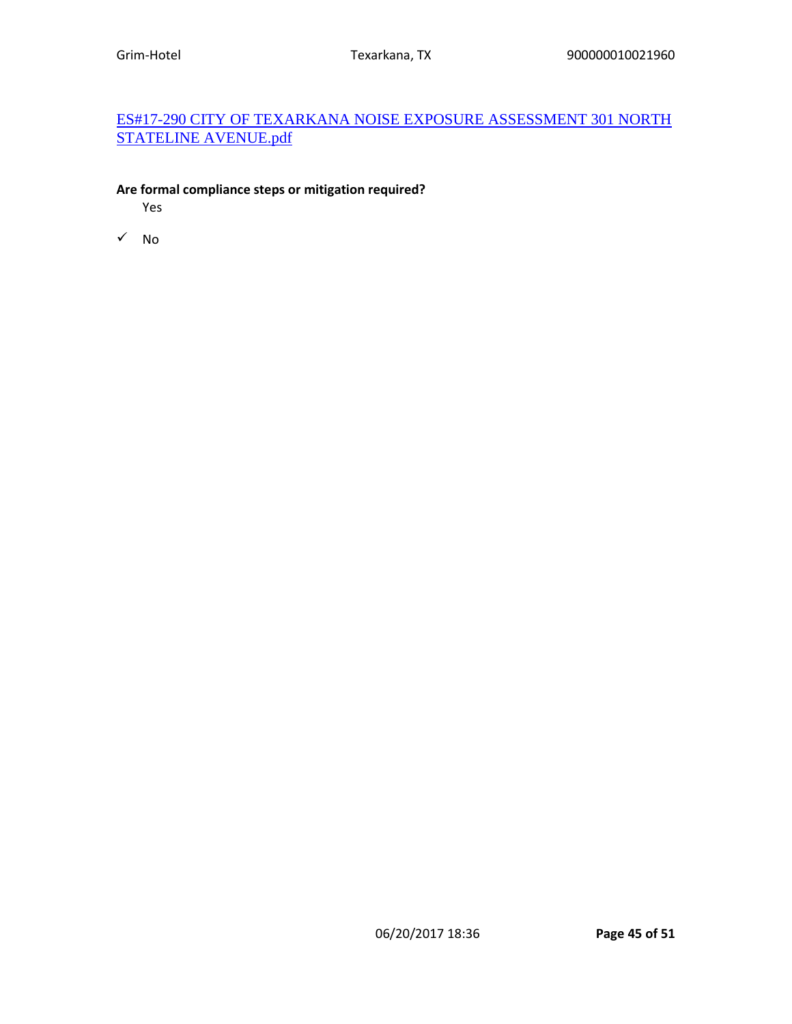# [ES#17-290 CITY OF TEXARKANA NOISE EXPOSURE ASSESSMENT 301 NORTH](https://heros.hud.gov/heros/faces/downloadFile.xhtml?erUploadId=900000010087695)  [STATELINE AVENUE.pdf](https://heros.hud.gov/heros/faces/downloadFile.xhtml?erUploadId=900000010087695)

### **Are formal compliance steps or mitigation required?**

Yes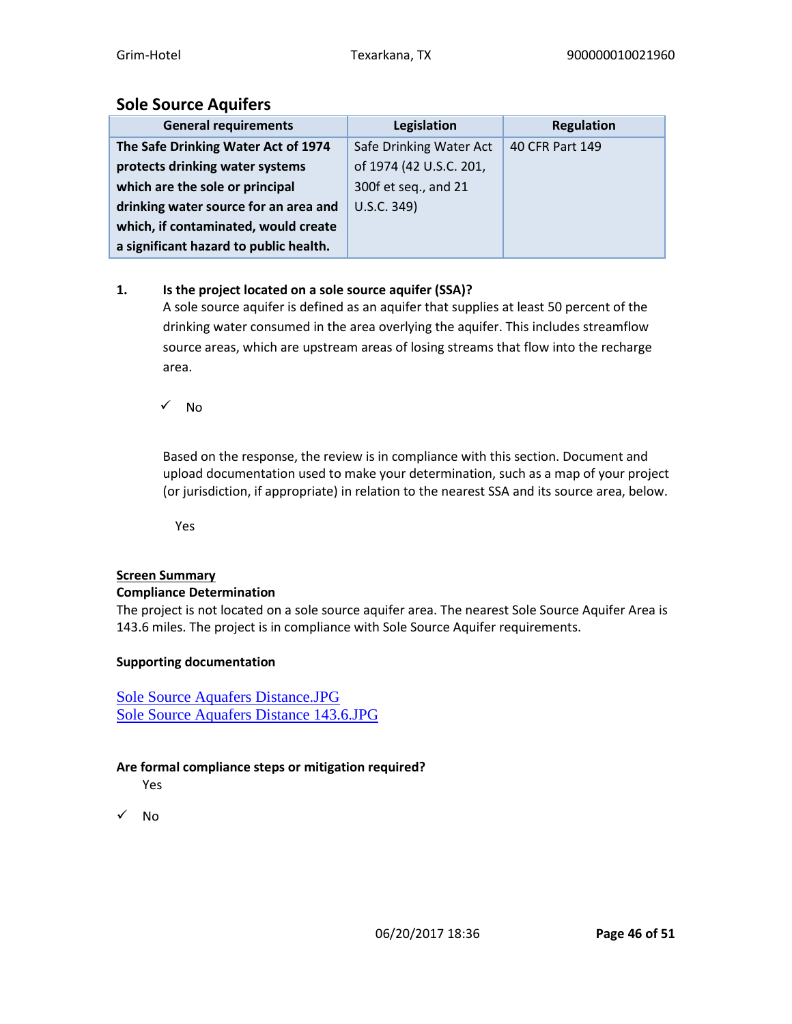# **Sole Source Aquifers**

| <b>General requirements</b>            | Legislation             | <b>Regulation</b> |
|----------------------------------------|-------------------------|-------------------|
| The Safe Drinking Water Act of 1974    | Safe Drinking Water Act | 40 CFR Part 149   |
| protects drinking water systems        | of 1974 (42 U.S.C. 201, |                   |
| which are the sole or principal        | 300f et seq., and 21    |                   |
| drinking water source for an area and  | U.S.C. 349)             |                   |
| which, if contaminated, would create   |                         |                   |
| a significant hazard to public health. |                         |                   |

# **1. Is the project located on a sole source aquifer (SSA)?**

A sole source aquifer is defined as an aquifer that supplies at least 50 percent of the drinking water consumed in the area overlying the aquifer. This includes streamflow source areas, which are upstream areas of losing streams that flow into the recharge area.

✓ No

Based on the response, the review is in compliance with this section. Document and upload documentation used to make your determination, such as a map of your project (or jurisdiction, if appropriate) in relation to the nearest SSA and its source area, below.

Yes

# **Screen Summary**

### **Compliance Determination**

The project is not located on a sole source aquifer area. The nearest Sole Source Aquifer Area is 143.6 miles. The project is in compliance with Sole Source Aquifer requirements.

### **Supporting documentation**

[Sole Source Aquafers Distance.JPG](https://heros.hud.gov/heros/faces/downloadFile.xhtml?erUploadId=900000010070837) [Sole Source Aquafers Distance 143.6.JPG](https://heros.hud.gov/heros/faces/downloadFile.xhtml?erUploadId=900000010070836)

# **Are formal compliance steps or mitigation required?**

Yes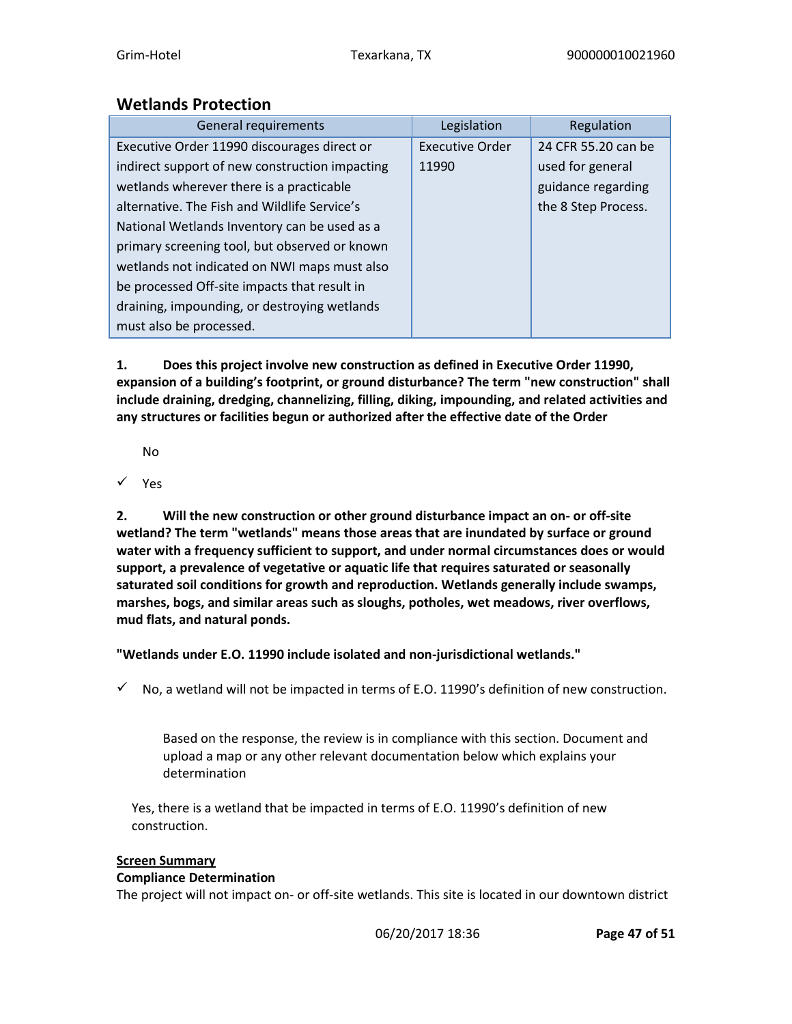# **Wetlands Protection**

| General requirements                           | Legislation            | Regulation          |
|------------------------------------------------|------------------------|---------------------|
| Executive Order 11990 discourages direct or    | <b>Executive Order</b> | 24 CFR 55.20 can be |
| indirect support of new construction impacting | 11990                  | used for general    |
| wetlands wherever there is a practicable       |                        | guidance regarding  |
| alternative. The Fish and Wildlife Service's   |                        | the 8 Step Process. |
| National Wetlands Inventory can be used as a   |                        |                     |
| primary screening tool, but observed or known  |                        |                     |
| wetlands not indicated on NWI maps must also   |                        |                     |
| be processed Off-site impacts that result in   |                        |                     |
| draining, impounding, or destroying wetlands   |                        |                     |
| must also be processed.                        |                        |                     |

**1. Does this project involve new construction as defined in Executive Order 11990, expansion of a building's footprint, or ground disturbance? The term "new construction" shall include draining, dredging, channelizing, filling, diking, impounding, and related activities and any structures or facilities begun or authorized after the effective date of the Order**

No

✓ Yes

**2. Will the new construction or other ground disturbance impact an on- or off-site wetland? The term "wetlands" means those areas that are inundated by surface or ground water with a frequency sufficient to support, and under normal circumstances does or would support, a prevalence of vegetative or aquatic life that requires saturated or seasonally saturated soil conditions for growth and reproduction. Wetlands generally include swamps, marshes, bogs, and similar areas such as sloughs, potholes, wet meadows, river overflows, mud flats, and natural ponds.**

**"Wetlands under E.O. 11990 include isolated and non-jurisdictional wetlands."**

 $\checkmark$  No, a wetland will not be impacted in terms of E.O. 11990's definition of new construction.

Based on the response, the review is in compliance with this section. Document and upload a map or any other relevant documentation below which explains your determination

Yes, there is a wetland that be impacted in terms of E.O. 11990's definition of new construction.

### **Screen Summary**

# **Compliance Determination**

The project will not impact on- or off-site wetlands. This site is located in our downtown district

06/20/2017 18:36 **Page 47 of 51**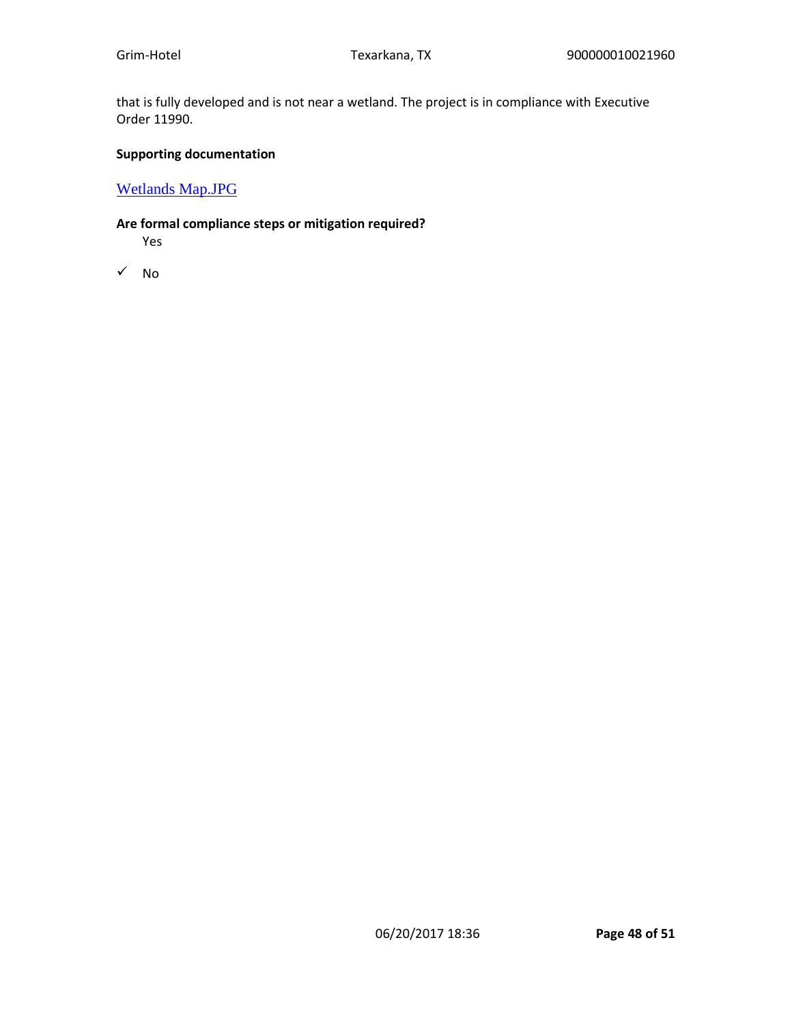that is fully developed and is not near a wetland. The project is in compliance with Executive Order 11990.

#### **Supporting documentation**

[Wetlands Map.JPG](https://heros.hud.gov/heros/faces/downloadFile.xhtml?erUploadId=900000010070838)

### **Are formal compliance steps or mitigation required?**

Yes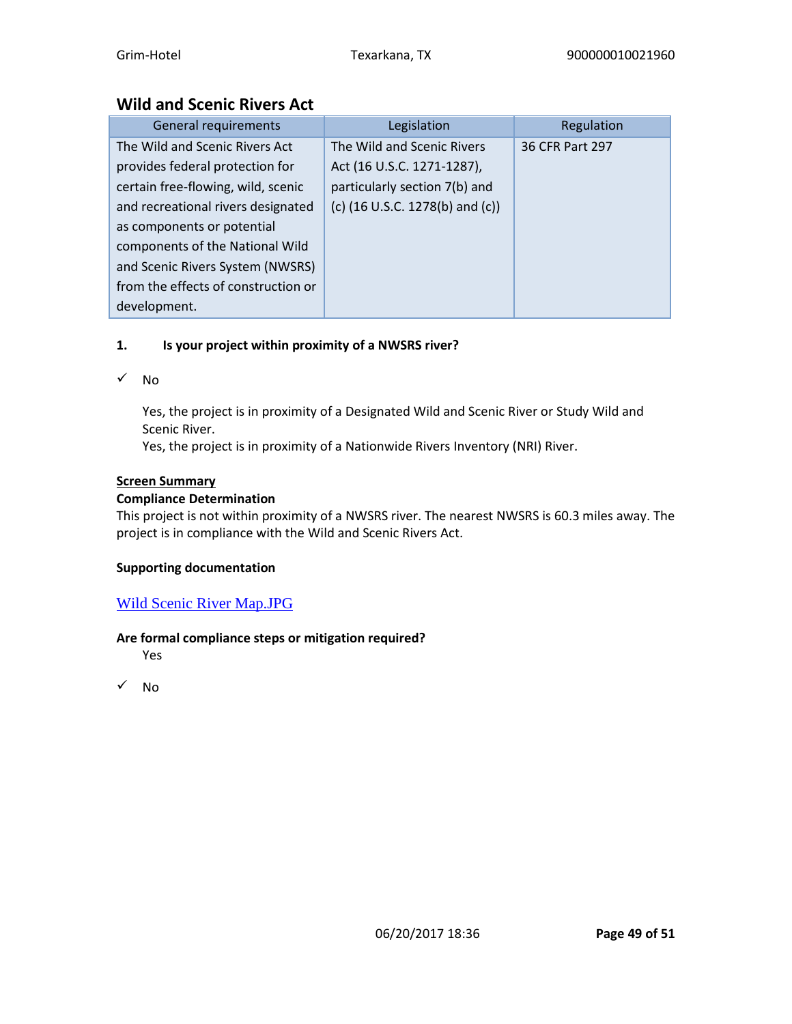# **Wild and Scenic Rivers Act**

| <b>General requirements</b>         | Legislation                                         | Regulation      |
|-------------------------------------|-----------------------------------------------------|-----------------|
| The Wild and Scenic Rivers Act      | The Wild and Scenic Rivers                          | 36 CFR Part 297 |
| provides federal protection for     | Act (16 U.S.C. 1271-1287),                          |                 |
| certain free-flowing, wild, scenic  | particularly section 7(b) and                       |                 |
| and recreational rivers designated  | (c) $(16 \text{ U.S.C. } 1278 \text{ (b) and (c)})$ |                 |
| as components or potential          |                                                     |                 |
| components of the National Wild     |                                                     |                 |
| and Scenic Rivers System (NWSRS)    |                                                     |                 |
| from the effects of construction or |                                                     |                 |
| development.                        |                                                     |                 |

# **1. Is your project within proximity of a NWSRS river?**

✓ No

Yes, the project is in proximity of a Designated Wild and Scenic River or Study Wild and Scenic River.

Yes, the project is in proximity of a Nationwide Rivers Inventory (NRI) River.

#### **Screen Summary**

### **Compliance Determination**

This project is not within proximity of a NWSRS river. The nearest NWSRS is 60.3 miles away. The project is in compliance with the Wild and Scenic Rivers Act.

#### **Supporting documentation**

### [Wild Scenic River Map.JPG](https://heros.hud.gov/heros/faces/downloadFile.xhtml?erUploadId=900000010070839)

### **Are formal compliance steps or mitigation required?**

Yes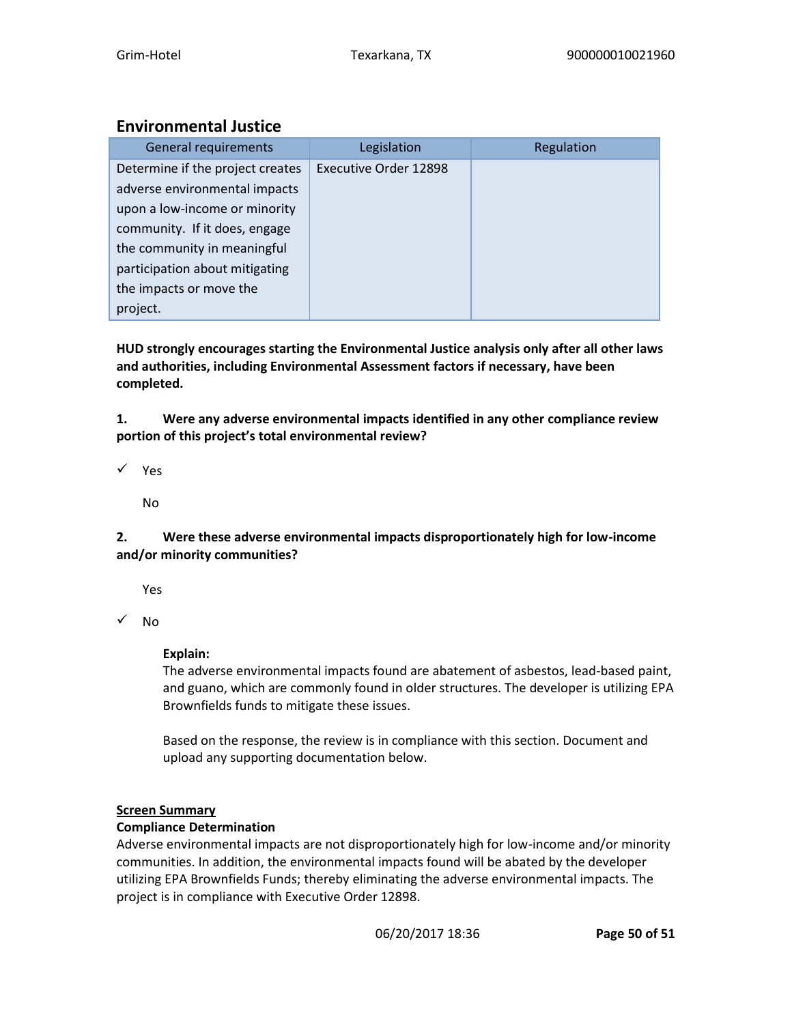# **Environmental Justice**

| <b>General requirements</b>      | Legislation           | Regulation |
|----------------------------------|-----------------------|------------|
| Determine if the project creates | Executive Order 12898 |            |
| adverse environmental impacts    |                       |            |
| upon a low-income or minority    |                       |            |
| community. If it does, engage    |                       |            |
| the community in meaningful      |                       |            |
| participation about mitigating   |                       |            |
| the impacts or move the          |                       |            |
| project.                         |                       |            |

**HUD strongly encourages starting the Environmental Justice analysis only after all other laws and authorities, including Environmental Assessment factors if necessary, have been completed.** 

**1. Were any adverse environmental impacts identified in any other compliance review portion of this project's total environmental review?**

✓ Yes

No

### **2. Were these adverse environmental impacts disproportionately high for low-income and/or minority communities?**

Yes

✓ No

# **Explain:**

The adverse environmental impacts found are abatement of asbestos, lead-based paint, and guano, which are commonly found in older structures. The developer is utilizing EPA Brownfields funds to mitigate these issues.

Based on the response, the review is in compliance with this section. Document and upload any supporting documentation below.

# **Screen Summary**

# **Compliance Determination**

Adverse environmental impacts are not disproportionately high for low-income and/or minority communities. In addition, the environmental impacts found will be abated by the developer utilizing EPA Brownfields Funds; thereby eliminating the adverse environmental impacts. The project is in compliance with Executive Order 12898.

06/20/2017 18:36 **Page 50 of 51**